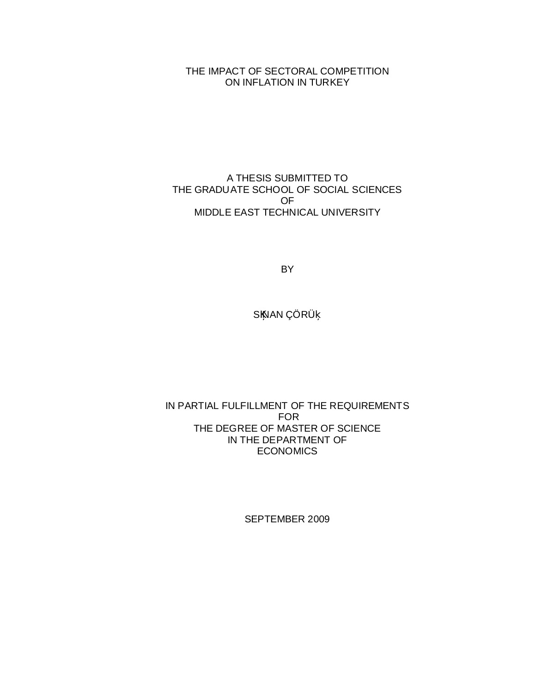THE IMPACT OF SECTORAL COMPETITION ON INFLATION IN TURKEY

A THESIS SUBMITTED TO THE GRADUATE SCHOOL OF SOCIAL SCIENCES OF MIDDLE EAST TECHNICAL UNIVERSITY

BY

S NAN ÇÖRÜ

IN PARTIAL FULFILLMENT OF THE REQUIREMENTS FOR THE DEGREE OF MASTER OF SCIENCE IN THE DEPARTMENT OF **ECONOMICS** 

SEPTEMBER 2009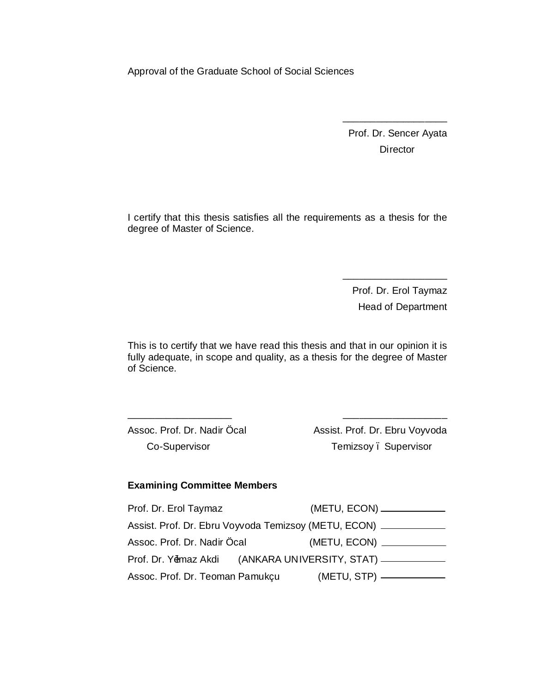Approval of the Graduate School of Social Sciences

Prof. Dr. Sencer Ayata **Director** 

\_\_\_\_\_\_\_\_\_\_\_\_\_\_\_\_\_\_\_

I certify that this thesis satisfies all the requirements as a thesis for the degree of Master of Science.

> Prof. Dr. Erol Taymaz Head of Department

 $\frac{1}{\sqrt{2}}$  ,  $\frac{1}{\sqrt{2}}$  ,  $\frac{1}{\sqrt{2}}$  ,  $\frac{1}{\sqrt{2}}$  ,  $\frac{1}{\sqrt{2}}$  ,  $\frac{1}{\sqrt{2}}$  ,  $\frac{1}{\sqrt{2}}$  ,  $\frac{1}{\sqrt{2}}$  ,  $\frac{1}{\sqrt{2}}$  ,  $\frac{1}{\sqrt{2}}$  ,  $\frac{1}{\sqrt{2}}$  ,  $\frac{1}{\sqrt{2}}$  ,  $\frac{1}{\sqrt{2}}$  ,  $\frac{1}{\sqrt{2}}$  ,  $\frac{1}{\sqrt{2}}$ 

This is to certify that we have read this thesis and that in our opinion it is fully adequate, in scope and quality, as a thesis for the degree of Master of Science.

\_\_\_\_\_\_\_\_\_\_\_\_\_\_\_\_\_\_\_ \_\_\_\_\_\_\_\_\_\_\_\_\_\_\_\_\_\_\_

Assoc. Prof. Dr. Nadir Öcal Co-Supervisor

Assist. Prof. Dr. Ebru Voyvoda Temizsoy – Supervisor

## **Examining Committee Members**

| Prof. Dr. Erol Taymaz                                       |  | (METU, ECON) _____________                                  |  |
|-------------------------------------------------------------|--|-------------------------------------------------------------|--|
| Assist. Prof. Dr. Ebru Voyvoda Temizsoy (METU, ECON) ______ |  |                                                             |  |
| Assoc. Prof. Dr. Nadir Öcal                                 |  | (METU, ECON) _____________                                  |  |
|                                                             |  | Prof. Dr. Y4maz Akdi (ANKARA UNIVERSITY, STAT) ____________ |  |
| Assoc. Prof. Dr. Teoman Pamukçu                             |  |                                                             |  |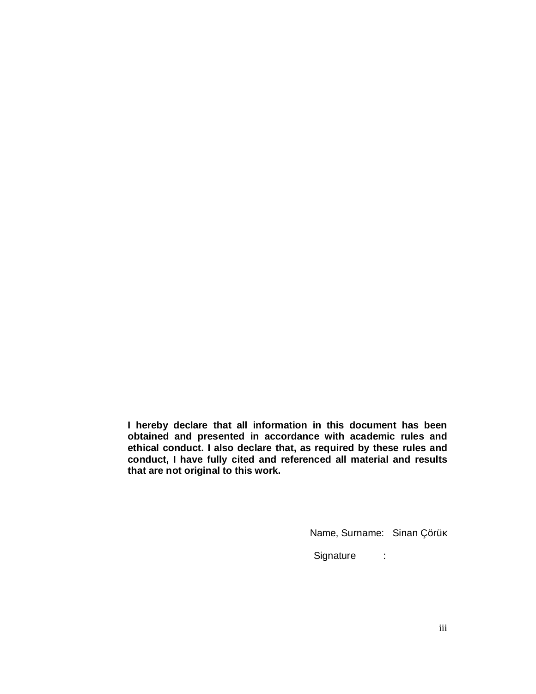**I hereby declare that all information in this document has been obtained and presented in accordance with academic rules and ethical conduct. I also declare that, as required by these rules and conduct, I have fully cited and referenced all material and results that are not original to this work.**

Name, Surname: Sinan Çörü

Signature :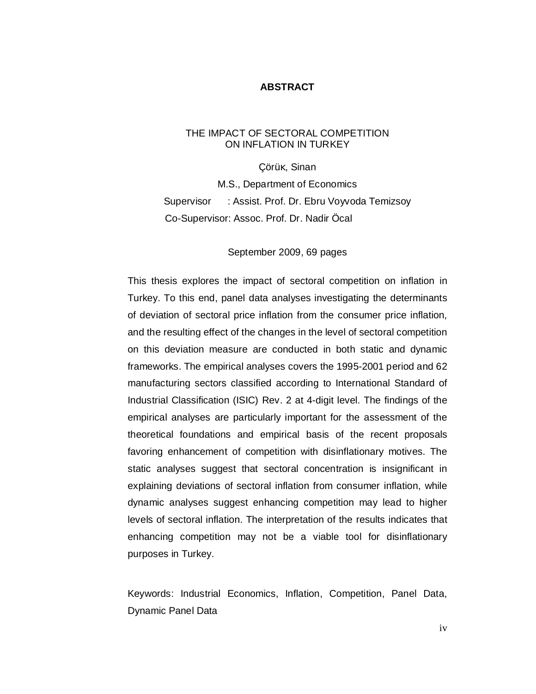## **ABSTRACT**

## THE IMPACT OF SECTORAL COMPETITION ON INFLATION IN TURKEY

Çörü , Sinan M.S., Department of Economics Supervisor : Assist. Prof. Dr. Ebru Voyvoda Temizsoy Co-Supervisor: Assoc. Prof. Dr. Nadir Öcal

## September 2009, 69 pages

This thesis explores the impact of sectoral competition on inflation in Turkey. To this end, panel data analyses investigating the determinants of deviation of sectoral price inflation from the consumer price inflation, and the resulting effect of the changes in the level of sectoral competition on this deviation measure are conducted in both static and dynamic frameworks. The empirical analyses covers the 1995-2001 period and 62 manufacturing sectors classified according to International Standard of Industrial Classification (ISIC) Rev. 2 at 4-digit level. The findings of the empirical analyses are particularly important for the assessment of the theoretical foundations and empirical basis of the recent proposals favoring enhancement of competition with disinflationary motives. The static analyses suggest that sectoral concentration is insignificant in explaining deviations of sectoral inflation from consumer inflation, while dynamic analyses suggest enhancing competition may lead to higher levels of sectoral inflation. The interpretation of the results indicates that enhancing competition may not be a viable tool for disinflationary purposes in Turkey.

Keywords: Industrial Economics, Inflation, Competition, Panel Data, Dynamic Panel Data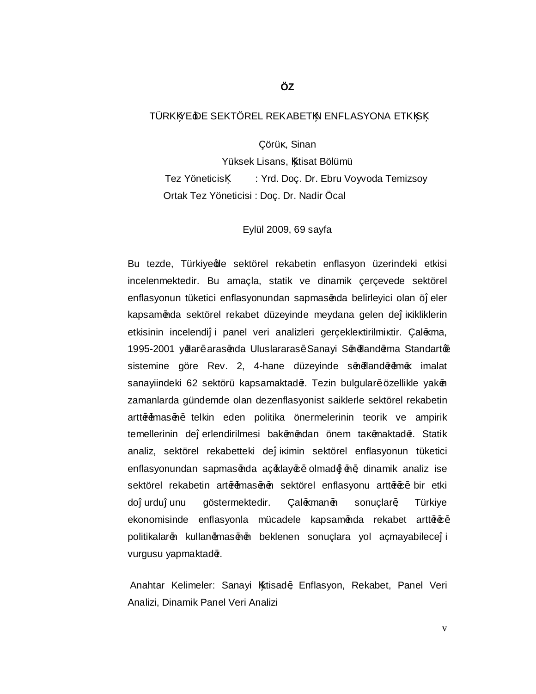# TÜRK YE DE SEKTÖREL REKABET N ENFLASYONA ETK S

Çörü , Sinan

Yüksek Lisans, ktisat Bölümü Tez Yöneticis : Yrd. Doç. Dr. Ebru Voyvoda Temizsoy Ortak Tez Yöneticisi : Doç. Dr. Nadir Öcal

#### Eylül 2009, 69 sayfa

Bu tezde, Türkiye ge sektörel rekabetin enflasyon üzerindeki etkisi incelenmektedir. Bu amaçla, statik ve dinamik çerçevede sektörel enflasyonun tüketici enflasyonundan sapmas<sup>2</sup>nda belirleyici olan ö eler kapsam<sup>2</sup>nda sektörel rekabet düzeyinde meydana gelen de i ikliklerin etkisinin incelendi i panel veri analizleri gerçekle tirilmi tir. Çal<sup>2</sup> ma, 1995-2001 y<sup>a</sup>llar<sup>2</sup> aras<sup>2</sup>nda Uluslararas<sup>2</sup> Sanayi S<sup>2</sup>n<sup>2</sup>fland<sup>2</sup>rma Standarte sistemine göre Rev. 2, 4-hane düzeyinde s<sup>2</sup>n<sup>2</sup>fland<sup>2</sup>r<sup>2</sup> imalat sanayiindeki 62 sektörü kapsamaktad<sup>a</sup>r. Tezin bulgular<sup>2</sup> özellikle yak<sup>a</sup>n zamanlarda gündemde olan dezenflasyonist saiklerle sektörel rekabetin artt<sup>a</sup>ramas<sup>an</sup> telkin eden politika önermelerinin teorik ve ampirik temellerinin de erlendirilmesi bak<sup>2</sup>m<sup>2</sup>ndan önem ta<sup>z</sup>maktad<sup>2</sup>r. Statik analiz, sektörel rekabetteki de i imin sektörel enflasyonun tüketici enflasyonundan sapmas<sup>2</sup>nda aç<sup>2</sup>klay<sup>2</sup>c<sup>2</sup> olmad<sup>2</sup> <sup>2</sup>n<sup>2</sup>, dinamik analiz ise sektörel rekabetin art<sup>a</sup>rımas<sup>2</sup>n<sup>2</sup>n sektörel enflasyonu artt<sup>a</sup>r<sup>2</sup>c<sup>2</sup> bir etki do urdu unu göstermektedir. Çal<sup>2</sup> man<sup>2</sup>n sonuçlar<sup>2</sup>, Türkiye ekonomisinde enflasyonla mücadele kapsam<sup>2</sup>nda rekabet artt<sup>2</sup>r<sup>2</sup> politikalar<sup>2</sup>n kullan<sup>2</sup>mas<sup>2</sup>n<sup>2</sup>n beklenen sonuçlara yol açmayabilece i vurgusu yapmaktad<sup>2</sup>r.

Anahtar Kelimeler: Sanayi ktisad<sup>2</sup>, Enflasyon, Rekabet, Panel Veri Analizi, Dinamik Panel Veri Analizi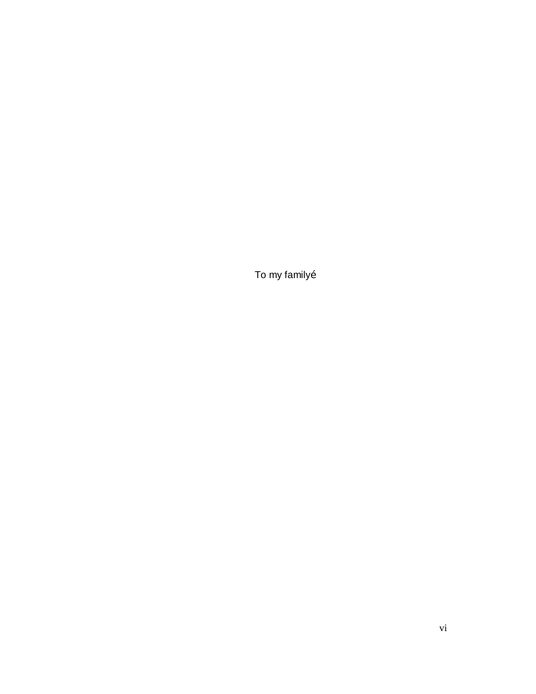To my family…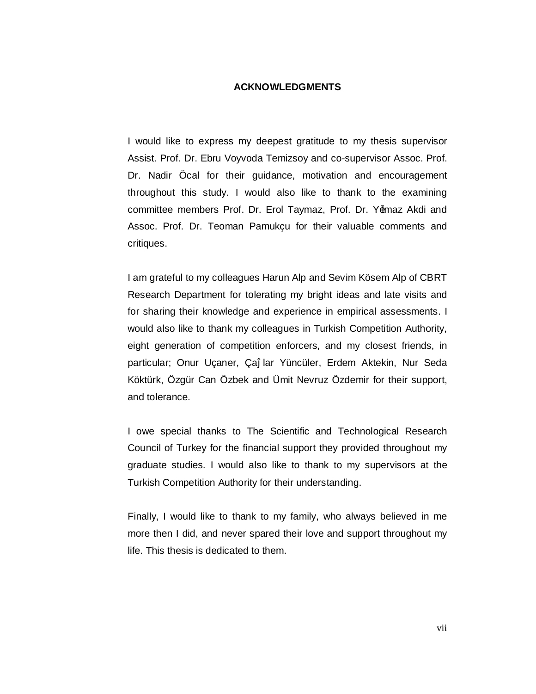# **ACKNOWLEDGMENTS**

I would like to express my deepest gratitude to my thesis supervisor Assist. Prof. Dr. Ebru Voyvoda Temizsoy and co-supervisor Assoc. Prof. Dr. Nadir Öcal for their guidance, motivation and encouragement throughout this study. I would also like to thank to the examining committee members Prof. Dr. Erol Taymaz, Prof. Dr. Y<sup>4</sup>maz Akdi and Assoc. Prof. Dr. Teoman Pamukçu for their valuable comments and critiques.

I am grateful to my colleagues Harun Alp and Sevim Kösem Alp of CBRT Research Department for tolerating my bright ideas and late visits and for sharing their knowledge and experience in empirical assessments. I would also like to thank my colleagues in Turkish Competition Authority, eight generation of competition enforcers, and my closest friends, in particular; Onur Uçaner, Ça lar Yüncüler, Erdem Aktekin, Nur Seda Köktürk, Özgür Can Özbek and Ümit Nevruz Özdemir for their support, and tolerance.

I owe special thanks to The Scientific and Technological Research Council of Turkey for the financial support they provided throughout my graduate studies. I would also like to thank to my supervisors at the Turkish Competition Authority for their understanding.

Finally, I would like to thank to my family, who always believed in me more then I did, and never spared their love and support throughout my life. This thesis is dedicated to them.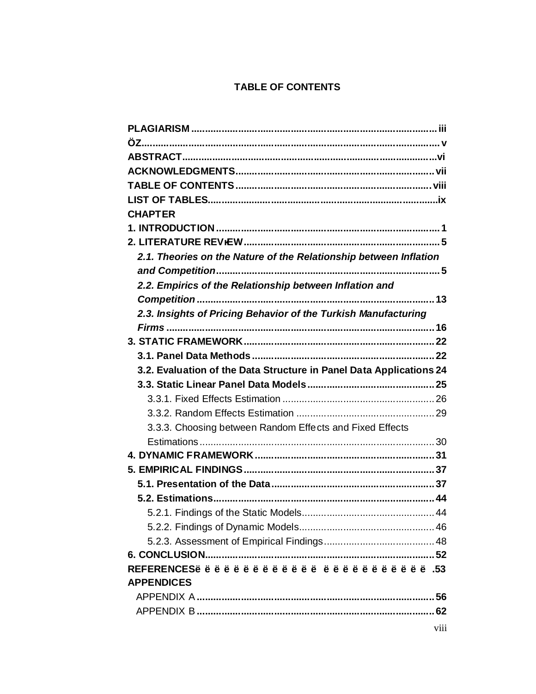# **TABLE OF CONTENTS**

| <b>CHAPTER</b>                                                      |      |
|---------------------------------------------------------------------|------|
|                                                                     |      |
|                                                                     |      |
| 2.1. Theories on the Nature of the Relationship between Inflation   |      |
|                                                                     |      |
| 2.2. Empirics of the Relationship between Inflation and             |      |
|                                                                     |      |
| 2.3. Insights of Pricing Behavior of the Turkish Manufacturing      |      |
|                                                                     |      |
|                                                                     |      |
|                                                                     |      |
| 3.2. Evaluation of the Data Structure in Panel Data Applications 24 |      |
|                                                                     |      |
|                                                                     |      |
|                                                                     |      |
| 3.3.3. Choosing between Random Effects and Fixed Effects            |      |
|                                                                     |      |
|                                                                     |      |
|                                                                     |      |
|                                                                     |      |
|                                                                     |      |
|                                                                     |      |
|                                                                     |      |
|                                                                     |      |
|                                                                     |      |
|                                                                     |      |
| <b>APPENDICES</b>                                                   |      |
|                                                                     |      |
|                                                                     |      |
|                                                                     | viii |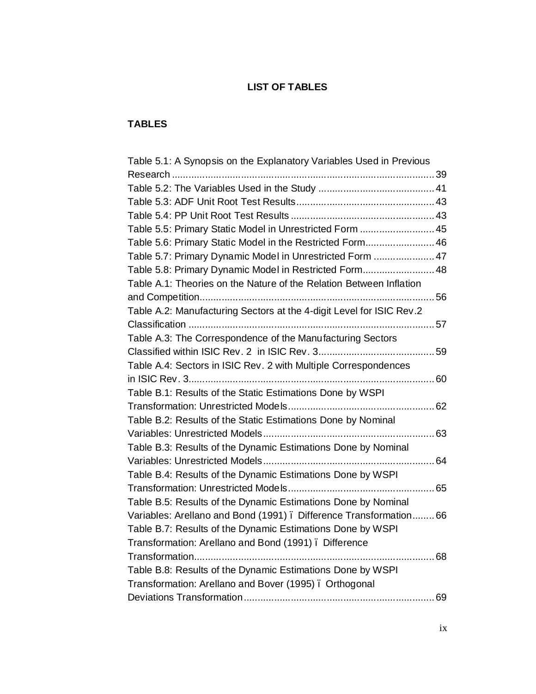# **LIST OF TABLES**

# **TABLES**

| Table 5.1: A Synopsis on the Explanatory Variables Used in Previous  |  |
|----------------------------------------------------------------------|--|
|                                                                      |  |
|                                                                      |  |
|                                                                      |  |
|                                                                      |  |
| Table 5.5: Primary Static Model in Unrestricted Form  45             |  |
| Table 5.6: Primary Static Model in the Restricted Form 46            |  |
| Table 5.7: Primary Dynamic Model in Unrestricted Form  47            |  |
| Table 5.8: Primary Dynamic Model in Restricted Form 48               |  |
| Table A.1: Theories on the Nature of the Relation Between Inflation  |  |
|                                                                      |  |
| Table A.2: Manufacturing Sectors at the 4-digit Level for ISIC Rev.2 |  |
|                                                                      |  |
| Table A.3: The Correspondence of the Manufacturing Sectors           |  |
|                                                                      |  |
| Table A.4: Sectors in ISIC Rev. 2 with Multiple Correspondences      |  |
|                                                                      |  |
| Table B.1: Results of the Static Estimations Done by WSPI            |  |
|                                                                      |  |
| Table B.2: Results of the Static Estimations Done by Nominal         |  |
|                                                                      |  |
| Table B.3: Results of the Dynamic Estimations Done by Nominal        |  |
|                                                                      |  |
| Table B.4: Results of the Dynamic Estimations Done by WSPI           |  |
|                                                                      |  |
| Table B.5: Results of the Dynamic Estimations Done by Nominal        |  |
| Variables: Arellano and Bond (1991). Difference Transformation 66    |  |
| Table B.7: Results of the Dynamic Estimations Done by WSPI           |  |
| Transformation: Arellano and Bond (1991). Difference                 |  |
| 68                                                                   |  |
| Table B.8: Results of the Dynamic Estimations Done by WSPI           |  |
| Transformation: Arellano and Bover (1995). Orthogonal                |  |
|                                                                      |  |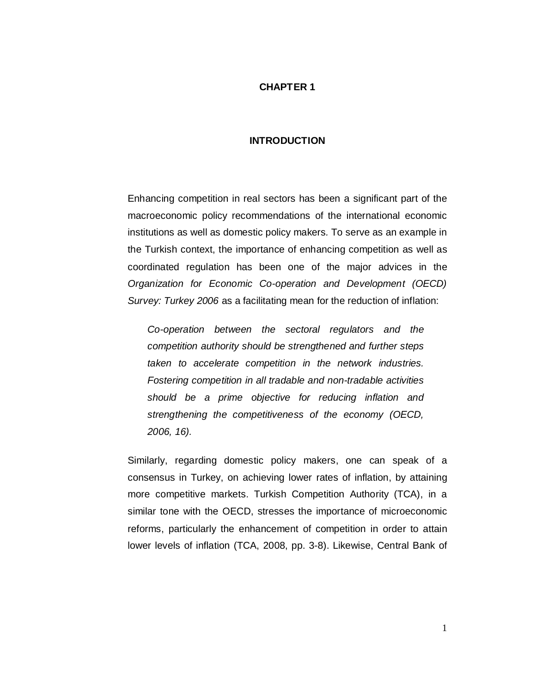# **CHAPTER 1**

### **INTRODUCTION**

Enhancing competition in real sectors has been a significant part of the macroeconomic policy recommendations of the international economic institutions as well as domestic policy makers*.* To serve as an example in the Turkish context, the importance of enhancing competition as well as coordinated regulation has been one of the major advices in the *Organization for Economic Co-operation and Development (OECD) Survey: Turkey 2006* as a facilitating mean for the reduction of inflation:

*Co-operation between the sectoral regulators and the competition authority should be strengthened and further steps taken to accelerate competition in the network industries. Fostering competition in all tradable and non-tradable activities should be a prime objective for reducing inflation and strengthening the competitiveness of the economy (OECD, 2006, 16).*

Similarly, regarding domestic policy makers, one can speak of a consensus in Turkey, on achieving lower rates of inflation, by attaining more competitive markets. Turkish Competition Authority (TCA), in a similar tone with the OECD, stresses the importance of microeconomic reforms, particularly the enhancement of competition in order to attain lower levels of inflation (TCA, 2008, pp. 3-8). Likewise, Central Bank of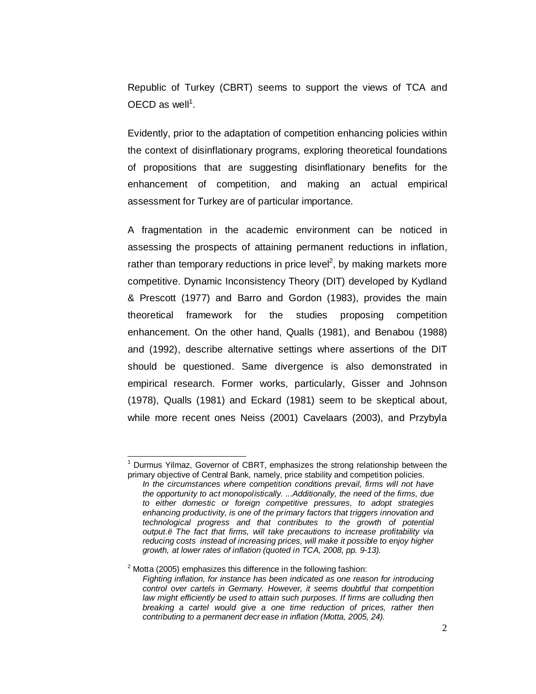Republic of Turkey (CBRT) seems to support the views of TCA and OECD as well<sup>1</sup>.

Evidently, prior to the adaptation of competition enhancing policies within the context of disinflationary programs, exploring theoretical foundations of propositions that are suggesting disinflationary benefits for the enhancement of competition, and making an actual empirical assessment for Turkey are of particular importance.

A fragmentation in the academic environment can be noticed in assessing the prospects of attaining permanent reductions in inflation, rather than temporary reductions in price level<sup>2</sup>, by making markets more competitive. Dynamic Inconsistency Theory (DIT) developed by Kydland & Prescott (1977) and Barro and Gordon (1983), provides the main theoretical framework for the studies proposing competition enhancement. On the other hand, Qualls (1981), and Benabou (1988) and (1992), describe alternative settings where assertions of the DIT should be questioned. Same divergence is also demonstrated in empirical research. Former works, particularly, Gisser and Johnson (1978), Qualls (1981) and Eckard (1981) seem to be skeptical about, while more recent ones Neiss (2001) Cavelaars (2003), and Przybyla

 $<sup>1</sup>$  Durmus Yilmaz, Governor of CBRT, emphasizes the strong relationship between the</sup> primary objective of Central Bank, namely, price stability and competition policies.

*In the circumstances where competition conditions prevail, firms will not have the opportunity to act monopolistically. ...Additionally, the need of the firms, due to either domestic or foreign competitive pressures, to adopt strategies enhancing productivity, is one of the primary factors that triggers innovation and technological progress and that contributes to the growth of potential output.…The fact that firms, will take precautions to increase profitability via reducing costs instead of increasing prices, will make it possible to enjoy higher growth, at lower rates of inflation (quoted in TCA, 2008, pp. 9-13).*

 $2$  Motta (2005) emphasizes this difference in the following fashion: *Fighting inflation, for instance has been indicated as one reason for introducing control over cartels in Germany. However, it seems doubtful that competition*  law might efficiently be used to attain such purposes. If firms are colluding then *breaking a cartel would give a one time reduction of prices, rather then contributing to a permanent decr ease in inflation (Motta, 2005, 24).*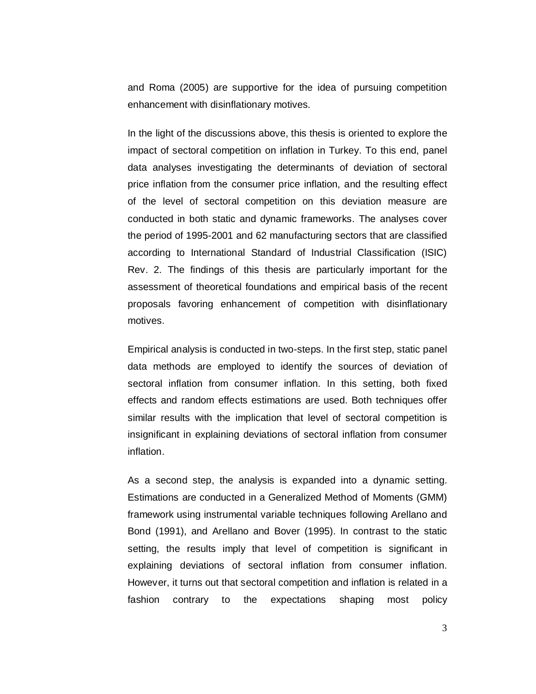and Roma (2005) are supportive for the idea of pursuing competition enhancement with disinflationary motives.

In the light of the discussions above, this thesis is oriented to explore the impact of sectoral competition on inflation in Turkey. To this end, panel data analyses investigating the determinants of deviation of sectoral price inflation from the consumer price inflation, and the resulting effect of the level of sectoral competition on this deviation measure are conducted in both static and dynamic frameworks. The analyses cover the period of 1995-2001 and 62 manufacturing sectors that are classified according to International Standard of Industrial Classification (ISIC) Rev. 2. The findings of this thesis are particularly important for the assessment of theoretical foundations and empirical basis of the recent proposals favoring enhancement of competition with disinflationary motives.

Empirical analysis is conducted in two-steps. In the first step, static panel data methods are employed to identify the sources of deviation of sectoral inflation from consumer inflation. In this setting, both fixed effects and random effects estimations are used. Both techniques offer similar results with the implication that level of sectoral competition is insignificant in explaining deviations of sectoral inflation from consumer inflation.

As a second step, the analysis is expanded into a dynamic setting. Estimations are conducted in a Generalized Method of Moments (GMM) framework using instrumental variable techniques following Arellano and Bond (1991), and Arellano and Bover (1995). In contrast to the static setting, the results imply that level of competition is significant in explaining deviations of sectoral inflation from consumer inflation. However, it turns out that sectoral competition and inflation is related in a fashion contrary to the expectations shaping most policy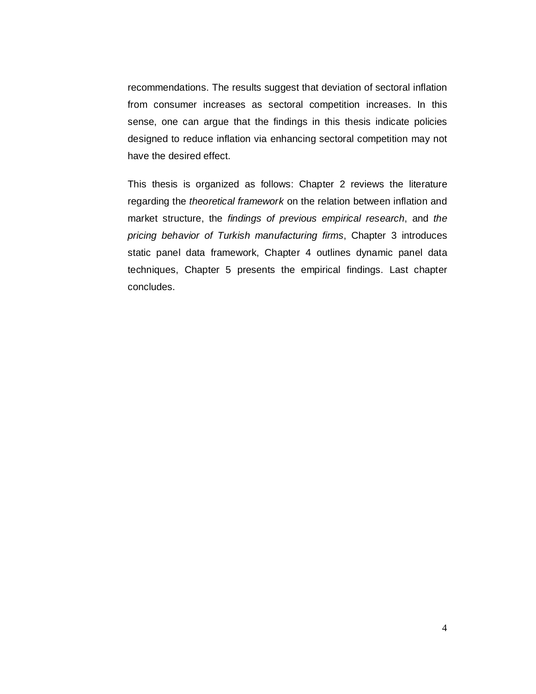recommendations. The results suggest that deviation of sectoral inflation from consumer increases as sectoral competition increases. In this sense, one can argue that the findings in this thesis indicate policies designed to reduce inflation via enhancing sectoral competition may not have the desired effect.

This thesis is organized as follows: Chapter 2 reviews the literature regarding the *theoretical framework* on the relation between inflation and market structure, the *findings of previous empirical research*, and *the pricing behavior of Turkish manufacturing firms*, Chapter 3 introduces static panel data framework, Chapter 4 outlines dynamic panel data techniques, Chapter 5 presents the empirical findings. Last chapter concludes.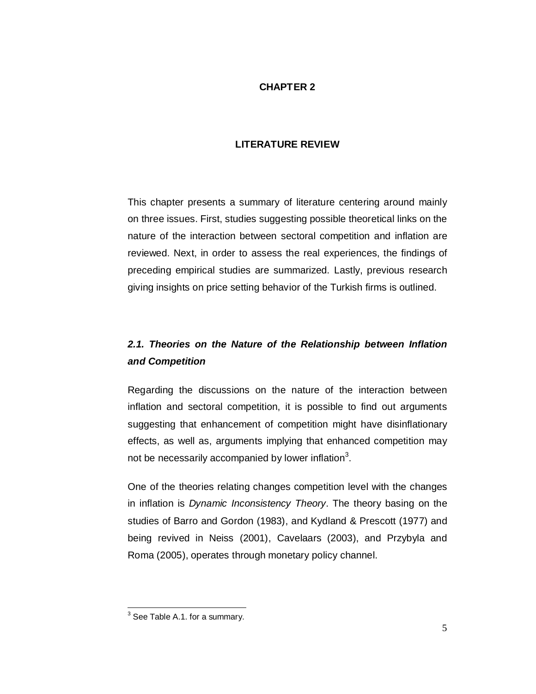# **CHAPTER 2**

# **LITERATURE REVIEW**

This chapter presents a summary of literature centering around mainly on three issues. First, studies suggesting possible theoretical links on the nature of the interaction between sectoral competition and inflation are reviewed. Next, in order to assess the real experiences, the findings of preceding empirical studies are summarized. Lastly, previous research giving insights on price setting behavior of the Turkish firms is outlined.

# *2.1. Theories on the Nature of the Relationship between Inflation and Competition*

Regarding the discussions on the nature of the interaction between inflation and sectoral competition, it is possible to find out arguments suggesting that enhancement of competition might have disinflationary effects, as well as, arguments implying that enhanced competition may not be necessarily accompanied by lower inflation<sup>3</sup>.

One of the theories relating changes competition level with the changes in inflation is *Dynamic Inconsistency Theory*. The theory basing on the studies of Barro and Gordon (1983), and Kydland & Prescott (1977) and being revived in Neiss (2001), Cavelaars (2003), and Przybyla and Roma (2005), operates through monetary policy channel.

<sup>&</sup>lt;u>.</u><br><sup>3</sup> See Table A.1. for a summary.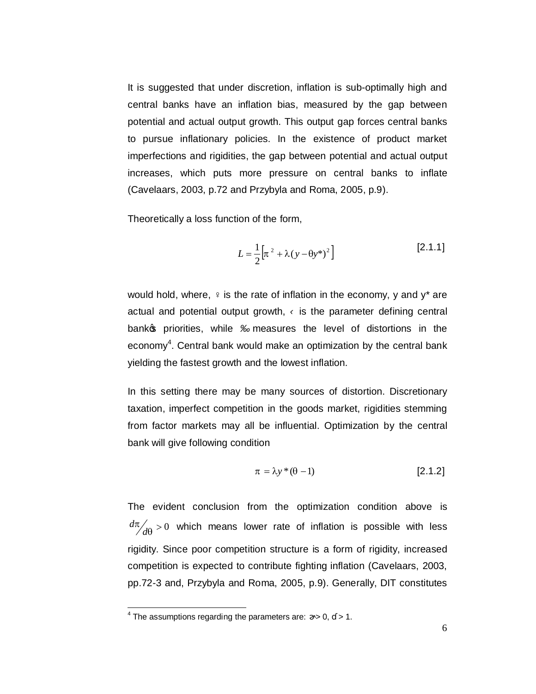It is suggested that under discretion, inflation is sub-optimally high and central banks have an inflation bias, measured by the gap between potential and actual output growth. This output gap forces central banks to pursue inflationary policies. In the existence of product market imperfections and rigidities, the gap between potential and actual output increases, which puts more pressure on central banks to inflate (Cavelaars, 2003, p.72 and Przybyla and Roma, 2005, p.9).

Theoretically a loss function of the form,

$$
L = \frac{1}{2} \left[ \pi^2 + \lambda (y - \theta y^*)^2 \right]
$$
 [2.1.1]

would hold, where, is the rate of inflation in the economy,  $v$  and  $v^*$  are actual and potential output growth, is the parameter defining central bank<sub>3</sub> priorities, while measures the level of distortions in the economy<sup>4</sup>. Central bank would make an optimization by the central bank yielding the fastest growth and the lowest inflation.

In this setting there may be many sources of distortion. Discretionary taxation, imperfect competition in the goods market, rigidities stemming from factor markets may all be influential. Optimization by the central bank will give following condition

$$
\pi = \lambda y^* (\theta - 1) \tag{2.1.2}
$$

The evident conclusion from the optimization condition above is  $\frac{\pi}{d\theta} > 0$  $d\pi/d\theta > 0$  which means lower rate of inflation is possible with less rigidity. Since poor competition structure is a form of rigidity, increased competition is expected to contribute fighting inflation (Cavelaars, 2003, pp.72-3 and, Przybyla and Roma, 2005, p.9). Generally, DIT constitutes

 $\frac{4}{4}$  The assumptions regarding the parameters are:  $> 0$ ,  $> 1$ .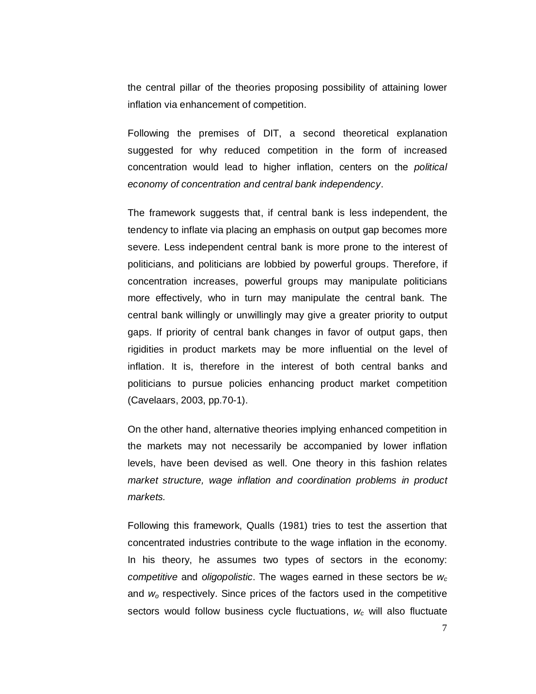the central pillar of the theories proposing possibility of attaining lower inflation via enhancement of competition.

Following the premises of DIT, a second theoretical explanation suggested for why reduced competition in the form of increased concentration would lead to higher inflation, centers on the *political economy of concentration and central bank independency*.

The framework suggests that, if central bank is less independent, the tendency to inflate via placing an emphasis on output gap becomes more severe. Less independent central bank is more prone to the interest of politicians, and politicians are lobbied by powerful groups. Therefore, if concentration increases, powerful groups may manipulate politicians more effectively, who in turn may manipulate the central bank. The central bank willingly or unwillingly may give a greater priority to output gaps. If priority of central bank changes in favor of output gaps, then rigidities in product markets may be more influential on the level of inflation. It is, therefore in the interest of both central banks and politicians to pursue policies enhancing product market competition (Cavelaars, 2003, pp.70-1).

On the other hand, alternative theories implying enhanced competition in the markets may not necessarily be accompanied by lower inflation levels, have been devised as well. One theory in this fashion relates *market structure, wage inflation and coordination problems in product markets.*

Following this framework, Qualls (1981) tries to test the assertion that concentrated industries contribute to the wage inflation in the economy. In his theory, he assumes two types of sectors in the economy: *competitive* and *oligopolistic*. The wages earned in these sectors be *wc* and *wo* respectively. Since prices of the factors used in the competitive sectors would follow business cycle fluctuations, *wc* will also fluctuate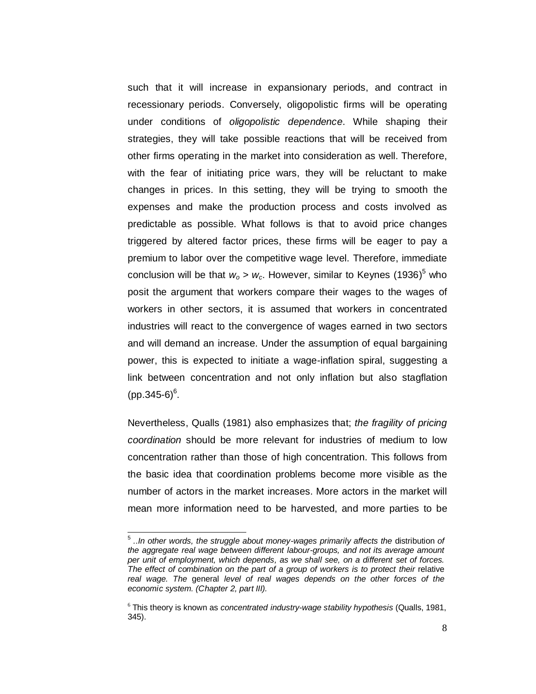such that it will increase in expansionary periods, and contract in recessionary periods. Conversely, oligopolistic firms will be operating under conditions of *oligopolistic dependence*. While shaping their strategies, they will take possible reactions that will be received from other firms operating in the market into consideration as well. Therefore, with the fear of initiating price wars, they will be reluctant to make changes in prices. In this setting, they will be trying to smooth the expenses and make the production process and costs involved as predictable as possible. What follows is that to avoid price changes triggered by altered factor prices, these firms will be eager to pay a premium to labor over the competitive wage level. Therefore, immediate conclusion will be that  $w_0 > w_c$ . However, similar to Keynes (1936)<sup>5</sup> who posit the argument that workers compare their wages to the wages of workers in other sectors, it is assumed that workers in concentrated industries will react to the convergence of wages earned in two sectors and will demand an increase. Under the assumption of equal bargaining power, this is expected to initiate a wage-inflation spiral, suggesting a link between concentration and not only inflation but also stagflation (pp.345-6) $^{6}$ .

Nevertheless, Qualls (1981) also emphasizes that; *the fragility of pricing coordination* should be more relevant for industries of medium to low concentration rather than those of high concentration. This follows from the basic idea that coordination problems become more visible as the number of actors in the market increases. More actors in the market will mean more information need to be harvested, and more parties to be

<sup>5</sup> *..In other words, the struggle about money-wages primarily affects the* distribution *of the aggregate real wage between different labour-groups, and not its average amount per unit of employment, which depends, as we shall see, on a different set of forces. The effect of combination on the part of a group of workers is to protect their* relative *real wage. The* general *level of real wages depends on the other forces of the economic system. (Chapter 2, part III).*

<sup>6</sup> This theory is known as *concentrated industry-wage stability hypothesis* (Qualls, 1981, 345).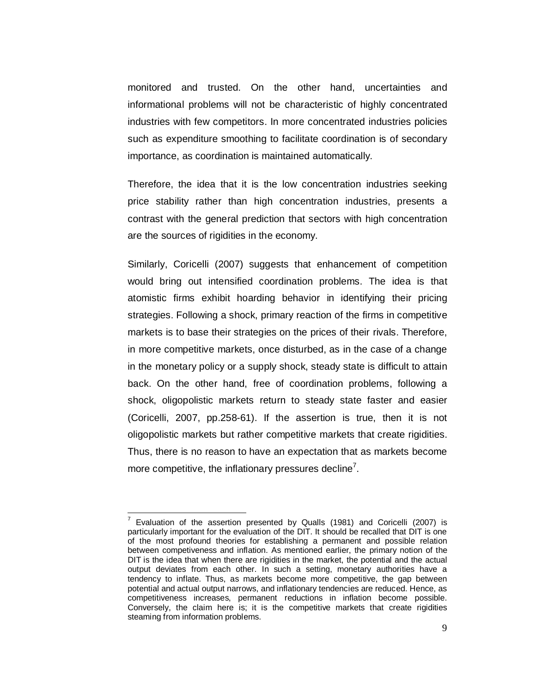monitored and trusted. On the other hand, uncertainties and informational problems will not be characteristic of highly concentrated industries with few competitors. In more concentrated industries policies such as expenditure smoothing to facilitate coordination is of secondary importance, as coordination is maintained automatically.

Therefore, the idea that it is the low concentration industries seeking price stability rather than high concentration industries, presents a contrast with the general prediction that sectors with high concentration are the sources of rigidities in the economy.

Similarly, Coricelli (2007) suggests that enhancement of competition would bring out intensified coordination problems. The idea is that atomistic firms exhibit hoarding behavior in identifying their pricing strategies. Following a shock, primary reaction of the firms in competitive markets is to base their strategies on the prices of their rivals. Therefore, in more competitive markets, once disturbed, as in the case of a change in the monetary policy or a supply shock, steady state is difficult to attain back. On the other hand, free of coordination problems, following a shock, oligopolistic markets return to steady state faster and easier (Coricelli, 2007, pp.258-61). If the assertion is true, then it is not oligopolistic markets but rather competitive markets that create rigidities. Thus, there is no reason to have an expectation that as markets become more competitive, the inflationary pressures decline<sup>7</sup>.

<sup>7</sup> Evaluation of the assertion presented by Qualls (1981) and Coricelli (2007) is particularly important for the evaluation of the DIT. It should be recalled that DIT is one of the most profound theories for establishing a permanent and possible relation between competiveness and inflation. As mentioned earlier, the primary notion of the DIT is the idea that when there are rigidities in the market, the potential and the actual output deviates from each other. In such a setting, monetary authorities have a tendency to inflate. Thus, as markets become more competitive, the gap between potential and actual output narrows, and inflationary tendencies are reduced. Hence, as competitiveness increases, permanent reductions in inflation become possible. Conversely, the claim here is; it is the competitive markets that create rigidities steaming from information problems.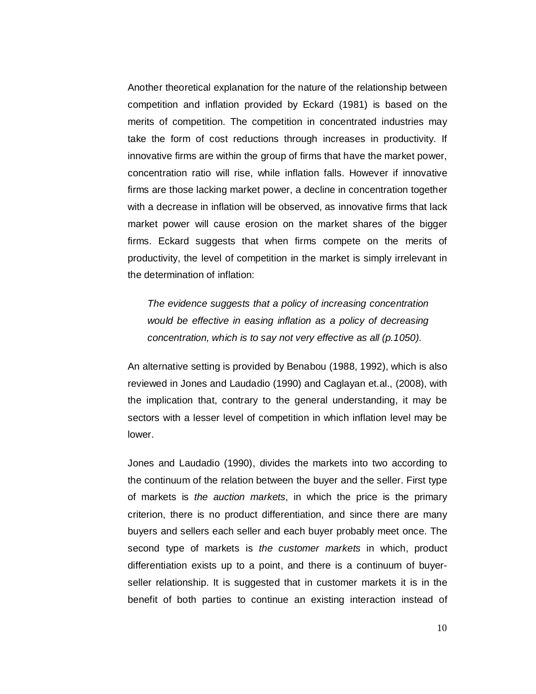Another theoretical explanation for the nature of the relationship between competition and inflation provided by Eckard (1981) is based on the merits of competition. The competition in concentrated industries may take the form of cost reductions through increases in productivity. If innovative firms are within the group of firms that have the market power, concentration ratio will rise, while inflation falls. However if innovative firms are those lacking market power, a decline in concentration together with a decrease in inflation will be observed, as innovative firms that lack market power will cause erosion on the market shares of the bigger firms. Eckard suggests that when firms compete on the merits of productivity, the level of competition in the market is simply irrelevant in the determination of inflation:

*The evidence suggests that a policy of increasing concentration would be effective in easing inflation as a policy of decreasing concentration, which is to say not very effective as all (p.1050).*

An alternative setting is provided by Benabou (1988, 1992), which is also reviewed in Jones and Laudadio (1990) and Caglayan et.al., (2008), with the implication that, contrary to the general understanding, it may be sectors with a lesser level of competition in which inflation level may be lower.

Jones and Laudadio (1990), divides the markets into two according to the continuum of the relation between the buyer and the seller. First type of markets is *the auction markets*, in which the price is the primary criterion, there is no product differentiation, and since there are many buyers and sellers each seller and each buyer probably meet once. The second type of markets is *the customer markets* in which, product differentiation exists up to a point, and there is a continuum of buyerseller relationship. It is suggested that in customer markets it is in the benefit of both parties to continue an existing interaction instead of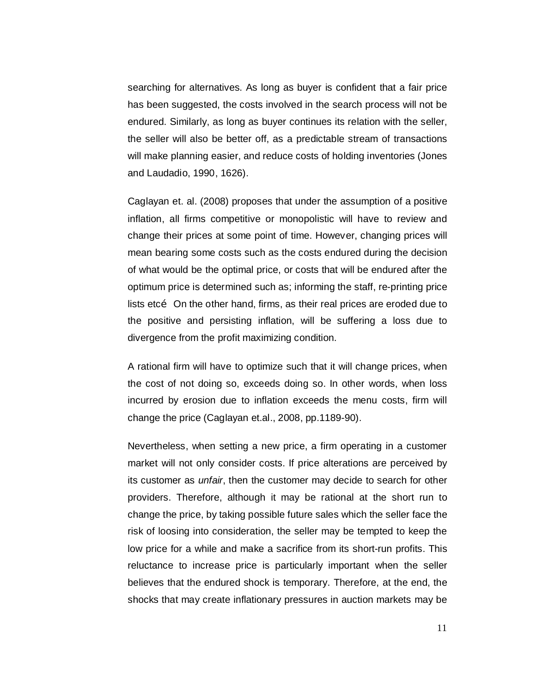searching for alternatives. As long as buyer is confident that a fair price has been suggested, the costs involved in the search process will not be endured. Similarly, as long as buyer continues its relation with the seller, the seller will also be better off, as a predictable stream of transactions will make planning easier, and reduce costs of holding inventories (Jones and Laudadio, 1990, 1626).

Caglayan et. al. (2008) proposes that under the assumption of a positive inflation, all firms competitive or monopolistic will have to review and change their prices at some point of time. However, changing prices will mean bearing some costs such as the costs endured during the decision of what would be the optimal price, or costs that will be endured after the optimum price is determined such as; informing the staff, re-printing price lists etco. On the other hand, firms, as their real prices are eroded due to the positive and persisting inflation, will be suffering a loss due to divergence from the profit maximizing condition.

A rational firm will have to optimize such that it will change prices, when the cost of not doing so, exceeds doing so. In other words, when loss incurred by erosion due to inflation exceeds the menu costs, firm will change the price (Caglayan et.al., 2008, pp.1189-90).

Nevertheless, when setting a new price, a firm operating in a customer market will not only consider costs. If price alterations are perceived by its customer as *unfair*, then the customer may decide to search for other providers. Therefore, although it may be rational at the short run to change the price, by taking possible future sales which the seller face the risk of loosing into consideration, the seller may be tempted to keep the low price for a while and make a sacrifice from its short-run profits. This reluctance to increase price is particularly important when the seller believes that the endured shock is temporary. Therefore, at the end, the shocks that may create inflationary pressures in auction markets may be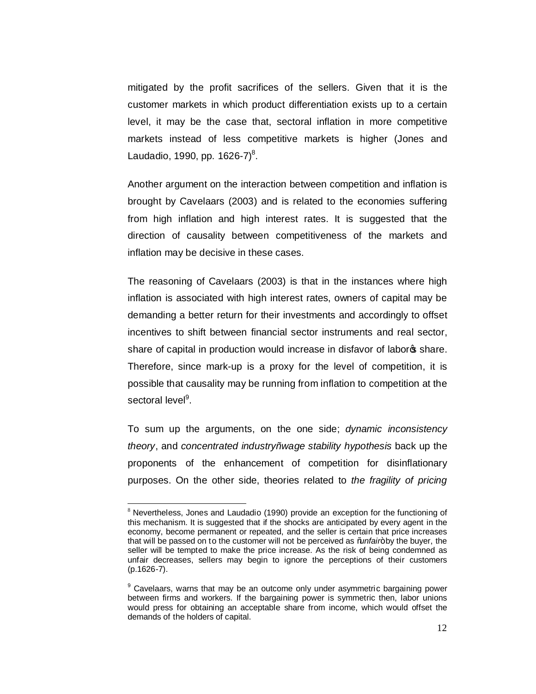mitigated by the profit sacrifices of the sellers. Given that it is the customer markets in which product differentiation exists up to a certain level, it may be the case that, sectoral inflation in more competitive markets instead of less competitive markets is higher (Jones and Laudadio, 1990, pp. 1626-7) $^{8}$ .

Another argument on the interaction between competition and inflation is brought by Cavelaars (2003) and is related to the economies suffering from high inflation and high interest rates. It is suggested that the direction of causality between competitiveness of the markets and inflation may be decisive in these cases.

The reasoning of Cavelaars (2003) is that in the instances where high inflation is associated with high interest rates, owners of capital may be demanding a better return for their investments and accordingly to offset incentives to shift between financial sector instruments and real sector, share of capital in production would increase in disfavor of labor<sup>®</sup> share. Therefore, since mark-up is a proxy for the level of competition, it is possible that causality may be running from inflation to competition at the sectoral level<sup>9</sup>.

To sum up the arguments, on the one side; *dynamic inconsistency theory*, and *concentrated industry–wage stability hypothesis* back up the proponents of the enhancement of competition for disinflationary purposes. On the other side, theories related to *the fragility of pricing* 

<sup>&</sup>lt;sup>8</sup> Nevertheless, Jones and Laudadio (1990) provide an exception for the functioning of this mechanism. It is suggested that if the shocks are anticipated by every agent in the economy, become permanent or repeated, and the seller is certain that price increases that will be passed on to the customer will not be perceived as "*unfair*" by the buyer, the seller will be tempted to make the price increase. As the risk of being condemned as unfair decreases, sellers may begin to ignore the perceptions of their customers (p.1626-7).

<sup>&</sup>lt;sup>9</sup> Cavelaars, warns that may be an outcome only under asymmetric bargaining power between firms and workers. If the bargaining power is symmetric then, labor unions would press for obtaining an acceptable share from income, which would offset the demands of the holders of capital.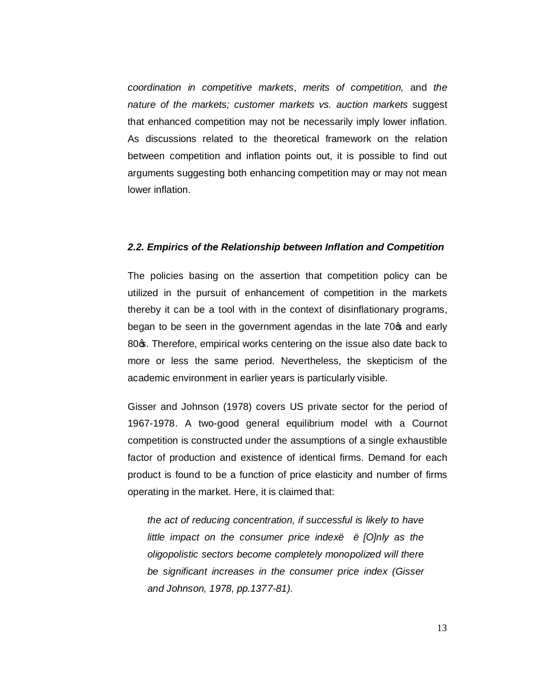*coordination in competitive markets*, *merits of competition,* and *the nature of the markets; customer markets vs. auction markets* suggest that enhanced competition may not be necessarily imply lower inflation. As discussions related to the theoretical framework on the relation between competition and inflation points out, it is possible to find out arguments suggesting both enhancing competition may or may not mean lower inflation.

#### *2.2. Empirics of the Relationship between Inflation and Competition*

The policies basing on the assertion that competition policy can be utilized in the pursuit of enhancement of competition in the markets thereby it can be a tool with in the context of disinflationary programs, began to be seen in the government agendas in the late 70 $\sigma$  and early 80 $\sigma$ . Therefore, empirical works centering on the issue also date back to more or less the same period. Nevertheless, the skepticism of the academic environment in earlier years is particularly visible.

Gisser and Johnson (1978) covers US private sector for the period of 1967-1978. A two-good general equilibrium model with a Cournot competition is constructed under the assumptions of a single exhaustible factor of production and existence of identical firms. Demand for each product is found to be a function of price elasticity and number of firms operating in the market. Here, it is claimed that:

*the act of reducing concentration, if successful is likely to have little impact on the consumer price index… …[O]nly as the oligopolistic sectors become completely monopolized will there be significant increases in the consumer price index (Gisser and Johnson, 1978, pp.1377-81).*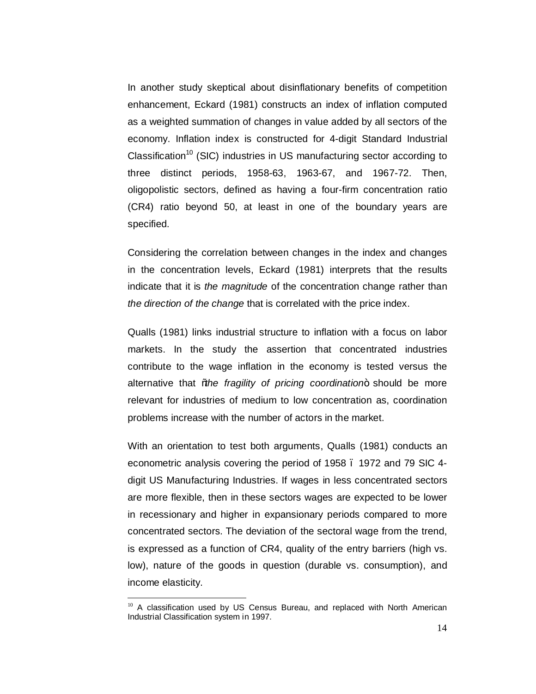In another study skeptical about disinflationary benefits of competition enhancement, Eckard (1981) constructs an index of inflation computed as a weighted summation of changes in value added by all sectors of the economy. Inflation index is constructed for 4-digit Standard Industrial Classification<sup>10</sup> (SIC) industries in US manufacturing sector according to three distinct periods, 1958-63, 1963-67, and 1967-72. Then, oligopolistic sectors, defined as having a four-firm concentration ratio (CR4) ratio beyond 50, at least in one of the boundary years are specified.

Considering the correlation between changes in the index and changes in the concentration levels, Eckard (1981) interprets that the results indicate that it is *the magnitude* of the concentration change rather than *the direction of the change* that is correlated with the price index.

Qualls (1981) links industrial structure to inflation with a focus on labor markets. In the study the assertion that concentrated industries contribute to the wage inflation in the economy is tested versus the alternative that *the fragility of pricing coordination*+ should be more relevant for industries of medium to low concentration as, coordination problems increase with the number of actors in the market.

With an orientation to test both arguments, Qualls (1981) conducts an econometric analysis covering the period of 1958 – 1972 and 79 SIC 4 digit US Manufacturing Industries. If wages in less concentrated sectors are more flexible, then in these sectors wages are expected to be lower in recessionary and higher in expansionary periods compared to more concentrated sectors. The deviation of the sectoral wage from the trend, is expressed as a function of CR4, quality of the entry barriers (high vs. low), nature of the goods in question (durable vs. consumption), and income elasticity.

<sup>&</sup>lt;sup>10</sup> A classification used by US Census Bureau, and replaced with North American Industrial Classification system in 1997.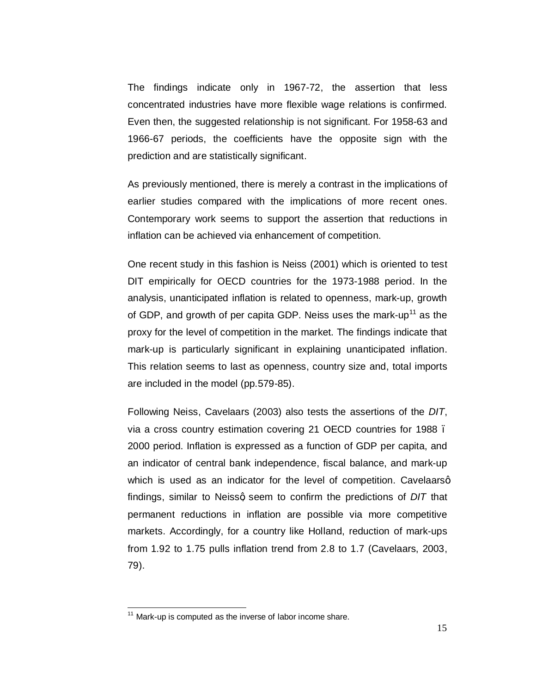The findings indicate only in 1967-72, the assertion that less concentrated industries have more flexible wage relations is confirmed. Even then, the suggested relationship is not significant. For 1958-63 and 1966-67 periods, the coefficients have the opposite sign with the prediction and are statistically significant.

As previously mentioned, there is merely a contrast in the implications of earlier studies compared with the implications of more recent ones. Contemporary work seems to support the assertion that reductions in inflation can be achieved via enhancement of competition.

One recent study in this fashion is Neiss (2001) which is oriented to test DIT empirically for OECD countries for the 1973-1988 period. In the analysis, unanticipated inflation is related to openness, mark-up, growth of GDP, and growth of per capita GDP. Neiss uses the mark-up<sup>11</sup> as the proxy for the level of competition in the market. The findings indicate that mark-up is particularly significant in explaining unanticipated inflation. This relation seems to last as openness, country size and, total imports are included in the model (pp.579-85).

Following Neiss, Cavelaars (2003) also tests the assertions of the *DIT*, via a cross country estimation covering 21 OECD countries for 1988 – 2000 period. Inflation is expressed as a function of GDP per capita, and an indicator of central bank independence, fiscal balance, and mark-up which is used as an indicator for the level of competition. Cavelaarsq findings, similar to Neissg seem to confirm the predictions of *DIT* that permanent reductions in inflation are possible via more competitive markets. Accordingly, for a country like Holland, reduction of mark-ups from 1.92 to 1.75 pulls inflation trend from 2.8 to 1.7 (Cavelaars, 2003, 79).

 $11$  Mark-up is computed as the inverse of labor income share.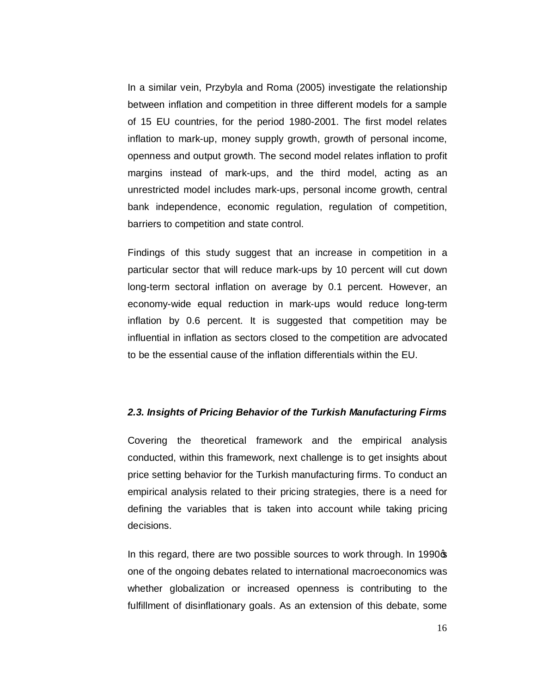In a similar vein, Przybyla and Roma (2005) investigate the relationship between inflation and competition in three different models for a sample of 15 EU countries, for the period 1980-2001. The first model relates inflation to mark-up, money supply growth, growth of personal income, openness and output growth. The second model relates inflation to profit margins instead of mark-ups, and the third model, acting as an unrestricted model includes mark-ups, personal income growth, central bank independence, economic regulation, regulation of competition, barriers to competition and state control.

Findings of this study suggest that an increase in competition in a particular sector that will reduce mark-ups by 10 percent will cut down long-term sectoral inflation on average by 0.1 percent. However, an economy-wide equal reduction in mark-ups would reduce long-term inflation by 0.6 percent. It is suggested that competition may be influential in inflation as sectors closed to the competition are advocated to be the essential cause of the inflation differentials within the EU.

#### *2.3. Insights of Pricing Behavior of the Turkish Manufacturing Firms*

Covering the theoretical framework and the empirical analysis conducted, within this framework, next challenge is to get insights about price setting behavior for the Turkish manufacturing firms. To conduct an empirical analysis related to their pricing strategies, there is a need for defining the variables that is taken into account while taking pricing decisions.

In this regard, there are two possible sources to work through. In 1990 $\sigma$ one of the ongoing debates related to international macroeconomics was whether globalization or increased openness is contributing to the fulfillment of disinflationary goals. As an extension of this debate, some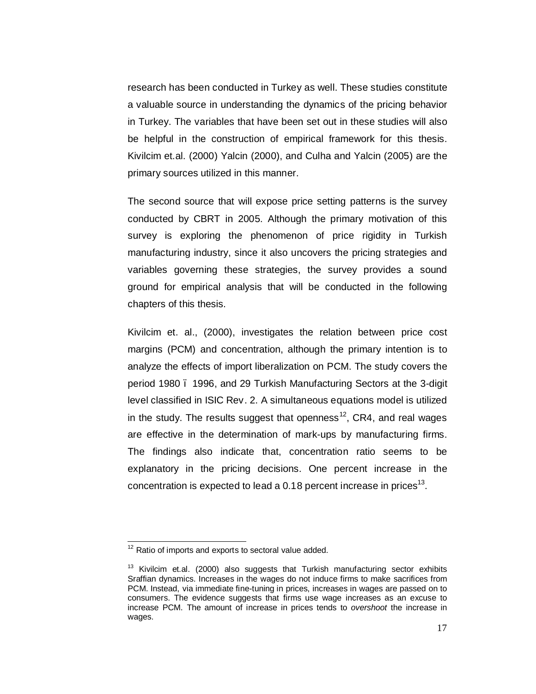research has been conducted in Turkey as well. These studies constitute a valuable source in understanding the dynamics of the pricing behavior in Turkey. The variables that have been set out in these studies will also be helpful in the construction of empirical framework for this thesis. Kivilcim et.al. (2000) Yalcin (2000), and Culha and Yalcin (2005) are the primary sources utilized in this manner.

The second source that will expose price setting patterns is the survey conducted by CBRT in 2005. Although the primary motivation of this survey is exploring the phenomenon of price rigidity in Turkish manufacturing industry, since it also uncovers the pricing strategies and variables governing these strategies, the survey provides a sound ground for empirical analysis that will be conducted in the following chapters of this thesis.

Kivilcim et. al., (2000), investigates the relation between price cost margins (PCM) and concentration, although the primary intention is to analyze the effects of import liberalization on PCM. The study covers the period 1980 – 1996, and 29 Turkish Manufacturing Sectors at the 3-digit level classified in ISIC Rev. 2. A simultaneous equations model is utilized in the study. The results suggest that openness<sup>12</sup>, CR4, and real wages are effective in the determination of mark-ups by manufacturing firms. The findings also indicate that, concentration ratio seems to be explanatory in the pricing decisions. One percent increase in the concentration is expected to lead a  $0.18$  percent increase in prices<sup>13</sup>.

 $12$  Ratio of imports and exports to sectoral value added.

 $13$  Kivilcim et.al. (2000) also suggests that Turkish manufacturing sector exhibits Sraffian dynamics. Increases in the wages do not induce firms to make sacrifices from PCM. Instead, via immediate fine-tuning in prices, increases in wages are passed on to consumers. The evidence suggests that firms use wage increases as an excuse to increase PCM. The amount of increase in prices tends to *overshoot* the increase in wages.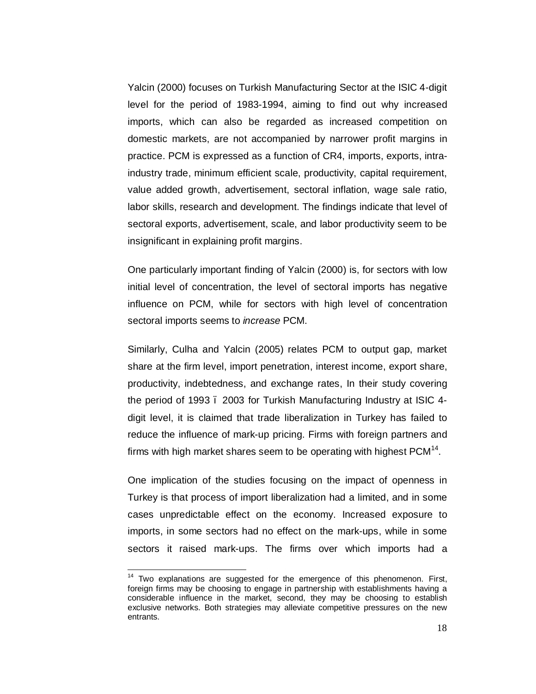Yalcin (2000) focuses on Turkish Manufacturing Sector at the ISIC 4-digit level for the period of 1983-1994, aiming to find out why increased imports, which can also be regarded as increased competition on domestic markets, are not accompanied by narrower profit margins in practice. PCM is expressed as a function of CR4, imports, exports, intraindustry trade, minimum efficient scale, productivity, capital requirement, value added growth, advertisement, sectoral inflation, wage sale ratio, labor skills, research and development. The findings indicate that level of sectoral exports, advertisement, scale, and labor productivity seem to be insignificant in explaining profit margins.

One particularly important finding of Yalcin (2000) is, for sectors with low initial level of concentration, the level of sectoral imports has negative influence on PCM, while for sectors with high level of concentration sectoral imports seems to *increase* PCM.

Similarly, Culha and Yalcin (2005) relates PCM to output gap, market share at the firm level, import penetration, interest income, export share, productivity, indebtedness, and exchange rates, In their study covering the period of 1993 – 2003 for Turkish Manufacturing Industry at ISIC 4 digit level, it is claimed that trade liberalization in Turkey has failed to reduce the influence of mark-up pricing. Firms with foreign partners and firms with high market shares seem to be operating with highest  $PCM<sup>14</sup>$ .

One implication of the studies focusing on the impact of openness in Turkey is that process of import liberalization had a limited, and in some cases unpredictable effect on the economy. Increased exposure to imports, in some sectors had no effect on the mark-ups, while in some sectors it raised mark-ups. The firms over which imports had a

<sup>&</sup>lt;sup>14</sup> Two explanations are suggested for the emergence of this phenomenon. First, foreign firms may be choosing to engage in partnership with establishments having a considerable influence in the market, second, they may be choosing to establish exclusive networks. Both strategies may alleviate competitive pressures on the new entrants.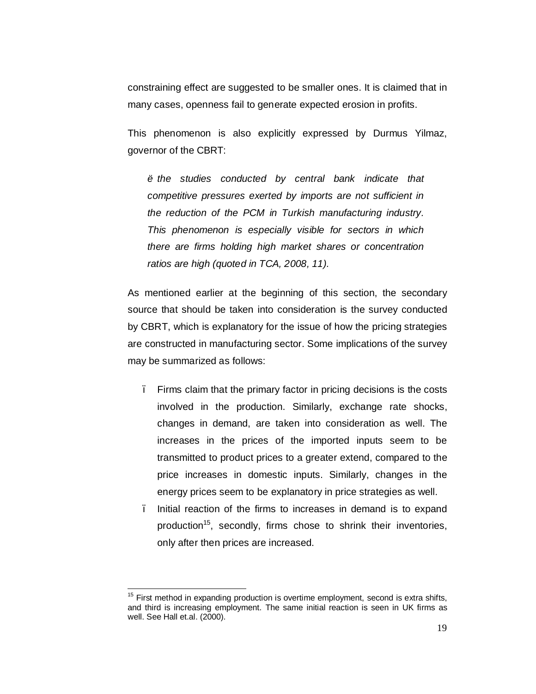constraining effect are suggested to be smaller ones. It is claimed that in many cases, openness fail to generate expected erosion in profits.

This phenomenon is also explicitly expressed by Durmus Yilmaz, governor of the CBRT:

 $\ddot{o}$  the studies conducted by central bank indicate that *competitive pressures exerted by imports are not sufficient in the reduction of the PCM in Turkish manufacturing industry. This phenomenon is especially visible for sectors in which there are firms holding high market shares or concentration ratios are high (quoted in TCA, 2008, 11).* 

As mentioned earlier at the beginning of this section, the secondary source that should be taken into consideration is the survey conducted by CBRT, which is explanatory for the issue of how the pricing strategies are constructed in manufacturing sector. Some implications of the survey may be summarized as follows:

- Firms claim that the primary factor in pricing decisions is the costs involved in the production. Similarly, exchange rate shocks, changes in demand, are taken into consideration as well. The increases in the prices of the imported inputs seem to be transmitted to product prices to a greater extend, compared to the price increases in domestic inputs. Similarly, changes in the energy prices seem to be explanatory in price strategies as well.
- Initial reaction of the firms to increases in demand is to expand production<sup>15</sup>, secondly, firms chose to shrink their inventories, only after then prices are increased.

 $15$  First method in expanding production is overtime employment, second is extra shifts, and third is increasing employment. The same initial reaction is seen in UK firms as well. See Hall et.al. (2000).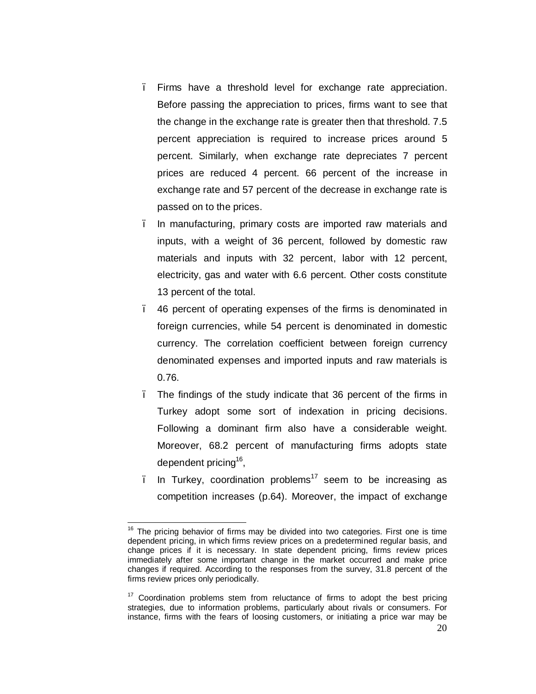- Firms have a threshold level for exchange rate appreciation. Before passing the appreciation to prices, firms want to see that the change in the exchange rate is greater then that threshold. 7.5 percent appreciation is required to increase prices around 5 percent. Similarly, when exchange rate depreciates 7 percent prices are reduced 4 percent. 66 percent of the increase in exchange rate and 57 percent of the decrease in exchange rate is passed on to the prices.
- In manufacturing, primary costs are imported raw materials and inputs, with a weight of 36 percent, followed by domestic raw materials and inputs with 32 percent, labor with 12 percent, electricity, gas and water with 6.6 percent. Other costs constitute 13 percent of the total.
- 46 percent of operating expenses of the firms is denominated in foreign currencies, while 54 percent is denominated in domestic currency. The correlation coefficient between foreign currency denominated expenses and imported inputs and raw materials is 0.76.
- The findings of the study indicate that 36 percent of the firms in Turkey adopt some sort of indexation in pricing decisions. Following a dominant firm also have a considerable weight. Moreover, 68.2 percent of manufacturing firms adopts state dependent pricing<sup>16</sup>,
- In Turkey, coordination problems<sup>17</sup> seem to be increasing as competition increases (p.64). Moreover, the impact of exchange

 $16$  The pricing behavior of firms may be divided into two categories. First one is time dependent pricing, in which firms review prices on a predetermined regular basis, and change prices if it is necessary. In state dependent pricing, firms review prices immediately after some important change in the market occurred and make price changes if required. According to the responses from the survey, 31.8 percent of the firms review prices only periodically.

 $17$  Coordination problems stem from reluctance of firms to adopt the best pricing strategies, due to information problems, particularly about rivals or consumers. For instance, firms with the fears of loosing customers, or initiating a price war may be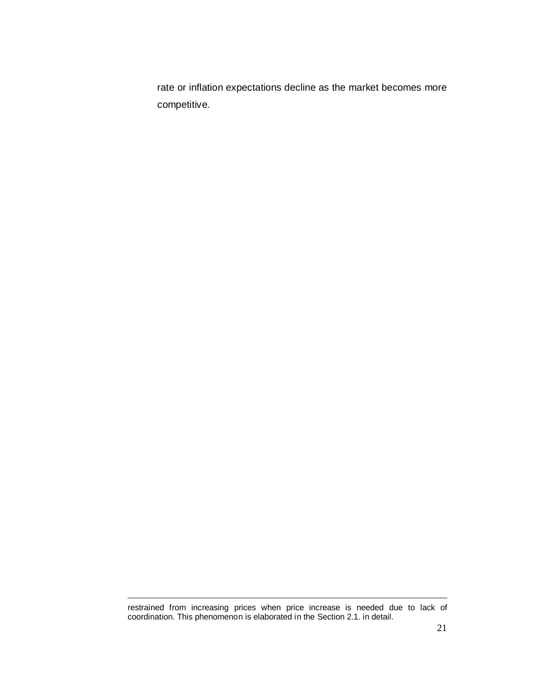rate or inflation expectations decline as the market becomes more competitive.

 $\overline{a}$ 

restrained from increasing prices when price increase is needed due to lack of coordination. This phenomenon is elaborated in the Section 2.1. in detail.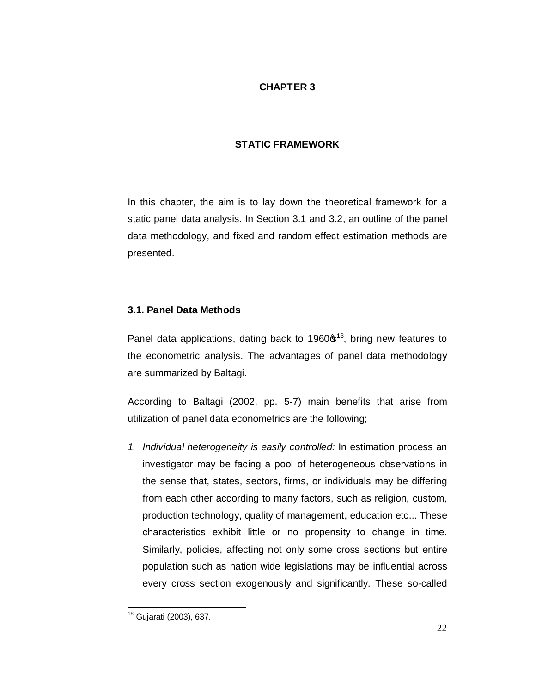# **CHAPTER 3**

# **STATIC FRAMEWORK**

In this chapter, the aim is to lay down the theoretical framework for a static panel data analysis. In Section 3.1 and 3.2, an outline of the panel data methodology, and fixed and random effect estimation methods are presented.

# **3.1. Panel Data Methods**

Panel data applications, dating back to 1960 $\mathfrak{s}^{18}$ , bring new features to the econometric analysis. The advantages of panel data methodology are summarized by Baltagi.

According to Baltagi (2002, pp. 5-7) main benefits that arise from utilization of panel data econometrics are the following;

*1. Individual heterogeneity is easily controlled:* In estimation process an investigator may be facing a pool of heterogeneous observations in the sense that, states, sectors, firms, or individuals may be differing from each other according to many factors, such as religion, custom, production technology, quality of management, education etc... These characteristics exhibit little or no propensity to change in time. Similarly, policies, affecting not only some cross sections but entire population such as nation wide legislations may be influential across every cross section exogenously and significantly. These so-called

18 Gujarati (2003), 637.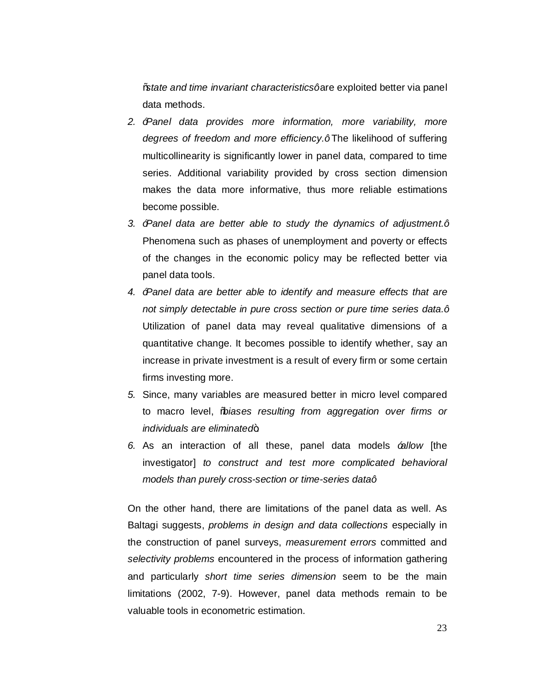"*state and time invariant characteristics"* are exploited better via panel data methods.

- *2. "Panel data provides more information, more variability, more*  degrees of freedom and more efficiency.<sup>+</sup>The likelihood of suffering multicollinearity is significantly lower in panel data, compared to time series. Additional variability provided by cross section dimension makes the data more informative, thus more reliable estimations become possible.
- *3. "Panel data are better able to study the dynamics of adjustment."* Phenomena such as phases of unemployment and poverty or effects of the changes in the economic policy may be reflected better via panel data tools.
- *4. "Panel data are better able to identify and measure effects that are not simply detectable in pure cross section or pure time series data."* Utilization of panel data may reveal qualitative dimensions of a quantitative change. It becomes possible to identify whether, say an increase in private investment is a result of every firm or some certain firms investing more.
- *5.* Since, many variables are measured better in micro level compared to macro level, "*biases resulting from aggregation over firms or individuals are eliminated*.
- *6.* As an interaction of all these, panel data models *"allow* [the investigator] *to construct and test more complicated behavioral models than purely cross-section or time-series data+*

On the other hand, there are limitations of the panel data as well. As Baltagi suggests, *problems in design and data collections* especially in the construction of panel surveys, *measurement errors* committed and *selectivity problems* encountered in the process of information gathering and particularly *short time series dimension* seem to be the main limitations (2002, 7-9). However, panel data methods remain to be valuable tools in econometric estimation.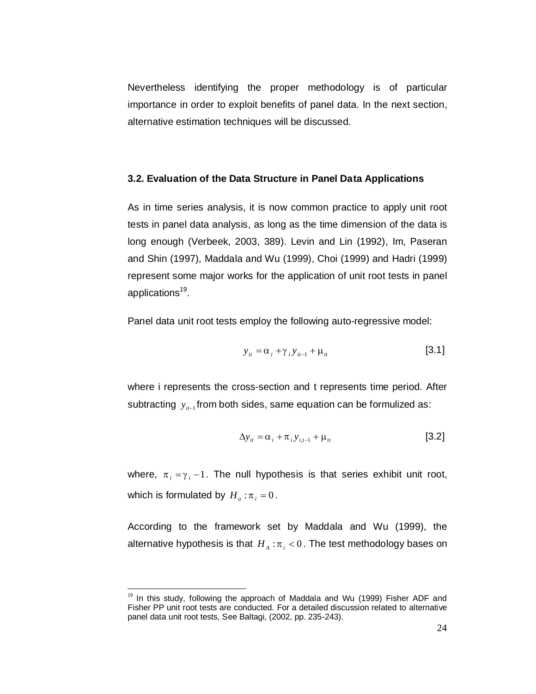Nevertheless identifying the proper methodology is of particular importance in order to exploit benefits of panel data. In the next section, alternative estimation techniques will be discussed.

### **3.2. Evaluation of the Data Structure in Panel Data Applications**

As in time series analysis, it is now common practice to apply unit root tests in panel data analysis, as long as the time dimension of the data is long enough (Verbeek, 2003, 389). Levin and Lin (1992), Im, Paseran and Shin (1997), Maddala and Wu (1999), Choi (1999) and Hadri (1999) represent some major works for the application of unit root tests in panel applications<sup>19</sup>.

Panel data unit root tests employ the following auto-regressive model:

$$
y_{it} = \alpha_i + \gamma_i y_{it-1} + \mu_{it} \tag{3.1}
$$

where i represents the cross-section and t represents time period. After subtracting  $y_{i_{t-1}}$  from both sides, same equation can be formulized as:

$$
\Delta y_{it} = \alpha_i + \pi_i y_{i,t-1} + \mu_{it} \tag{3.2}
$$

where,  $\pi_i = \gamma_i - 1$ . The null hypothesis is that series exhibit unit root, which is formulated by  $H_o : \pi_i = 0$ .

According to the framework set by Maddala and Wu (1999), the alternative hypothesis is that  $H_A: \pi_i < 0$ . The test methodology bases on

 $19$  In this study, following the approach of Maddala and Wu (1999) Fisher ADF and Fisher PP unit root tests are conducted. For a detailed discussion related to alternative panel data unit root tests, See Baltagi, (2002, pp. 235-243).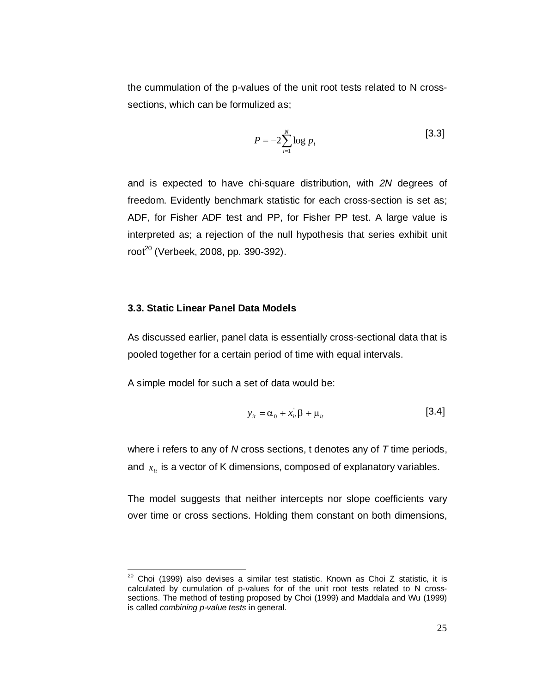the cummulation of the p-values of the unit root tests related to N crosssections, which can be formulized as;

$$
P = -2\sum_{i=1}^{N} \log p_i
$$
 [3.3]

and is expected to have chi-square distribution, with *2N* degrees of freedom. Evidently benchmark statistic for each cross-section is set as; ADF, for Fisher ADF test and PP, for Fisher PP test. A large value is interpreted as; a rejection of the null hypothesis that series exhibit unit  $root^{20}$  (Verbeek, 2008, pp. 390-392).

#### **3.3. Static Linear Panel Data Models**

As discussed earlier, panel data is essentially cross-sectional data that is pooled together for a certain period of time with equal intervals.

A simple model for such a set of data would be:

$$
y_{it} = \alpha_0 + x_{it} \beta + \mu_{it} \tag{3.4}
$$

where i refers to any of *N* cross sections, t denotes any of *T* time periods, and  $x_i$  is a vector of K dimensions, composed of explanatory variables.

The model suggests that neither intercepts nor slope coefficients vary over time or cross sections. Holding them constant on both dimensions,

 $20$  Choi (1999) also devises a similar test statistic. Known as Choi Z statistic, it is calculated by cumulation of p-values for of the unit root tests related to N crosssections. The method of testing proposed by Choi (1999) and Maddala and Wu (1999) is called *combining p-value tests* in general.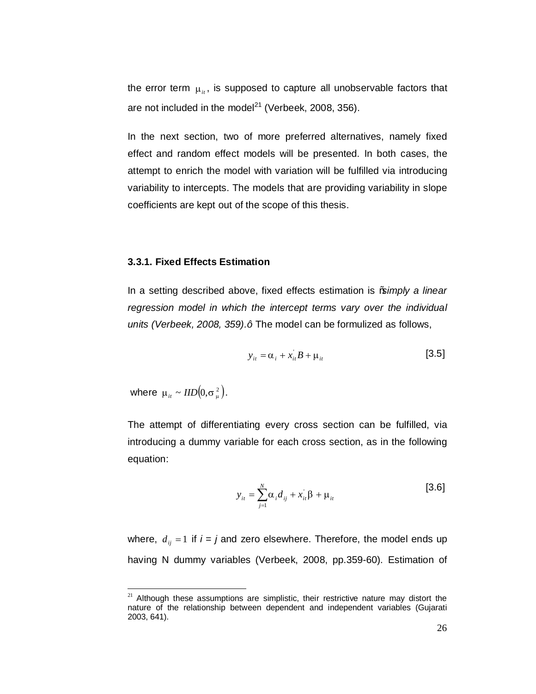the error term  $\mu_{i}$ , is supposed to capture all unobservable factors that are not included in the model $^{21}$  (Verbeek, 2008, 356).

In the next section, two of more preferred alternatives, namely fixed effect and random effect models will be presented. In both cases, the attempt to enrich the model with variation will be fulfilled via introducing variability to intercepts. The models that are providing variability in slope coefficients are kept out of the scope of this thesis.

## **3.3.1. Fixed Effects Estimation**

In a setting described above, fixed effects estimation is "*simply a linear regression model in which the intercept terms vary over the individual units (Verbeek, 2008, 359).* + The model can be formulized as follows,

$$
y_{it} = \alpha_i + x_{it} B + \mu_{it} \tag{3.5}
$$

where  $\mu_{it} \sim \text{IID}\left( 0, \sigma_{\mu}^{2} \right)$ .

The attempt of differentiating every cross section can be fulfilled, via introducing a dummy variable for each cross section, as in the following equation:

$$
y_{it} = \sum_{j=1}^{N} \alpha_i d_{ij} + x_{it} \beta + \mu_{it}
$$
 [3.6]

where,  $d_{ij} = 1$  if  $i = j$  and zero elsewhere. Therefore, the model ends up having N dummy variables (Verbeek, 2008, pp.359-60). Estimation of

 $21$  Although these assumptions are simplistic, their restrictive nature may distort the nature of the relationship between dependent and independent variables (Gujarati 2003, 641).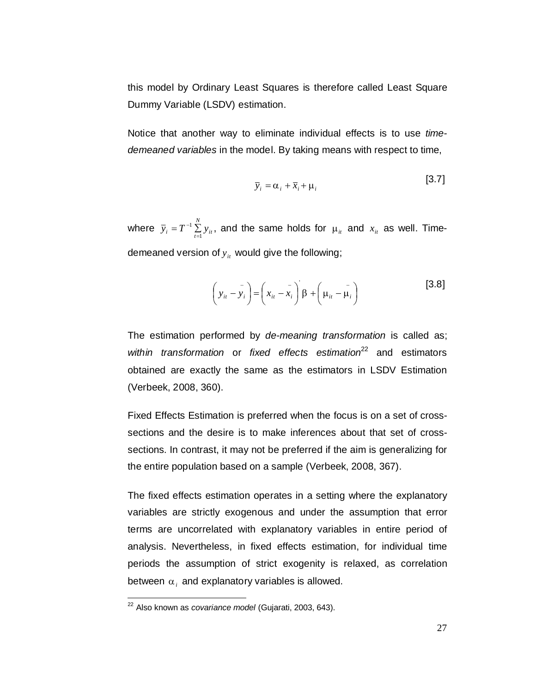this model by Ordinary Least Squares is therefore called Least Square Dummy Variable (LSDV) estimation.

Notice that another way to eliminate individual effects is to use *timedemeaned variables* in the model. By taking means with respect to time,

$$
\overline{y}_i = \alpha_i + \overline{x}_i + \mu_i
$$
 [3.7]

where  $\overline{y}_i = T^{-1} \sum_{t=1}^N y_{it}$ 1  $=T^{-1}\sum\limits_{t=1}^T y_{it}$ , and the same holds for  $\mu_{it}$  and  $x_{it}$  as well. Timedemeaned version of  $y_i$ , would give the following;

$$
\left(y_{it} - \bar{y}_i\right) = \left(x_{it} - \bar{x}_i\right)\beta + \left(\mu_{it} - \bar{\mu}_i\right)
$$
\n
$$
\tag{3.8}
$$

The estimation performed by *de-meaning transformation* is called as; within transformation or fixed effects estimation<sup>22</sup> and estimators obtained are exactly the same as the estimators in LSDV Estimation (Verbeek, 2008, 360).

Fixed Effects Estimation is preferred when the focus is on a set of crosssections and the desire is to make inferences about that set of crosssections. In contrast, it may not be preferred if the aim is generalizing for the entire population based on a sample (Verbeek, 2008, 367).

The fixed effects estimation operates in a setting where the explanatory variables are strictly exogenous and under the assumption that error terms are uncorrelated with explanatory variables in entire period of analysis. Nevertheless, in fixed effects estimation, for individual time periods the assumption of strict exogenity is relaxed, as correlation between  $\alpha_i$  and explanatory variables is allowed.

22 Also known as *covariance model* (Gujarati, 2003, 643).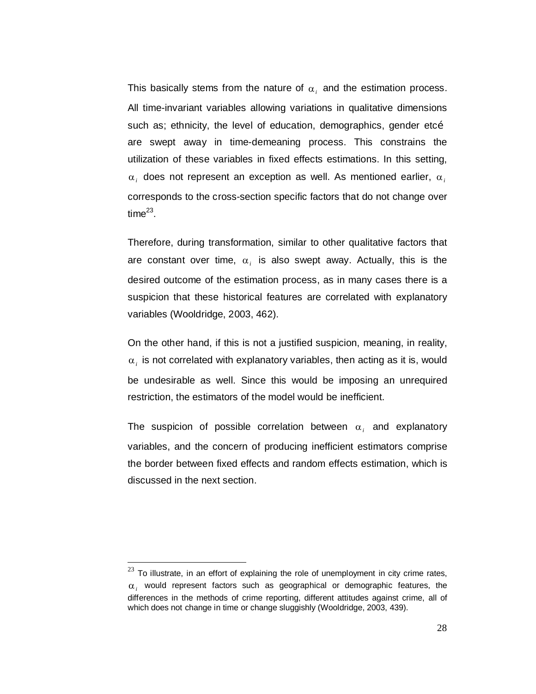This basically stems from the nature of  $\alpha_i$  and the estimation process. All time-invariant variables allowing variations in qualitative dimensions such as; ethnicity, the level of education, demographics, gender etcõ are swept away in time-demeaning process. This constrains the utilization of these variables in fixed effects estimations. In this setting,  $\alpha_i$  does not represent an exception as well. As mentioned earlier,  $\alpha_i$ corresponds to the cross-section specific factors that do not change over time $^{23}$ .

Therefore, during transformation, similar to other qualitative factors that are constant over time,  $\alpha_i$  is also swept away. Actually, this is the desired outcome of the estimation process, as in many cases there is a suspicion that these historical features are correlated with explanatory variables (Wooldridge, 2003, 462).

On the other hand, if this is not a justified suspicion, meaning, in reality,  $\alpha_i$  is not correlated with explanatory variables, then acting as it is, would be undesirable as well. Since this would be imposing an unrequired restriction, the estimators of the model would be inefficient.

The suspicion of possible correlation between  $\alpha_i$  and explanatory variables, and the concern of producing inefficient estimators comprise the border between fixed effects and random effects estimation, which is discussed in the next section.

 $23$  To illustrate, in an effort of explaining the role of unemployment in city crime rates,  $\alpha_i$  would represent factors such as geographical or demographic features, the differences in the methods of crime reporting, different attitudes against crime, all of which does not change in time or change sluggishly (Wooldridge, 2003, 439).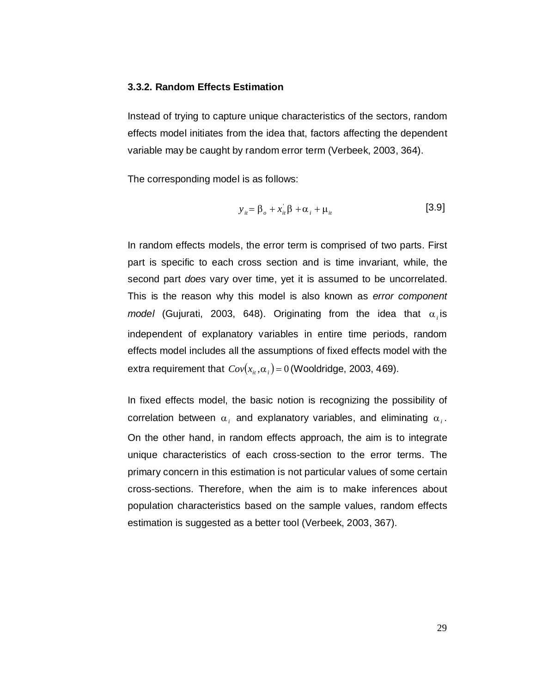### **3.3.2. Random Effects Estimation**

Instead of trying to capture unique characteristics of the sectors, random effects model initiates from the idea that, factors affecting the dependent variable may be caught by random error term (Verbeek, 2003, 364).

The corresponding model is as follows:

$$
y_{ii} = \beta_o + x_{ii} \beta + \alpha_i + \mu_{ii}
$$
 [3.9]

In random effects models, the error term is comprised of two parts. First part is specific to each cross section and is time invariant, while, the second part *does* vary over time, yet it is assumed to be uncorrelated. This is the reason why this model is also known as *error component model* (Gujurati, 2003, 648). Originating from the idea that  $\alpha_i$  is independent of explanatory variables in entire time periods, random effects model includes all the assumptions of fixed effects model with the extra requirement that  $Cov(x_i, \alpha_i) = 0$  *(Wooldridge, 2003, 469).* 

In fixed effects model, the basic notion is recognizing the possibility of correlation between  $\alpha_i$  and explanatory variables, and eliminating  $\alpha_i$ . On the other hand, in random effects approach, the aim is to integrate unique characteristics of each cross-section to the error terms. The primary concern in this estimation is not particular values of some certain cross-sections. Therefore, when the aim is to make inferences about population characteristics based on the sample values, random effects estimation is suggested as a better tool (Verbeek, 2003, 367).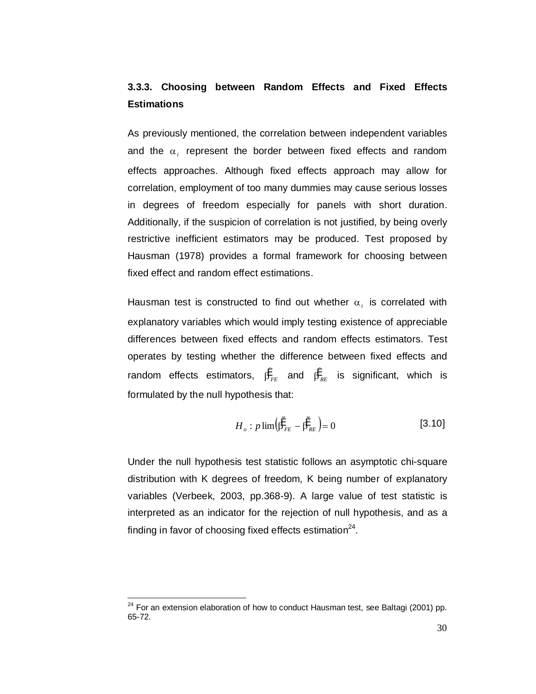# **3.3.3. Choosing between Random Effects and Fixed Effects Estimations**

As previously mentioned, the correlation between independent variables and the  $\alpha_i$  represent the border between fixed effects and random effects approaches. Although fixed effects approach may allow for correlation, employment of too many dummies may cause serious losses in degrees of freedom especially for panels with short duration. Additionally, if the suspicion of correlation is not justified, by being overly restrictive inefficient estimators may be produced. Test proposed by Hausman (1978) provides a formal framework for choosing between fixed effect and random effect estimations.

Hausman test is constructed to find out whether  $\alpha_i$  is correlated with explanatory variables which would imply testing existence of appreciable differences between fixed effects and random effects estimators. Test operates by testing whether the difference between fixed effects and random effects estimators,  $\beta_{FE}^*$  and  $\beta_{RE}^*$  is significant, which is formulated by the null hypothesis that:

$$
H_o: p \lim \left(\hat{\beta}_{FE}^* - \hat{\beta}_{RE}^* \right) = 0 \tag{3.10}
$$

Under the null hypothesis test statistic follows an asymptotic chi-square distribution with K degrees of freedom, K being number of explanatory variables (Verbeek, 2003, pp.368-9). A large value of test statistic is interpreted as an indicator for the rejection of null hypothesis, and as a finding in favor of choosing fixed effects estimation $^{24}$ .

 $24$  For an extension elaboration of how to conduct Hausman test, see Baltagi (2001) pp. 65-72.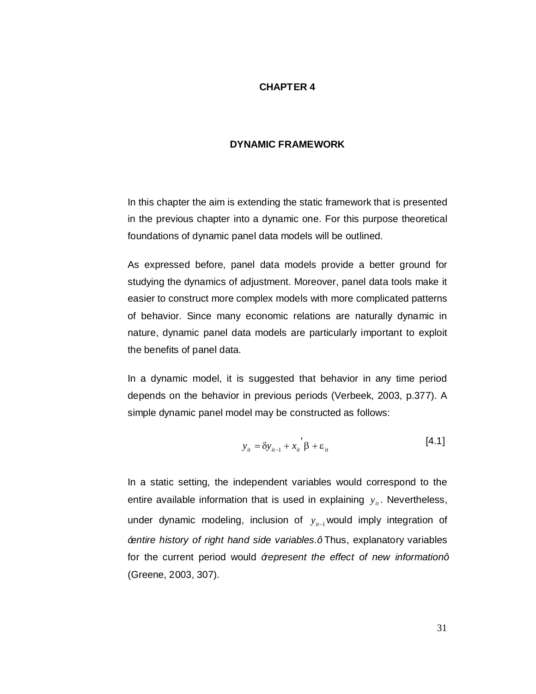## **CHAPTER 4**

#### **DYNAMIC FRAMEWORK**

In this chapter the aim is extending the static framework that is presented in the previous chapter into a dynamic one. For this purpose theoretical foundations of dynamic panel data models will be outlined.

As expressed before, panel data models provide a better ground for studying the dynamics of adjustment. Moreover, panel data tools make it easier to construct more complex models with more complicated patterns of behavior. Since many economic relations are naturally dynamic in nature, dynamic panel data models are particularly important to exploit the benefits of panel data.

In a dynamic model, it is suggested that behavior in any time period depends on the behavior in previous periods (Verbeek, 2003, p.377). A simple dynamic panel model may be constructed as follows:

$$
y_{it} = \delta y_{it-1} + x_{it}^{\prime} \beta + \varepsilon_{it}
$$
 [4.1]

In a static setting, the independent variables would correspond to the entire available information that is used in explaining  $y_{it}$ . Nevertheless, under dynamic modeling, inclusion of  $y_{ii-1}$  would imply integration of *"entire history of right hand side variables."* Thus, explanatory variables for the current period would *%epresent the effect of new information+* (Greene, 2003, 307).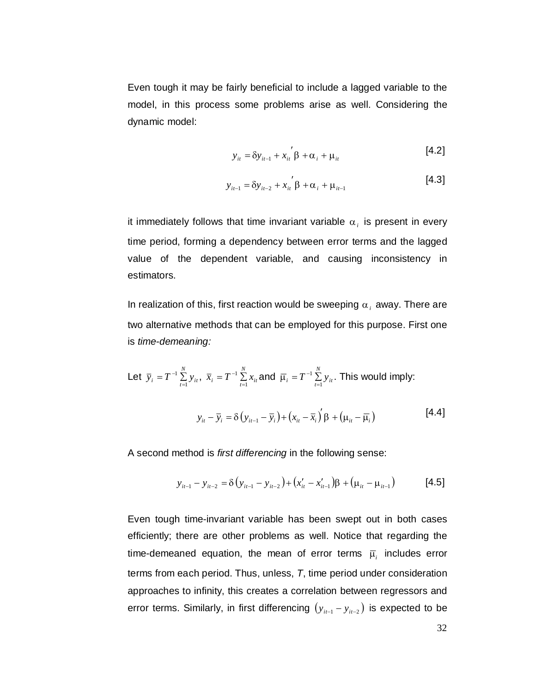Even tough it may be fairly beneficial to include a lagged variable to the model, in this process some problems arise as well. Considering the dynamic model:

$$
y_{ii} = \delta y_{i-1} + x_{ii}^{\prime} \beta + \alpha_i + \mu_{ii}
$$
 [4.2]

$$
y_{i t-1} = \delta y_{i t-2} + x_{i t} \beta + \alpha_{i} + \mu_{i t-1}
$$
 [4.3]

it immediately follows that time invariant variable  $\alpha_i$  is present in every time period, forming a dependency between error terms and the lagged value of the dependent variable, and causing inconsistency in estimators.

In realization of this, first reaction would be sweeping  $\alpha_i$  away. There are two alternative methods that can be employed for this purpose. First one is *time-demeaning:*

Let 
$$
\overline{y}_i = T^{-1} \sum_{t=1}^{N} y_{it}
$$
,  $\overline{x}_i = T^{-1} \sum_{t=1}^{N} x_{it}$  and  $\overline{\mu}_i = T^{-1} \sum_{t=1}^{N} y_{it}$ . This would imply:  

$$
y_{it} - \overline{y}_i = \delta (y_{it-1} - \overline{y}_i) + (x_{it} - \overline{x}_i)' \beta + (\mu_{it} - \overline{\mu}_i)
$$
 [4.4]

A second method is *first differencing* in the following sense:

$$
y_{it-1} - y_{it-2} = \delta(y_{it-1} - y_{it-2}) + (x'_{it} - x'_{it-1})\beta + (\mu_{it} - \mu_{it-1})
$$
 [4.5]

Even tough time-invariant variable has been swept out in both cases efficiently; there are other problems as well. Notice that regarding the time-demeaned equation, the mean of error terms  $\overline{\mu}$  includes error terms from each period. Thus, unless, *T*, time period under consideration approaches to infinity, this creates a correlation between regressors and error terms. Similarly, in first differencing  $(y_{i t-1} - y_{i t-2})$  is expected to be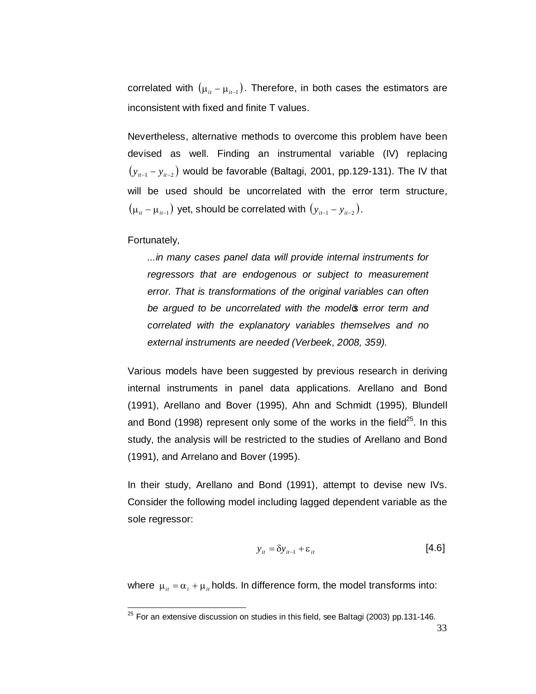correlated with  $(\mu_{i} - \mu_{i}$ . Therefore, in both cases the estimators are inconsistent with fixed and finite T values.

Nevertheless, alternative methods to overcome this problem have been devised as well. Finding an instrumental variable (IV) replacing  $(y_{i_{t-1}} - y_{i_{t-2}})$  would be favorable (Baltagi, 2001, pp.129-131). The IV that will be used should be uncorrelated with the error term structure,  $(\mu_{it} - \mu_{it-1})$  yet, should be correlated with  $(y_{it-1} - y_{it-2})$ .

### Fortunately,

*...in many cases panel data will provide internal instruments for regressors that are endogenous or subject to measurement error. That is transformations of the original variables can often be argued to be uncorrelated with the model's error term and correlated with the explanatory variables themselves and no external instruments are needed (Verbeek, 2008, 359).*

Various models have been suggested by previous research in deriving internal instruments in panel data applications. Arellano and Bond (1991), Arellano and Bover (1995), Ahn and Schmidt (1995), Blundell and Bond (1998) represent only some of the works in the field<sup>25</sup>. In this study, the analysis will be restricted to the studies of Arellano and Bond (1991), and Arrelano and Bover (1995).

In their study, Arellano and Bond (1991), attempt to devise new IVs. Consider the following model including lagged dependent variable as the sole regressor:

$$
y_{it} = \delta y_{it-1} + \varepsilon_{it} \tag{4.6}
$$

where  $\mu_{it} = \alpha_i + \mu_{it}$  holds. In difference form, the model transforms into:

 $25$  For an extensive discussion on studies in this field, see Baltagi (2003) pp.131-146.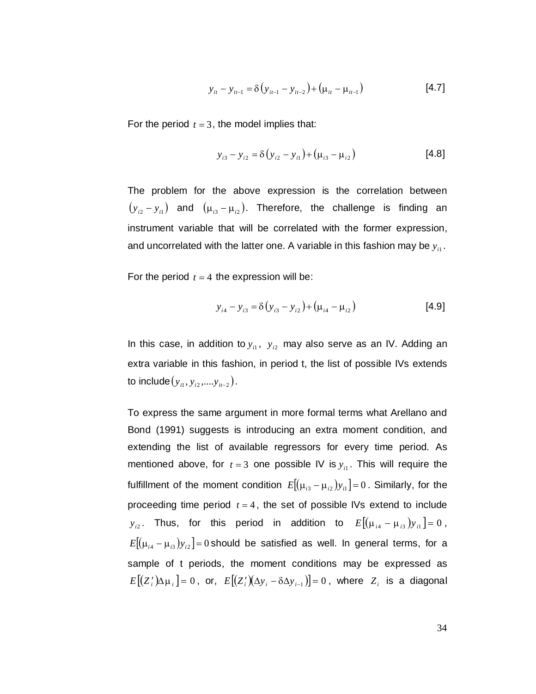$$
y_{it} - y_{it-1} = \delta(y_{it-1} - y_{it-2}) + (\mu_{it} - \mu_{it-1})
$$
 [4.7]

For the period  $t = 3$ , the model implies that:

$$
y_{i3} - y_{i2} = \delta (y_{i2} - y_{i1}) + (\mu_{i3} - \mu_{i2})
$$
 [4.8]

The problem for the above expression is the correlation between  $(y_{i2} - y_{i1})$  and  $(\mu_{i3} - \mu_{i2})$ . Therefore, the challenge is finding an instrument variable that will be correlated with the former expression, and uncorrelated with the latter one. A variable in this fashion may be  $y_{i1}$ .

For the period  $t = 4$  the expression will be:

$$
y_{i4} - y_{i3} = \delta (y_{i3} - y_{i2}) + (\mu_{i4} - \mu_{i2})
$$
 [4.9]

In this case, in addition to  $y_{i1}$ ,  $y_{i2}$  may also serve as an IV. Adding an extra variable in this fashion, in period t, the list of possible IVs extends to include  $(y_{i_1}, y_{i_2}, \ldots, y_{i_{t-2}})$ .

To express the same argument in more formal terms what Arellano and Bond (1991) suggests is introducing an extra moment condition, and extending the list of available regressors for every time period. As mentioned above, for  $t = 3$  one possible IV is  $y_{it}$ . This will require the fulfillment of the moment condition  $E[( \mu_{i3} - \mu_{i2}) y_{i1} ] = 0$ . Similarly, for the proceeding time period  $t = 4$ , the set of possible IVs extend to include *y*<sub>2</sub>. Thus, for this period in addition to  $E[(\mu_{i4} - \mu_{i3})y_{i1}] = 0$ ,  $E[(\mu_{i4} - \mu_{i3})y_{i2}] = 0$  should be satisfied as well. In general terms, for a sample of t periods, the moment conditions may be expressed as  $E[(Z_i')\Delta\mu_i] = 0$ , or,  $E[(Z_i')(\Delta y_i - \delta \Delta y_{i-1})] = 0$ , where  $Z_i$  is a diagonal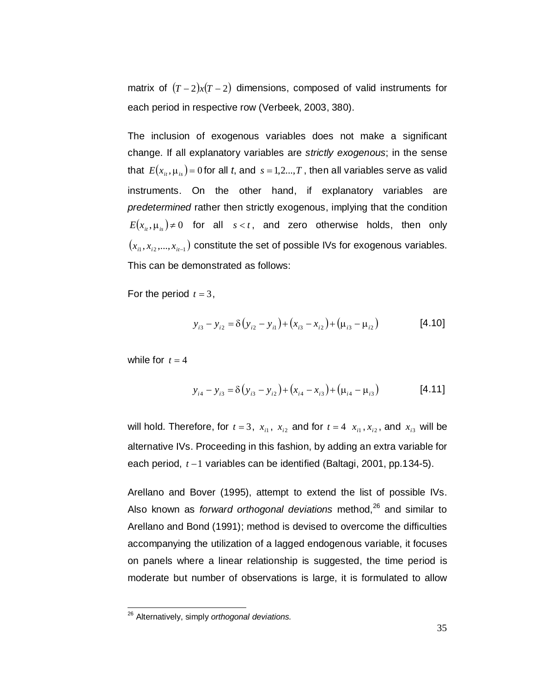matrix of  $(T-2)x(T-2)$  dimensions, composed of valid instruments for each period in respective row (Verbeek, 2003, 380).

The inclusion of exogenous variables does not make a significant change. If all explanatory variables are *strictly exogenous*; in the sense that  $E(x_i, \mu_i) = 0$  for all *t*, and  $s = 1, 2, ..., T$ , then all variables serve as valid instruments. On the other hand, if explanatory variables are *predetermined* rather then strictly exogenous, implying that the condition  $E(x_{i_t}, \mu_{i_s}) \neq 0$  for all  $s < t$ , and zero otherwise holds, then only  $(x_{i_1}, x_{i_2},..., x_{i_{t-1}})$  constitute the set of possible IVs for exogenous variables. This can be demonstrated as follows:

For the period  $t = 3$ ,

$$
y_{i3} - y_{i2} = \delta(y_{i2} - y_{i1}) + (x_{i3} - x_{i2}) + (\mu_{i3} - \mu_{i2})
$$
 [4.10]

while for  $t = 4$ 

$$
y_{i4} - y_{i3} = \delta(y_{i3} - y_{i2}) + (x_{i4} - x_{i3}) + (\mu_{i4} - \mu_{i3})
$$
 [4.11]

will hold. Therefore, for  $t = 3$ ,  $x_{i1}$ ,  $x_{i2}$  and for  $t = 4$ ,  $x_{i1}$ ,  $x_{i2}$ , and  $x_{i3}$  will be alternative IVs. Proceeding in this fashion, by adding an extra variable for each period,  $t - 1$  variables can be identified (Baltagi, 2001, pp.134-5).

Arellano and Bover (1995), attempt to extend the list of possible IVs. Also known as *forward orthogonal deviations* method,<sup>26</sup> and similar to Arellano and Bond (1991); method is devised to overcome the difficulties accompanying the utilization of a lagged endogenous variable, it focuses on panels where a linear relationship is suggested, the time period is moderate but number of observations is large, it is formulated to allow

<sup>26</sup> Alternatively, simply *orthogonal deviations.*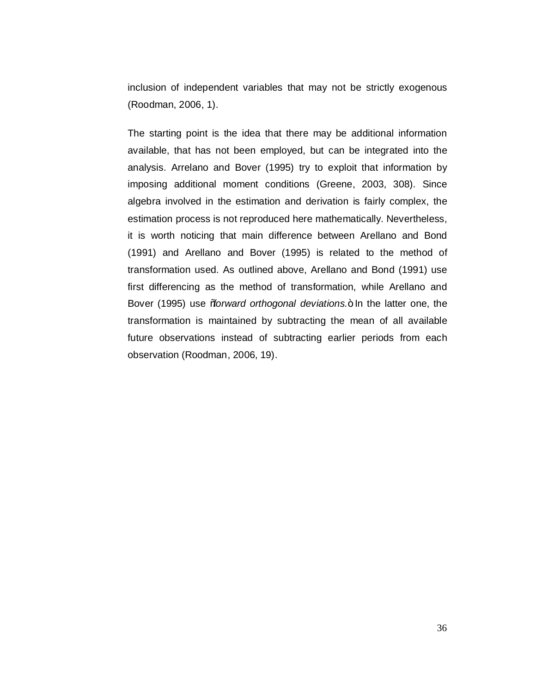inclusion of independent variables that may not be strictly exogenous (Roodman, 2006, 1).

The starting point is the idea that there may be additional information available, that has not been employed, but can be integrated into the analysis. Arrelano and Bover (1995) try to exploit that information by imposing additional moment conditions (Greene, 2003, 308). Since algebra involved in the estimation and derivation is fairly complex, the estimation process is not reproduced here mathematically. Nevertheless, it is worth noticing that main difference between Arellano and Bond (1991) and Arellano and Bover (1995) is related to the method of transformation used. As outlined above, Arellano and Bond (1991) use first differencing as the method of transformation, while Arellano and Bover (1995) use *% forward orthogonal deviations*.+ In the latter one, the transformation is maintained by subtracting the mean of all available future observations instead of subtracting earlier periods from each observation (Roodman, 2006, 19).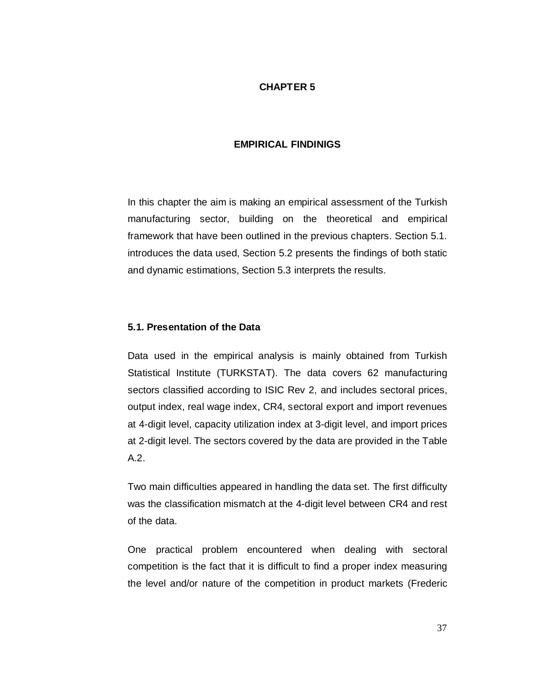## **CHAPTER 5**

## **EMPIRICAL FINDINIGS**

In this chapter the aim is making an empirical assessment of the Turkish manufacturing sector, building on the theoretical and empirical framework that have been outlined in the previous chapters. Section 5.1. introduces the data used, Section 5.2 presents the findings of both static and dynamic estimations, Section 5.3 interprets the results.

### **5.1. Presentation of the Data**

Data used in the empirical analysis is mainly obtained from Turkish Statistical Institute (TURKSTAT). The data covers 62 manufacturing sectors classified according to ISIC Rev 2, and includes sectoral prices, output index, real wage index, CR4, sectoral export and import revenues at 4-digit level, capacity utilization index at 3-digit level, and import prices at 2-digit level. The sectors covered by the data are provided in the Table A.2.

Two main difficulties appeared in handling the data set. The first difficulty was the classification mismatch at the 4-digit level between CR4 and rest of the data.

One practical problem encountered when dealing with sectoral competition is the fact that it is difficult to find a proper index measuring the level and/or nature of the competition in product markets (Frederic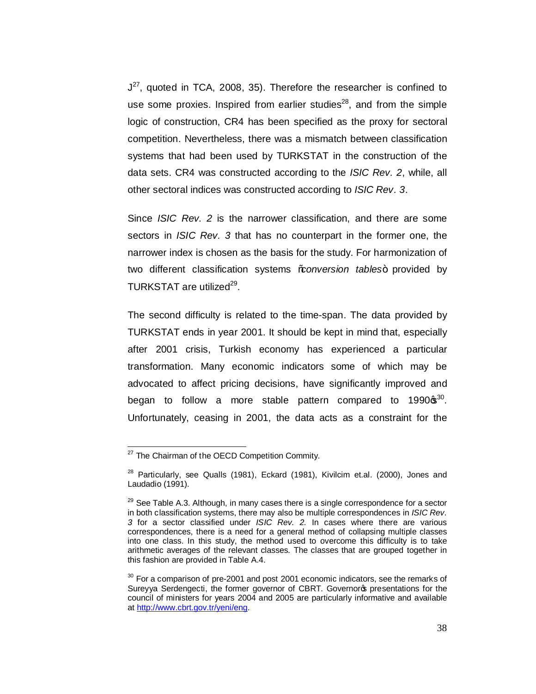$J^{27}$ , quoted in TCA, 2008, 35). Therefore the researcher is confined to use some proxies. Inspired from earlier studies<sup>28</sup>, and from the simple logic of construction, CR4 has been specified as the proxy for sectoral competition. Nevertheless, there was a mismatch between classification systems that had been used by TURKSTAT in the construction of the data sets. CR4 was constructed according to the *ISIC Rev. 2*, while, all other sectoral indices was constructed according to *ISIC Rev. 3*.

Since *ISIC Rev. 2* is the narrower classification, and there are some sectors in *ISIC Rev. 3* that has no counterpart in the former one, the narrower index is chosen as the basis for the study. For harmonization of two different classification systems *%conversion tables*+ provided by TURKSTAT are utilized<sup>29</sup>.

The second difficulty is related to the time-span. The data provided by TURKSTAT ends in year 2001. It should be kept in mind that, especially after 2001 crisis, Turkish economy has experienced a particular transformation. Many economic indicators some of which may be advocated to affect pricing decisions, have significantly improved and began to follow a more stable pattern compared to  $1990\,\mathrm{s}^{30}$ . Unfortunately, ceasing in 2001, the data acts as a constraint for the

<sup>&</sup>lt;sup>27</sup> The Chairman of the OECD Competition Commity.

<sup>&</sup>lt;sup>28</sup> Particularly, see Qualls (1981), Eckard (1981), Kivilcim et.al. (2000), Jones and Laudadio (1991).

 $29$  See Table A.3. Although, in many cases there is a single correspondence for a sector in both classification systems, there may also be multiple correspondences in *ISIC Rev. 3* for a sector classified under *ISIC Rev. 2.* In cases where there are various correspondences, there is a need for a general method of collapsing multiple classes into one class. In this study, the method used to overcome this difficulty is to take arithmetic averages of the relevant classes. The classes that are grouped together in this fashion are provided in Table A.4.

 $30$  For a comparison of pre-2001 and post 2001 economic indicators, see the remarks of Sureyya Serdengecti, the former governor of CBRT. Governoros presentations for the council of ministers for years 2004 and 2005 are particularly informative and available at http://www.cbrt.gov.tr/yeni/eng.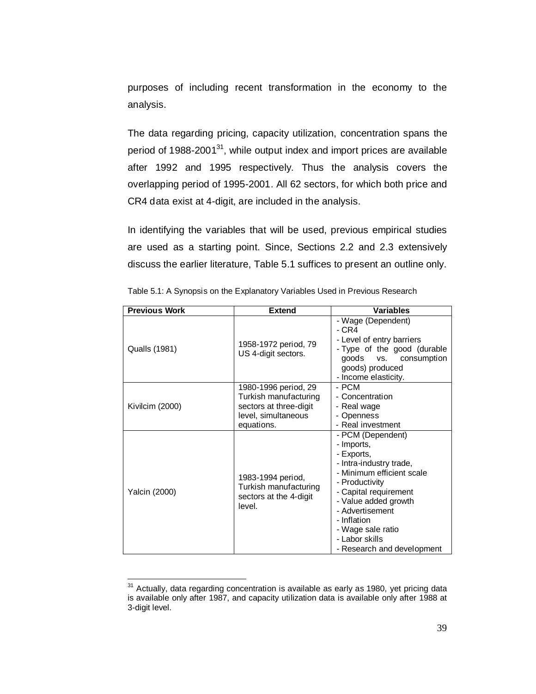purposes of including recent transformation in the economy to the analysis.

The data regarding pricing, capacity utilization, concentration spans the period of  $1988-2001^{31}$ , while output index and import prices are available after 1992 and 1995 respectively. Thus the analysis covers the overlapping period of 1995-2001. All 62 sectors, for which both price and CR4 data exist at 4-digit, are included in the analysis.

In identifying the variables that will be used, previous empirical studies are used as a starting point. Since, Sections 2.2 and 2.3 extensively discuss the earlier literature, Table 5.1 suffices to present an outline only.

| <b>Previous Work</b> | <b>Extend</b>                                                                                                | <b>Variables</b>                                                                                                                                                                                                                                                                |
|----------------------|--------------------------------------------------------------------------------------------------------------|---------------------------------------------------------------------------------------------------------------------------------------------------------------------------------------------------------------------------------------------------------------------------------|
| Qualls (1981)        | 1958-1972 period, 79<br>US 4-digit sectors.                                                                  | - Wage (Dependent)<br>- CR4<br>- Level of entry barriers<br>- Type of the good (durable<br>goods vs.<br>consumption<br>goods) produced<br>- Income elasticity.                                                                                                                  |
| Kivilcim (2000)      | 1980-1996 period, 29<br>Turkish manufacturing<br>sectors at three-digit<br>level, simultaneous<br>equations. | - PCM<br>- Concentration<br>- Real wage<br>- Openness<br>- Real investment                                                                                                                                                                                                      |
| <b>Yalcin (2000)</b> | 1983-1994 period,<br>Turkish manufacturing<br>sectors at the 4-digit<br>level.                               | - PCM (Dependent)<br>- Imports,<br>- Exports,<br>- Intra-industry trade,<br>- Minimum efficient scale<br>- Productivity<br>- Capital requirement<br>- Value added growth<br>- Advertisement<br>- Inflation<br>- Wage sale ratio<br>- Labor skills<br>- Research and development |

Table 5.1: A Synopsis on the Explanatory Variables Used in Previous Research

 $31$  Actually, data regarding concentration is available as early as 1980, yet pricing data is available only after 1987, and capacity utilization data is available only after 1988 at 3-digit level.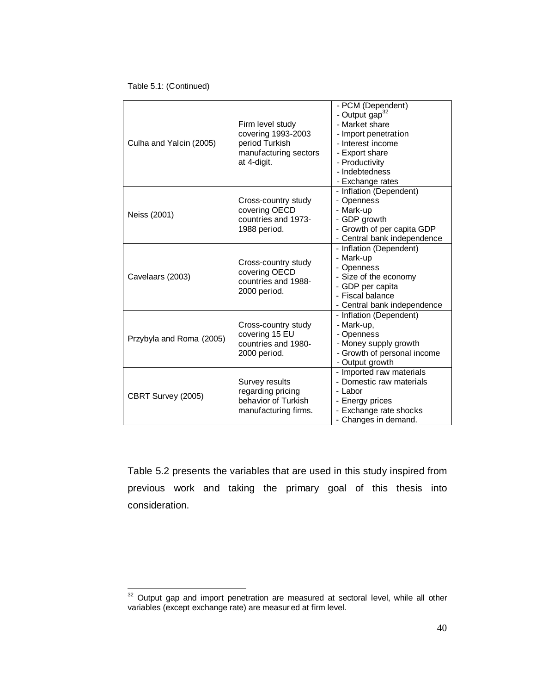#### Table 5.1: (Continued)

| Culha and Yalcin (2005)  | Firm level study<br>covering 1993-2003<br>period Turkish<br>manufacturing sectors<br>at 4-digit. | - PCM (Dependent)<br>- Output gap <sup>32</sup><br>- Market share<br>- Import penetration<br>- Interest income<br>- Export share<br>- Productivity<br>- Indebtedness<br>- Exchange rates |
|--------------------------|--------------------------------------------------------------------------------------------------|------------------------------------------------------------------------------------------------------------------------------------------------------------------------------------------|
| Neiss (2001)             | Cross-country study<br>covering OECD<br>countries and 1973-<br>1988 period.                      | - Inflation (Dependent)<br>- Openness<br>- Mark-up<br>- GDP growth<br>- Growth of per capita GDP<br>- Central bank independence                                                          |
| Cavelaars (2003)         | Cross-country study<br>covering OECD<br>countries and 1988-<br>2000 period.                      | - Inflation (Dependent)<br>- Mark-up<br>- Openness<br>- Size of the economy<br>- GDP per capita<br>- Fiscal balance<br>- Central bank independence                                       |
| Przybyla and Roma (2005) | Cross-country study<br>covering 15 EU<br>countries and 1980-<br>2000 period.                     | - Inflation (Dependent)<br>- Mark-up,<br>- Openness<br>- Money supply growth<br>- Growth of personal income<br>- Output growth                                                           |
| CBRT Survey (2005)       | Survey results<br>regarding pricing<br>behavior of Turkish<br>manufacturing firms.               | - Imported raw materials<br>- Domestic raw materials<br>- Labor<br>- Energy prices<br>- Exchange rate shocks<br>- Changes in demand.                                                     |

Table 5.2 presents the variables that are used in this study inspired from previous work and taking the primary goal of this thesis into consideration.

 $32$  Output gap and import penetration are measured at sectoral level, while all other variables (except exchange rate) are measur ed at firm level.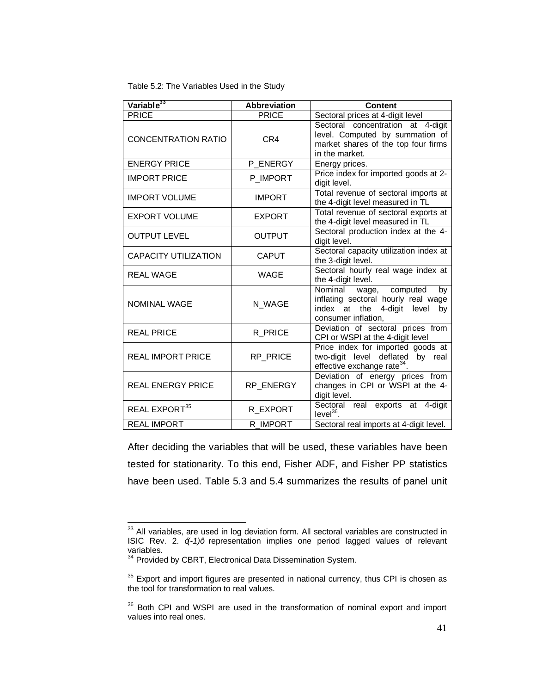Table 5.2: The Variables Used in the Study

| Variable <sup>33</sup>      | <b>Abbreviation</b> | <b>Content</b>                                                                                                                    |
|-----------------------------|---------------------|-----------------------------------------------------------------------------------------------------------------------------------|
| <b>PRICE</b>                | <b>PRICE</b>        | Sectoral prices at 4-digit level                                                                                                  |
| <b>CONCENTRATION RATIO</b>  | CR4                 | Sectoral concentration at 4-digit<br>level. Computed by summation of<br>market shares of the top four firms<br>in the market.     |
| <b>ENERGY PRICE</b>         | P ENERGY            | Energy prices.                                                                                                                    |
| <b>IMPORT PRICE</b>         | P_IMPORT            | Price index for imported goods at 2-<br>digit level.                                                                              |
| <b>IMPORT VOLUME</b>        | <b>IMPORT</b>       | Total revenue of sectoral imports at<br>the 4-digit level measured in TL                                                          |
| <b>EXPORT VOLUME</b>        | <b>EXPORT</b>       | Total revenue of sectoral exports at<br>the 4-digit level measured in TL                                                          |
| <b>OUTPUT LEVEL</b>         | <b>OUTPUT</b>       | Sectoral production index at the 4-<br>digit level.                                                                               |
| <b>CAPACITY UTILIZATION</b> | <b>CAPUT</b>        | Sectoral capacity utilization index at<br>the 3-digit level.                                                                      |
| <b>REAL WAGE</b>            | <b>WAGE</b>         | Sectoral hourly real wage index at<br>the 4-digit level.                                                                          |
| <b>NOMINAL WAGE</b>         | N_WAGE              | Nominal<br>wage, computed<br>by<br>inflating sectoral hourly real wage<br>index at the 4-digit level<br>by<br>consumer inflation, |
| <b>REAL PRICE</b>           | R_PRICE             | Deviation of sectoral prices from<br>CPI or WSPI at the 4-digit level                                                             |
| <b>REAL IMPORT PRICE</b>    | RP_PRICE            | Price index for imported goods at<br>two-digit level deflated by real<br>effective exchange rate <sup>34</sup> .                  |
| <b>REAL ENERGY PRICE</b>    | RP_ENERGY           | Deviation of energy prices from<br>changes in CPI or WSPI at the 4-<br>digit level.                                               |
| REAL EXPORT <sup>35</sup>   | R EXPORT            | Sectoral<br>real exports at 4-digit<br>$level36$ .                                                                                |
| <b>REAL IMPORT</b>          | R IMPORT            | Sectoral real imports at 4-digit level.                                                                                           |

After deciding the variables that will be used, these variables have been tested for stationarity. To this end, Fisher ADF, and Fisher PP statistics have been used. Table 5.3 and 5.4 summarizes the results of panel unit

<sup>&</sup>lt;sup>33</sup> All variables, are used in log deviation form. All sectoral variables are constructed in ISIC Rev. 2. *%*-1)+ representation implies one period lagged values of relevant variables.

 $34$  Provided by CBRT, Electronical Data Dissemination System.

 $35$  Export and import figures are presented in national currency, thus CPI is chosen as the tool for transformation to real values.

<sup>&</sup>lt;sup>36</sup> Both CPI and WSPI are used in the transformation of nominal export and import values into real ones.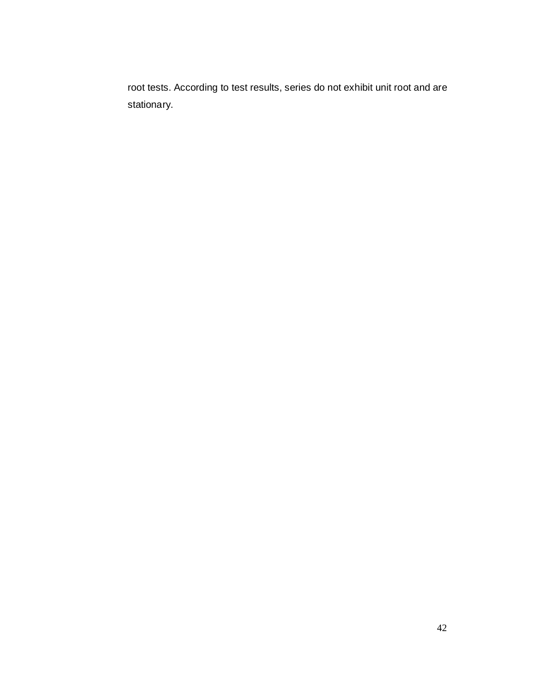root tests. According to test results, series do not exhibit unit root and are stationary.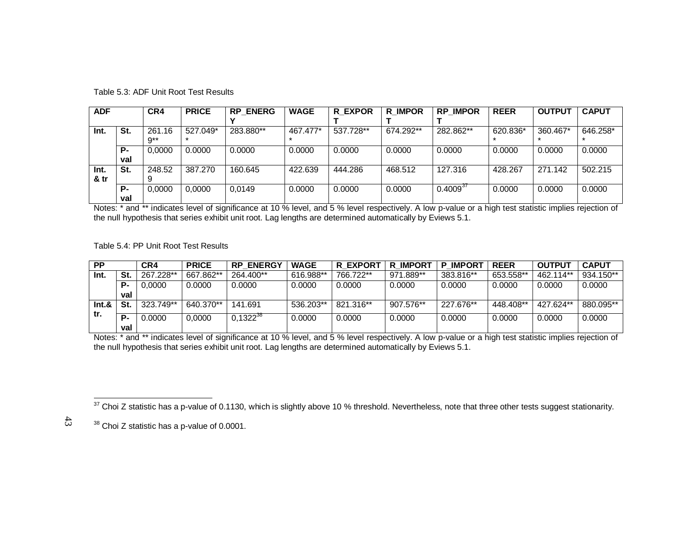| <b>ADF</b> |     | CR4           | <b>PRICE</b> | <b>RP ENERG</b> | <b>WAGE</b> | <b>R EXPOR</b> | <b>R IMPOR</b> | <b>RP IMPOR</b> | <b>REER</b> | <b>OUTPUT</b> | <b>CAPUT</b> |
|------------|-----|---------------|--------------|-----------------|-------------|----------------|----------------|-----------------|-------------|---------------|--------------|
|            |     |               |              |                 |             |                |                |                 |             |               |              |
| Int.       | St. | 261.16<br>∩** | 527.049*     | 283.880**       | 467.477*    | 537.728**      | 674.292**      | 282.862**       | 620.836*    | 360.467*      | 646.258*     |
|            | P-  | 0.0000        | 0.0000       | 0.0000          | 0.0000      | 0.0000         | 0.0000         | 0.0000          | 0.0000      | 0.0000        | 0.0000       |
|            | val |               |              |                 |             |                |                |                 |             |               |              |
| Int.       | St. | 248.52        | 387.270      | 160.645         | 422.639     | 444.286        | 468.512        | 127.316         | 428.267     | 271.142       | 502.215      |
| & tr       |     |               |              |                 |             |                |                |                 |             |               |              |
|            | Р.  | 0.0000        | 0.0000       | 0.0149          | 0.0000      | 0.0000         | 0.0000         | $0.4009^{37}$   | 0.0000      | 0.0000        | 0.0000       |
|            | val |               |              |                 |             |                |                |                 |             |               |              |

Table 5.3: ADF Unit Root Test Results

Notes: \* and \*\* indicates level of significance at 10 % level, and 5 % level respectively. A low p-value or a high test statistic implies rejection of the null hypothesis that series exhibit unit root. Lag lengths are determined automatically by Eviews 5.1.

Table 5.4: PP Unit Root Test Results

| <b>PP</b> |     | CR4       | <b>PRICE</b> | <b>ENERGY</b><br><b>RP</b> | <b>WAGE</b> | R EXPORT  | <b>R IMPORT</b> | <b>IMPORT</b><br>Р | <b>REER</b> | <b>OUTPUT</b> | <b>CAPUT</b> |
|-----------|-----|-----------|--------------|----------------------------|-------------|-----------|-----------------|--------------------|-------------|---------------|--------------|
| Int.      | St. | 267.228** | 667.862**    | 264.400**                  | 616.988**   | 766.722** | 971.889**       | 383.816**          | 653.558**   | 462.114**     | 934.150**    |
|           | P.  | 0.0000    | 0.0000       | 0.0000                     | 0.0000      | 0.0000    | 0.0000          | 0.0000             | 0.0000      | 0.0000        | 0.0000       |
|           | val |           |              |                            |             |           |                 |                    |             |               |              |
| Int.8     | St. | 323.749** | 640.370**    | 141.691                    | 536.203**   | 821.316** | 907.576**       | 227.676**          | 448.408**   | 427.624**     | 880.095**    |
| tr.       | P.  | 0.0000    | 0.0000       | $0,1322^{38}$              | 0.0000      | 0.0000    | 0.0000          | 0.0000             | 0.0000      | 0.0000        | 0.0000       |
|           | val |           |              |                            |             |           |                 |                    |             |               |              |

Notes: \* and \*\* indicates level of significance at 10 % level, and 5 % level respectively. A low p-value or a high test statistic implies rejection of the null hypothesis that series exhibit unit root. Lag lengths are determined automatically by Eviews 5.1.

<sup>&</sup>lt;sup>37</sup> Choi Z statistic has a p-value of 0.1130, which is slightly above 10 % threshold. Nevertheless, note that three other tests suggest stationarity.

<sup>38</sup> Choi Z statistic has a p-value of 0.0001.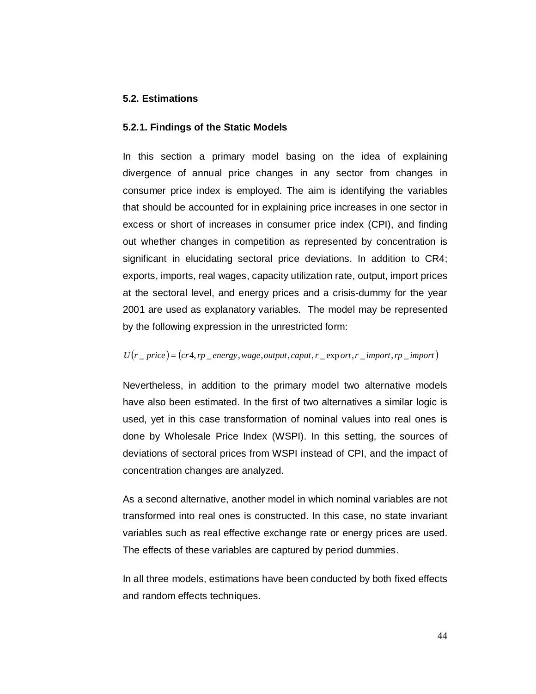## **5.2. Estimations**

#### **5.2.1. Findings of the Static Models**

In this section a primary model basing on the idea of explaining divergence of annual price changes in any sector from changes in consumer price index is employed. The aim is identifying the variables that should be accounted for in explaining price increases in one sector in excess or short of increases in consumer price index (CPI), and finding out whether changes in competition as represented by concentration is significant in elucidating sectoral price deviations. In addition to CR4; exports, imports, real wages, capacity utilization rate, output, import prices at the sectoral level, and energy prices and a crisis-dummy for the year 2001 are used as explanatory variables. The model may be represented by the following expression in the unrestricted form:

## $U(r \text{ } p \text{ } r \text{ } c) = (c r 4, r p \text{ } \text{ } e \text{ } n \text{ } e \text{ } g \text{ } v$ , wage, output, caput, r  $\text{ } e \text{ } x \text{ } p \text{ } o \text{ } r \text{ } t$ ,  $r \text{ } \text{ } m \text{ } p \text{ } o \text{ } r \text{ } r$ ,  $r \text{ } p \text{ } \text{ } m \text{ } p \text{ } o \text{ } r \text{ } t$

Nevertheless, in addition to the primary model two alternative models have also been estimated. In the first of two alternatives a similar logic is used, yet in this case transformation of nominal values into real ones is done by Wholesale Price Index (WSPI). In this setting, the sources of deviations of sectoral prices from WSPI instead of CPI, and the impact of concentration changes are analyzed.

As a second alternative, another model in which nominal variables are not transformed into real ones is constructed. In this case, no state invariant variables such as real effective exchange rate or energy prices are used. The effects of these variables are captured by period dummies.

In all three models, estimations have been conducted by both fixed effects and random effects techniques.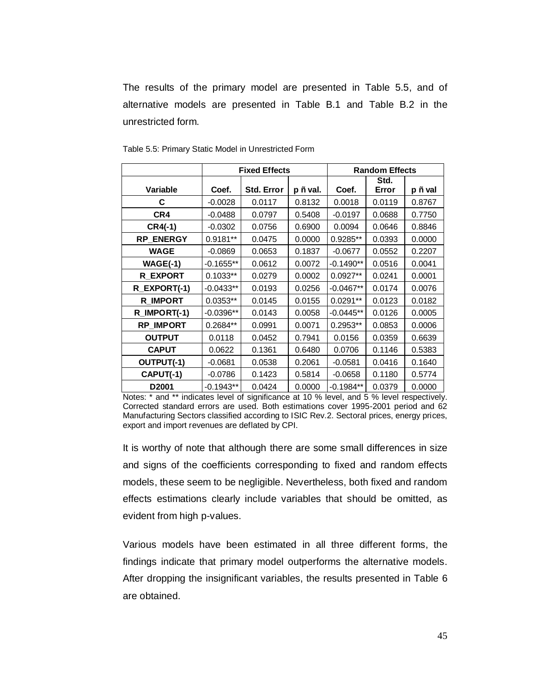The results of the primary model are presented in Table 5.5, and of alternative models are presented in Table B.1 and Table B.2 in the unrestricted form.

|                  |             | <b>Fixed Effects</b> |          | <b>Random Effects</b> |        |         |
|------------------|-------------|----------------------|----------|-----------------------|--------|---------|
|                  |             |                      |          |                       | Std.   |         |
| <b>Variable</b>  | Coef.       | Std. Error           | p Ë val. | Coef.                 | Error  | p Ë val |
| C                | $-0.0028$   | 0.0117               | 0.8132   | 0.0018                | 0.0119 | 0.8767  |
| CR4              | $-0.0488$   | 0.0797               | 0.5408   | $-0.0197$             | 0.0688 | 0.7750  |
| $CR4(-1)$        | $-0.0302$   | 0.0756               | 0.6900   | 0.0094                | 0.0646 | 0.8846  |
| <b>RP_ENERGY</b> | 0.9181**    | 0.0475               | 0.0000   | 0.9285**              | 0.0393 | 0.0000  |
| <b>WAGE</b>      | $-0.0869$   | 0.0653               | 0.1837   | $-0.0677$             | 0.0552 | 0.2207  |
| $WAGE(-1)$       | $-0.1655**$ | 0.0612               | 0.0072   | $-0.1490**$           | 0.0516 | 0.0041  |
| <b>R EXPORT</b>  | $0.1033**$  | 0.0279               | 0.0002   | $0.0927**$            | 0.0241 | 0.0001  |
| R EXPORT(-1)     | $-0.0433**$ | 0.0193               | 0.0256   | $-0.0467**$           | 0.0174 | 0.0076  |
| <b>R_IMPORT</b>  | $0.0353**$  | 0.0145               | 0.0155   | $0.0291**$            | 0.0123 | 0.0182  |
| R_IMPORT(-1)     | $-0.0396**$ | 0.0143               | 0.0058   | $-0.0445**$           | 0.0126 | 0.0005  |
| <b>RP IMPORT</b> | 0.2684**    | 0.0991               | 0.0071   | 0.2953**              | 0.0853 | 0.0006  |
| <b>OUTPUT</b>    | 0.0118      | 0.0452               | 0.7941   | 0.0156                | 0.0359 | 0.6639  |
| <b>CAPUT</b>     | 0.0622      | 0.1361               | 0.6480   | 0.0706                | 0.1146 | 0.5383  |
| OUTPUT(-1)       | $-0.0681$   | 0.0538               | 0.2061   | $-0.0581$             | 0.0416 | 0.1640  |
| CAPUT(-1)        | $-0.0786$   | 0.1423               | 0.5814   | $-0.0658$             | 0.1180 | 0.5774  |
| D2001            | $-0.1943**$ | 0.0424               | 0.0000   | $-0.1984**$           | 0.0379 | 0.0000  |

Table 5.5: Primary Static Model in Unrestricted Form

Notes: \* and \*\* indicates level of significance at 10 % level, and 5 % level respectively. Corrected standard errors are used. Both estimations cover 1995-2001 period and 62 Manufacturing Sectors classified according to ISIC Rev.2. Sectoral prices, energy prices, export and import revenues are deflated by CPI.

It is worthy of note that although there are some small differences in size and signs of the coefficients corresponding to fixed and random effects models, these seem to be negligible. Nevertheless, both fixed and random effects estimations clearly include variables that should be omitted, as evident from high p-values.

Various models have been estimated in all three different forms, the findings indicate that primary model outperforms the alternative models. After dropping the insignificant variables, the results presented in Table 6 are obtained.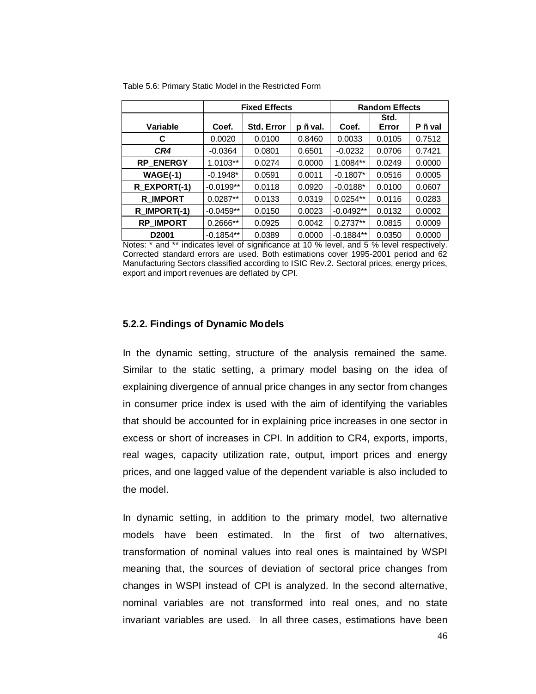|                   |             | <b>Fixed Effects</b> |          | <b>Random Effects</b> |               |         |
|-------------------|-------------|----------------------|----------|-----------------------|---------------|---------|
| Variable          | Coef.       | <b>Std. Error</b>    | p Ë val. | Coef.                 | Std.<br>Error | P Ë val |
|                   |             |                      |          |                       |               |         |
| С                 | 0.0020      | 0.0100               | 0.8460   | 0.0033                | 0.0105        | 0.7512  |
| CR4               | $-0.0364$   | 0.0801               | 0.6501   | $-0.0232$             | 0.0706        | 0.7421  |
| RP_ENERGY         | 1.0103**    | 0.0274               | 0.0000   | 1.0084**              | 0.0249        | 0.0000  |
| $WAGE(-1)$        | $-0.1948*$  | 0.0591               | 0.0011   | $-0.1807*$            | 0.0516        | 0.0005  |
| R EXPORT(-1)      | $-0.0199**$ | 0.0118               | 0.0920   | $-0.0188*$            | 0.0100        | 0.0607  |
| <b>R_IMPORT</b>   | $0.0287**$  | 0.0133               | 0.0319   | $0.0254**$            | 0.0116        | 0.0283  |
| R_IMPORT(-1)      | $-0.0459**$ | 0.0150               | 0.0023   | $-0.0492**$           | 0.0132        | 0.0002  |
| <b>RP IMPORT</b>  | $0.2666**$  | 0.0925               | 0.0042   | $0.2737**$            | 0.0815        | 0.0009  |
| D <sub>2001</sub> | $-0.1854**$ | 0.0389               | 0.0000   | $-0.1884**$           | 0.0350        | 0.0000  |

Table 5.6: Primary Static Model in the Restricted Form

Notes: \* and \*\* indicates level of significance at 10 % level, and 5 % level respectively. Corrected standard errors are used. Both estimations cover 1995-2001 period and 62 Manufacturing Sectors classified according to ISIC Rev.2. Sectoral prices, energy prices, export and import revenues are deflated by CPI.

### **5.2.2. Findings of Dynamic Models**

In the dynamic setting, structure of the analysis remained the same. Similar to the static setting, a primary model basing on the idea of explaining divergence of annual price changes in any sector from changes in consumer price index is used with the aim of identifying the variables that should be accounted for in explaining price increases in one sector in excess or short of increases in CPI. In addition to CR4, exports, imports, real wages, capacity utilization rate, output, import prices and energy prices, and one lagged value of the dependent variable is also included to the model.

In dynamic setting, in addition to the primary model, two alternative models have been estimated. In the first of two alternatives, transformation of nominal values into real ones is maintained by WSPI meaning that, the sources of deviation of sectoral price changes from changes in WSPI instead of CPI is analyzed. In the second alternative, nominal variables are not transformed into real ones, and no state invariant variables are used. In all three cases, estimations have been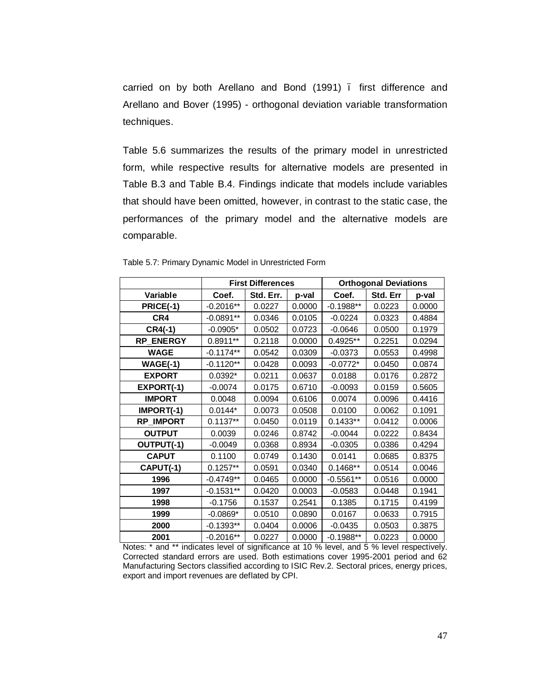carried on by both Arellano and Bond (1991) – first difference and Arellano and Bover (1995) - orthogonal deviation variable transformation techniques.

Table 5.6 summarizes the results of the primary model in unrestricted form, while respective results for alternative models are presented in Table B.3 and Table B.4. Findings indicate that models include variables that should have been omitted, however, in contrast to the static case, the performances of the primary model and the alternative models are comparable.

|                  |             | <b>First Differences</b> |        | <b>Orthogonal Deviations</b> |          |        |
|------------------|-------------|--------------------------|--------|------------------------------|----------|--------|
| Variable         | Coef.       | Std. Err.                | p-val  | Coef.                        | Std. Err | p-val  |
| PRICE(-1)        | $-0.2016**$ | 0.0227                   | 0.0000 | $-0.1988**$                  | 0.0223   | 0.0000 |
| CR4              | $-0.0891**$ | 0.0346                   | 0.0105 | $-0.0224$                    | 0.0323   | 0.4884 |
| $CR4(-1)$        | $-0.0905*$  | 0.0502                   | 0.0723 | $-0.0646$                    | 0.0500   | 0.1979 |
| <b>RP ENERGY</b> | $0.8911**$  | 0.2118                   | 0.0000 | 0.4925**                     | 0.2251   | 0.0294 |
| <b>WAGE</b>      | $-0.1174**$ | 0.0542                   | 0.0309 | $-0.0373$                    | 0.0553   | 0.4998 |
| <b>WAGE(-1)</b>  | $-0.1120**$ | 0.0428                   | 0.0093 | $-0.0772*$                   | 0.0450   | 0.0874 |
| <b>EXPORT</b>    | $0.0392*$   | 0.0211                   | 0.0637 | 0.0188                       | 0.0176   | 0.2872 |
| EXPORT(-1)       | $-0.0074$   | 0.0175                   | 0.6710 | $-0.0093$                    | 0.0159   | 0.5605 |
| <b>IMPORT</b>    | 0.0048      | 0.0094                   | 0.6106 | 0.0074                       | 0.0096   | 0.4416 |
| IMPORT(-1)       | $0.0144*$   | 0.0073                   | 0.0508 | 0.0100                       | 0.0062   | 0.1091 |
| <b>RP_IMPORT</b> | $0.1137**$  | 0.0450                   | 0.0119 | $0.1433**$                   | 0.0412   | 0.0006 |
| <b>OUTPUT</b>    | 0.0039      | 0.0246                   | 0.8742 | $-0.0044$                    | 0.0222   | 0.8434 |
| OUTPUT(-1)       | $-0.0049$   | 0.0368                   | 0.8934 | $-0.0305$                    | 0.0386   | 0.4294 |
| <b>CAPUT</b>     | 0.1100      | 0.0749                   | 0.1430 | 0.0141                       | 0.0685   | 0.8375 |
| CAPUT(-1)        | $0.1257**$  | 0.0591                   | 0.0340 | $0.1468**$                   | 0.0514   | 0.0046 |
| 1996             | $-0.4749**$ | 0.0465                   | 0.0000 | $-0.5561**$                  | 0.0516   | 0.0000 |
| 1997             | $-0.1531**$ | 0.0420                   | 0.0003 | $-0.0583$                    | 0.0448   | 0.1941 |
| 1998             | $-0.1756$   | 0.1537                   | 0.2541 | 0.1385                       | 0.1715   | 0.4199 |
| 1999             | $-0.0869*$  | 0.0510                   | 0.0890 | 0.0167                       | 0.0633   | 0.7915 |
| 2000             | $-0.1393**$ | 0.0404                   | 0.0006 | $-0.0435$                    | 0.0503   | 0.3875 |
| 2001             | $-0.2016**$ | 0.0227                   | 0.0000 | $-0.1988**$                  | 0.0223   | 0.0000 |

Table 5.7: Primary Dynamic Model in Unrestricted Form

Notes: \* and \*\* indicates level of significance at 10 % level, and 5 % level respectively. Corrected standard errors are used. Both estimations cover 1995-2001 period and 62 Manufacturing Sectors classified according to ISIC Rev.2. Sectoral prices, energy prices, export and import revenues are deflated by CPI.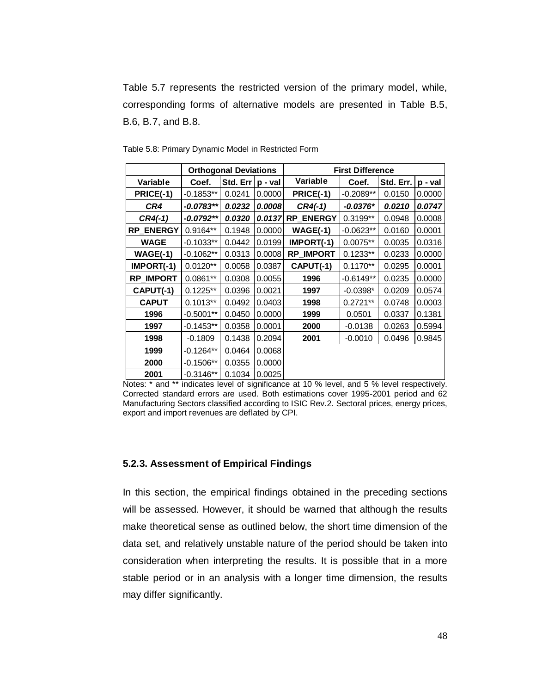Table 5.7 represents the restricted version of the primary model, while, corresponding forms of alternative models are presented in Table B.5, B.6, B.7, and B.8.

|                  |             | <b>Orthogonal Deviations</b> |         | <b>First Difference</b> |             |           |         |
|------------------|-------------|------------------------------|---------|-------------------------|-------------|-----------|---------|
| Variable         | Coef.       | Std. Err                     | p - val | Variable                | Coef.       | Std. Err. | p - val |
| PRICE(-1)        | $-0.1853**$ | 0.0241                       | 0.0000  | PRICE(-1)               | $-0.2089**$ | 0.0150    | 0.0000  |
| CR4              | $-0.0783**$ | 0.0232                       | 0.0008  | $CR4(-1)$               | $-0.0376*$  | 0.0210    | 0.0747  |
| $CR4(-1)$        | $-0.0792**$ | 0.0320                       | 0.0137  | <b>RP_ENERGY</b>        | $0.3199**$  | 0.0948    | 0.0008  |
| <b>RP ENERGY</b> | 0.9164**    | 0.1948                       | 0.0000  | $WAGE(-1)$              | $-0.0623**$ | 0.0160    | 0.0001  |
| <b>WAGE</b>      | $-0.1033**$ | 0.0442                       | 0.0199  | IMPORT(-1)              | $0.0075**$  | 0.0035    | 0.0316  |
| $WAGE(-1)$       | $-0.1062**$ | 0.0313                       | 0.0008  | <b>RP_IMPORT</b>        | $0.1233**$  | 0.0233    | 0.0000  |
| IMPORT(-1)       | $0.0120**$  | 0.0058                       | 0.0387  | CAPUT(-1)               | $0.1170**$  | 0.0295    | 0.0001  |
| <b>RP IMPORT</b> | $0.0861**$  | 0.0308                       | 0.0055  | 1996                    | $-0.6149**$ | 0.0235    | 0.0000  |
| CAPUT(-1)        | $0.1225**$  | 0.0396                       | 0.0021  | 1997                    | $-0.0398*$  | 0.0209    | 0.0574  |
| <b>CAPUT</b>     | $0.1013**$  | 0.0492                       | 0.0403  | 1998                    | $0.2721**$  | 0.0748    | 0.0003  |
| 1996             | $-0.5001**$ | 0.0450                       | 0.0000  | 1999                    | 0.0501      | 0.0337    | 0.1381  |
| 1997             | $-0.1453**$ | 0.0358                       | 0.0001  | 2000                    | $-0.0138$   | 0.0263    | 0.5994  |
| 1998             | $-0.1809$   | 0.1438                       | 0.2094  | 2001                    | $-0.0010$   | 0.0496    | 0.9845  |
| 1999             | $-0.1264**$ | 0.0464                       | 0.0068  |                         |             |           |         |
| 2000             | $-0.1506**$ | 0.0355                       | 0.0000  |                         |             |           |         |
| 2001             | $-0.3146**$ | 0.1034                       | 0.0025  |                         |             |           |         |

Table 5.8: Primary Dynamic Model in Restricted Form

Notes: \* and \*\* indicates level of significance at 10 % level, and 5 % level respectively. Corrected standard errors are used. Both estimations cover 1995-2001 period and 62 Manufacturing Sectors classified according to ISIC Rev.2. Sectoral prices, energy prices, export and import revenues are deflated by CPI.

## **5.2.3. Assessment of Empirical Findings**

In this section, the empirical findings obtained in the preceding sections will be assessed. However, it should be warned that although the results make theoretical sense as outlined below, the short time dimension of the data set, and relatively unstable nature of the period should be taken into consideration when interpreting the results. It is possible that in a more stable period or in an analysis with a longer time dimension, the results may differ significantly.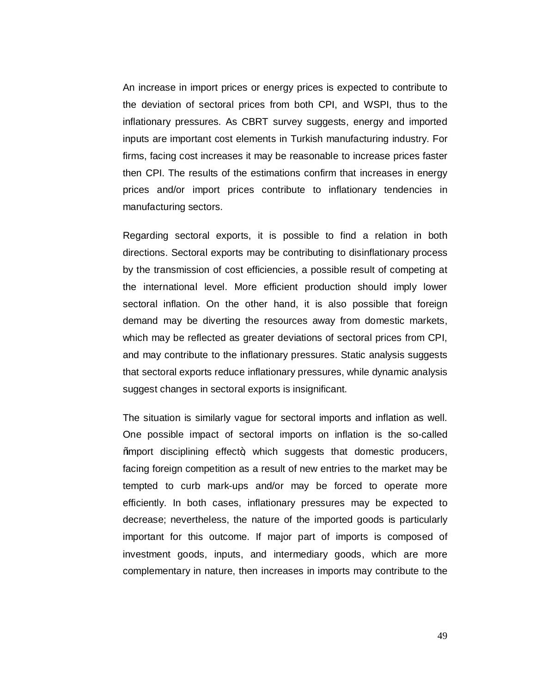An increase in import prices or energy prices is expected to contribute to the deviation of sectoral prices from both CPI, and WSPI, thus to the inflationary pressures. As CBRT survey suggests, energy and imported inputs are important cost elements in Turkish manufacturing industry. For firms, facing cost increases it may be reasonable to increase prices faster then CPI. The results of the estimations confirm that increases in energy prices and/or import prices contribute to inflationary tendencies in manufacturing sectors.

Regarding sectoral exports, it is possible to find a relation in both directions. Sectoral exports may be contributing to disinflationary process by the transmission of cost efficiencies, a possible result of competing at the international level. More efficient production should imply lower sectoral inflation. On the other hand, it is also possible that foreign demand may be diverting the resources away from domestic markets, which may be reflected as greater deviations of sectoral prices from CPI, and may contribute to the inflationary pressures. Static analysis suggests that sectoral exports reduce inflationary pressures, while dynamic analysis suggest changes in sectoral exports is insignificant.

The situation is similarly vague for sectoral imports and inflation as well. One possible impact of sectoral imports on inflation is the so-called % mport disciplining effect+, which suggests that domestic producers, facing foreign competition as a result of new entries to the market may be tempted to curb mark-ups and/or may be forced to operate more efficiently. In both cases, inflationary pressures may be expected to decrease; nevertheless, the nature of the imported goods is particularly important for this outcome. If major part of imports is composed of investment goods, inputs, and intermediary goods, which are more complementary in nature, then increases in imports may contribute to the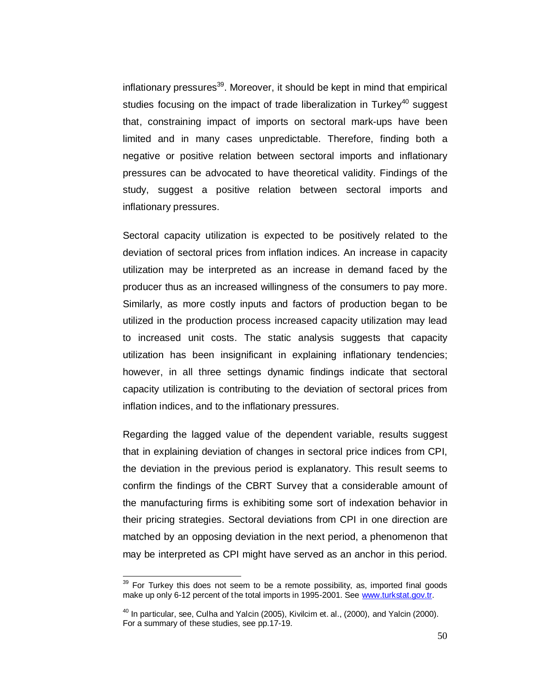inflationary pressures<sup>39</sup>. Moreover, it should be kept in mind that empirical studies focusing on the impact of trade liberalization in Turkey<sup>40</sup> suggest that, constraining impact of imports on sectoral mark-ups have been limited and in many cases unpredictable. Therefore, finding both a negative or positive relation between sectoral imports and inflationary pressures can be advocated to have theoretical validity. Findings of the study, suggest a positive relation between sectoral imports and inflationary pressures.

Sectoral capacity utilization is expected to be positively related to the deviation of sectoral prices from inflation indices. An increase in capacity utilization may be interpreted as an increase in demand faced by the producer thus as an increased willingness of the consumers to pay more. Similarly, as more costly inputs and factors of production began to be utilized in the production process increased capacity utilization may lead to increased unit costs. The static analysis suggests that capacity utilization has been insignificant in explaining inflationary tendencies; however, in all three settings dynamic findings indicate that sectoral capacity utilization is contributing to the deviation of sectoral prices from inflation indices, and to the inflationary pressures.

Regarding the lagged value of the dependent variable, results suggest that in explaining deviation of changes in sectoral price indices from CPI, the deviation in the previous period is explanatory. This result seems to confirm the findings of the CBRT Survey that a considerable amount of the manufacturing firms is exhibiting some sort of indexation behavior in their pricing strategies. Sectoral deviations from CPI in one direction are matched by an opposing deviation in the next period, a phenomenon that may be interpreted as CPI might have served as an anchor in this period.

 $39$  For Turkey this does not seem to be a remote possibility, as, imported final goods make up only 6-12 percent of the total imports in 1995-2001. See www.turkstat.gov.tr.

 $40$  In particular, see, Culha and Yalcin (2005), Kivilcim et. al., (2000), and Yalcin (2000). For a summary of these studies, see pp.17-19.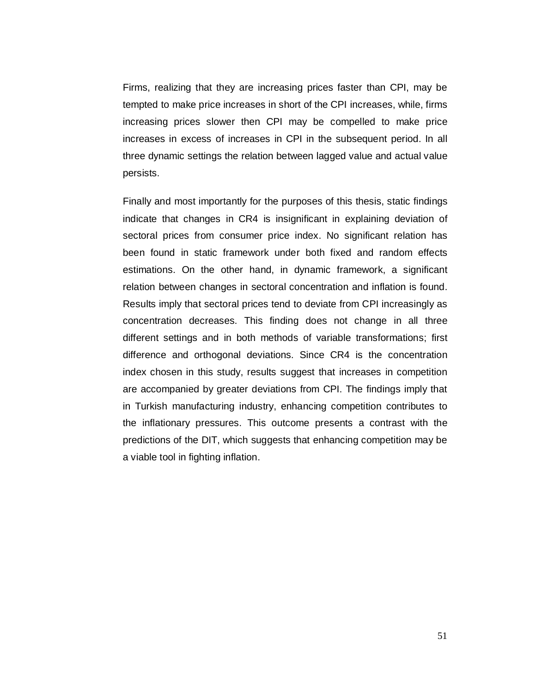Firms, realizing that they are increasing prices faster than CPI, may be tempted to make price increases in short of the CPI increases, while, firms increasing prices slower then CPI may be compelled to make price increases in excess of increases in CPI in the subsequent period. In all three dynamic settings the relation between lagged value and actual value persists.

Finally and most importantly for the purposes of this thesis, static findings indicate that changes in CR4 is insignificant in explaining deviation of sectoral prices from consumer price index. No significant relation has been found in static framework under both fixed and random effects estimations. On the other hand, in dynamic framework, a significant relation between changes in sectoral concentration and inflation is found. Results imply that sectoral prices tend to deviate from CPI increasingly as concentration decreases. This finding does not change in all three different settings and in both methods of variable transformations; first difference and orthogonal deviations. Since CR4 is the concentration index chosen in this study, results suggest that increases in competition are accompanied by greater deviations from CPI. The findings imply that in Turkish manufacturing industry, enhancing competition contributes to the inflationary pressures. This outcome presents a contrast with the predictions of the DIT, which suggests that enhancing competition may be a viable tool in fighting inflation.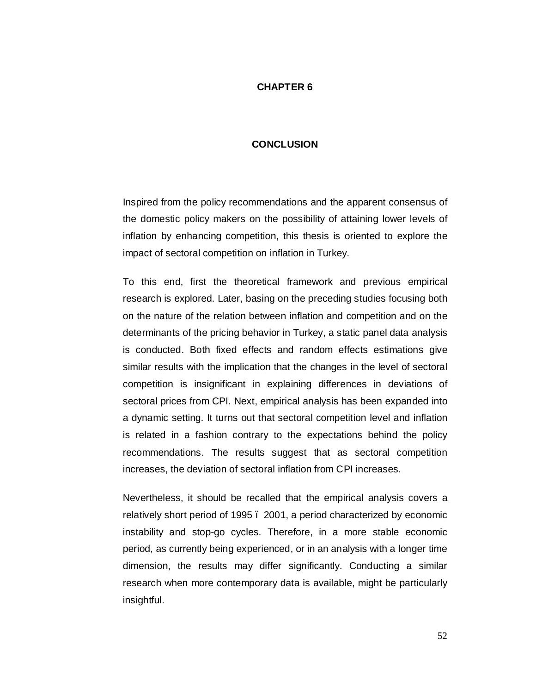## **CHAPTER 6**

#### **CONCLUSION**

Inspired from the policy recommendations and the apparent consensus of the domestic policy makers on the possibility of attaining lower levels of inflation by enhancing competition, this thesis is oriented to explore the impact of sectoral competition on inflation in Turkey.

To this end, first the theoretical framework and previous empirical research is explored. Later, basing on the preceding studies focusing both on the nature of the relation between inflation and competition and on the determinants of the pricing behavior in Turkey, a static panel data analysis is conducted. Both fixed effects and random effects estimations give similar results with the implication that the changes in the level of sectoral competition is insignificant in explaining differences in deviations of sectoral prices from CPI. Next, empirical analysis has been expanded into a dynamic setting. It turns out that sectoral competition level and inflation is related in a fashion contrary to the expectations behind the policy recommendations. The results suggest that as sectoral competition increases, the deviation of sectoral inflation from CPI increases.

Nevertheless, it should be recalled that the empirical analysis covers a relatively short period of 1995 – 2001, a period characterized by economic instability and stop-go cycles. Therefore, in a more stable economic period, as currently being experienced, or in an analysis with a longer time dimension, the results may differ significantly. Conducting a similar research when more contemporary data is available, might be particularly insightful.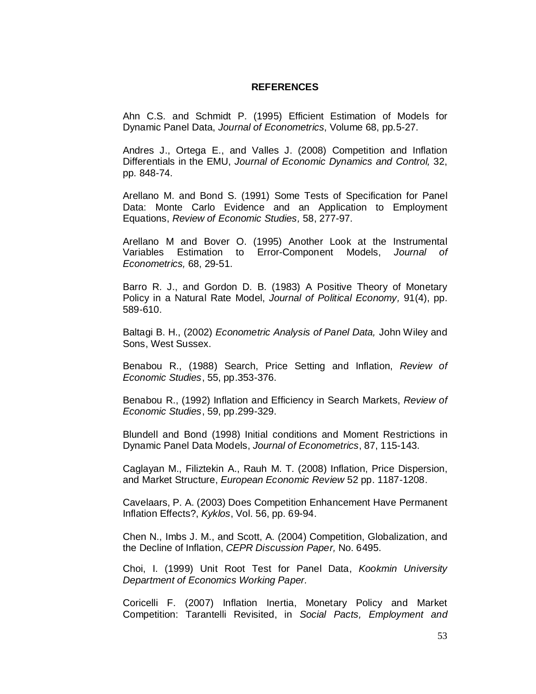#### **REFERENCES**

Ahn C.S. and Schmidt P. (1995) Efficient Estimation of Models for Dynamic Panel Data, *Journal of Econometrics*, Volume 68, pp.5-27.

Andres J., Ortega E., and Valles J. (2008) Competition and Inflation Differentials in the EMU, *Journal of Economic Dynamics and Control,* 32, pp. 848-74.

Arellano M. and Bond S. (1991) Some Tests of Specification for Panel Data: Monte Carlo Evidence and an Application to Employment Equations, *Review of Economic Studies,* 58, 277-97.

Arellano M and Bover O. (1995) Another Look at the Instrumental Variables Estimation to Error-Component Models, *Journal of Econometrics,* 68, 29-51.

Barro R. J., and Gordon D. B. (1983) A Positive Theory of Monetary Policy in a Natural Rate Model, *Journal of Political Economy,* 91(4), pp. 589-610.

Baltagi B. H., (2002) *Econometric Analysis of Panel Data,* John Wiley and Sons, West Sussex.

Benabou R., (1988) Search, Price Setting and Inflation, *Review of Economic Studies*, 55, pp.353-376.

Benabou R., (1992) Inflation and Efficiency in Search Markets, *Review of Economic Studies*, 59, pp.299-329.

Blundell and Bond (1998) Initial conditions and Moment Restrictions in Dynamic Panel Data Models, *Journal of Econometrics*, 87, 115-143.

Caglayan M., Filiztekin A., Rauh M. T. (2008) Inflation, Price Dispersion, and Market Structure, *European Economic Review* 52 pp. 1187-1208.

Cavelaars, P. A. (2003) Does Competition Enhancement Have Permanent Inflation Effects?, *Kyklos*, Vol. 56, pp. 69-94.

Chen N., Imbs J. M., and Scott, A. (2004) Competition, Globalization, and the Decline of Inflation, *CEPR Discussion Paper,* No. 6495.

Choi, I. (1999) Unit Root Test for Panel Data, *Kookmin University Department of Economics Working Paper.*

Coricelli F. (2007) Inflation Inertia, Monetary Policy and Market Competition: Tarantelli Revisited, in *Social Pacts, Employment and*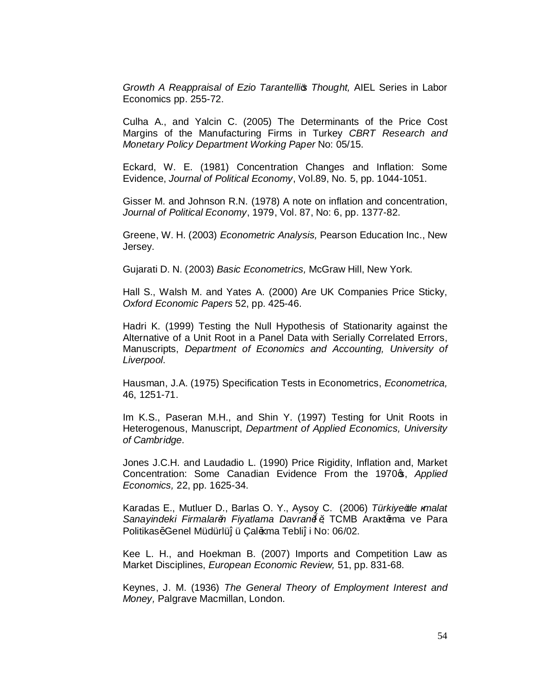*Growth A Reappraisal of Ezio Tarantelli's Thought,* AIEL Series in Labor Economics pp. 255-72.

Culha A., and Yalcin C. (2005) The Determinants of the Price Cost Margins of the Manufacturing Firms in Turkey *CBRT Research and Monetary Policy Department Working Paper* No: 05/15.

Eckard, W. E. (1981) Concentration Changes and Inflation: Some Evidence, *Journal of Political Economy*, Vol.89, No. 5, pp. 1044-1051.

Gisser M. and Johnson R.N. (1978) A note on inflation and concentration, *Journal of Political Economy*, 1979, Vol. 87, No: 6, pp. 1377-82.

Greene, W. H. (2003) *Econometric Analysis,* Pearson Education Inc., New Jersey.

Gujarati D. N. (2003) *Basic Econometrics,* McGraw Hill, New York.

Hall S., Walsh M. and Yates A. (2000) Are UK Companies Price Sticky, *Oxford Economic Papers* 52, pp. 425-46.

Hadri K. (1999) Testing the Null Hypothesis of Stationarity against the Alternative of a Unit Root in a Panel Data with Serially Correlated Errors, Manuscripts, *Department of Economics and Accounting, University of Liverpool*.

Hausman, J.A. (1975) Specification Tests in Econometrics, *Econometrica,*  46, 1251-71.

Im K.S., Paseran M.H., and Shin Y. (1997) Testing for Unit Roots in Heterogenous, Manuscript, *Department of Applied Economics, University of Cambridge.*

Jones J.C.H. and Laudadio L. (1990) Price Rigidity, Inflation and, Market Concentration: Some Canadian Evidence From the 1970<sub>\$</sub>, *Applied Economics,* 22, pp. 1625-34.

Karadas E., Mutluer D., Barlas O. Y., Aysoy C. (2006) *Türkiyegle malat Sanayindeki Firmaların Fiyatlama Davranışı*, TCMB Ara tırma ve Para Politikas<sup>2</sup> Genel Müdürlü ü Çal<sup>2</sup> ma Tebli i No: 06/02.

Kee L. H., and Hoekman B. (2007) Imports and Competition Law as Market Disciplines, *European Economic Review,* 51, pp. 831-68.

Keynes, J. M. (1936) *The General Theory of Employment Interest and Money,* Palgrave Macmillan, London.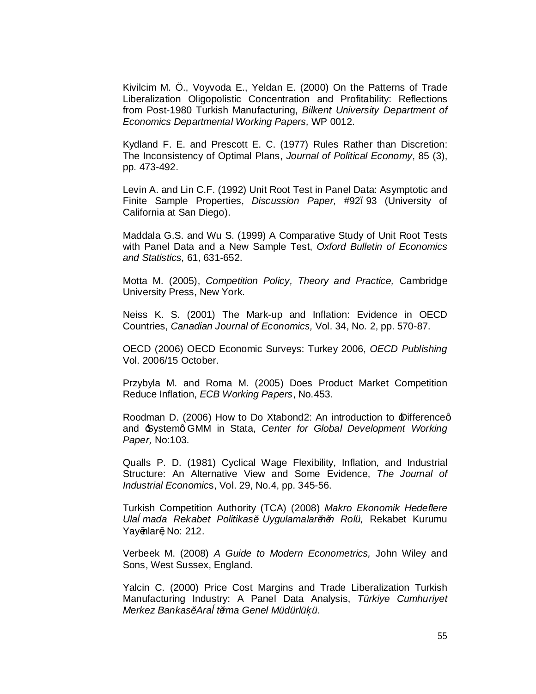Kivilcim M. Ö., Voyvoda E., Yeldan E. (2000) On the Patterns of Trade Liberalization Oligopolistic Concentration and Profitability: Reflections from Post-1980 Turkish Manufacturing, *Bilkent University Department of Economics Departmental Working Papers,* WP 0012.

Kydland F. E. and Prescott E. C. (1977) Rules Rather than Discretion: The Inconsistency of Optimal Plans, *Journal of Political Economy*, 85 (3), pp. 473-492.

Levin A. and Lin C.F. (1992) Unit Root Test in Panel Data: Asymptotic and Finite Sample Properties, *Discussion Paper,* #92–93 (University of California at San Diego).

Maddala G.S. and Wu S. (1999) A Comparative Study of Unit Root Tests with Panel Data and a New Sample Test, *Oxford Bulletin of Economics and Statistics,* 61, 631-652.

Motta M. (2005), *Competition Policy, Theory and Practice,* Cambridge University Press, New York.

Neiss K. S. (2001) The Mark-up and Inflation: Evidence in OECD Countries, *Canadian Journal of Economics,* Vol. 34, No. 2, pp. 570-87.

OECD (2006) OECD Economic Surveys: Turkey 2006, *OECD Publishing* Vol. 2006/15 October.

Przybyla M. and Roma M. (2005) Does Product Market Competition Reduce Inflation, *ECB Working Papers*, No.453.

Roodman D. (2006) How to Do Xtabond2: An introduction to *Differenceg* and 'System' GMM in Stata, *Center for Global Development Working Paper,* No:103.

Qualls P. D. (1981) Cyclical Wage Flexibility, Inflation, and Industrial Structure: An Alternative View and Some Evidence, *The Journal of Industrial Economic*s, Vol. 29, No.4, pp. 345-56.

Turkish Competition Authority (TCA) (2008) *Makro Ekonomik Hedeflere Ula mada Rekabet Politikası Uygulamalarının Rolü,* Rekabet Kurumu Yay<sup>2</sup>nlar<sup>2</sup>, No: 212.

Verbeek M. (2008) *A Guide to Modern Econometrics,* John Wiley and Sons, West Sussex, England.

Yalcin C. (2000) Price Cost Margins and Trade Liberalization Turkish Manufacturing Industry: A Panel Data Analysis, *Türkiye Cumhuriyet Merkez Bankası Ara tırma Genel Müdürlü ü*.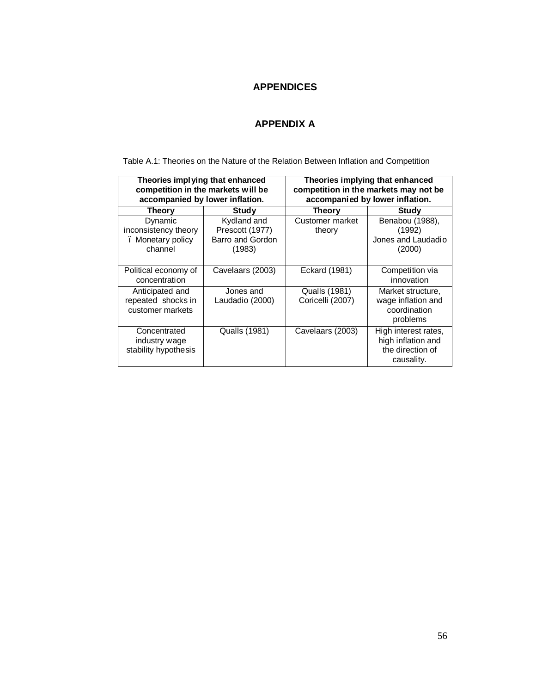## **APPENDICES**

## **APPENDIX A**

Table A.1: Theories on the Nature of the Relation Between Inflation and Competition

| Theories implying that enhanced<br>competition in the markets will be<br>accompanied by lower inflation. |                                                              | Theories implying that enhanced<br>competition in the markets may not be<br>accompanied by lower inflation. |                                                                              |  |  |
|----------------------------------------------------------------------------------------------------------|--------------------------------------------------------------|-------------------------------------------------------------------------------------------------------------|------------------------------------------------------------------------------|--|--|
| Theory                                                                                                   | Study                                                        | Theory                                                                                                      | Study                                                                        |  |  |
| Dynamic<br>inconsistency theory<br>. Monetary policy<br>channel                                          | Kydland and<br>Prescott (1977)<br>Barro and Gordon<br>(1983) | Customer market<br>theory                                                                                   | Benabou (1988),<br>(1992)<br>Jones and Laudadio<br>(2000)                    |  |  |
| Political economy of<br>concentration                                                                    | Cavelaars (2003)                                             | Eckard (1981)                                                                                               | Competition via<br>innovation                                                |  |  |
| Anticipated and<br>repeated shocks in<br>customer markets                                                | Jones and<br>Laudadio (2000)                                 | <b>Qualls (1981)</b><br>Coricelli (2007)                                                                    | Market structure,<br>wage inflation and<br>coordination<br>problems          |  |  |
| Concentrated<br>industry wage<br>stability hypothesis                                                    | Qualls (1981)                                                | Cavelaars (2003)                                                                                            | High interest rates,<br>high inflation and<br>the direction of<br>causality. |  |  |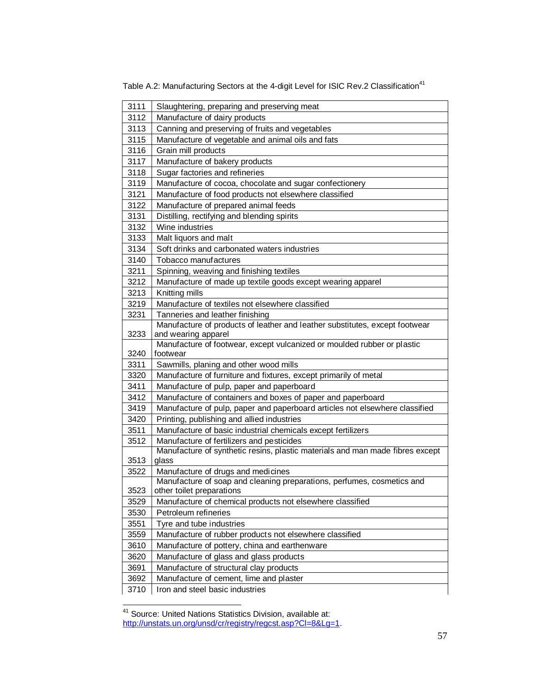| 3111         | Slaughtering, preparing and preserving meat                                                                |
|--------------|------------------------------------------------------------------------------------------------------------|
| 3112         | Manufacture of dairy products                                                                              |
| 3113         | Canning and preserving of fruits and vegetables                                                            |
| 3115         | Manufacture of vegetable and animal oils and fats                                                          |
| 3116         | Grain mill products                                                                                        |
| 3117         | Manufacture of bakery products                                                                             |
| 3118         | Sugar factories and refineries                                                                             |
| 3119         | Manufacture of cocoa, chocolate and sugar confectionery                                                    |
| 3121         | Manufacture of food products not elsewhere classified                                                      |
| 3122         | Manufacture of prepared animal feeds                                                                       |
| 3131         | Distilling, rectifying and blending spirits                                                                |
| 3132         | Wine industries                                                                                            |
| 3133         | Malt liquors and malt                                                                                      |
| 3134         | Soft drinks and carbonated waters industries                                                               |
| 3140         | Tobacco manufactures                                                                                       |
| 3211         | Spinning, weaving and finishing textiles                                                                   |
| 3212         | Manufacture of made up textile goods except wearing apparel                                                |
| 3213         | Knitting mills                                                                                             |
| 3219         | Manufacture of textiles not elsewhere classified                                                           |
| 3231         | Tanneries and leather finishing                                                                            |
|              | Manufacture of products of leather and leather substitutes, except footwear                                |
| 3233         | and wearing apparel<br>Manufacture of footwear, except vulcanized or moulded rubber or plastic             |
|              |                                                                                                            |
|              | footwear                                                                                                   |
| 3240<br>3311 |                                                                                                            |
| 3320         | Sawmills, planing and other wood mills                                                                     |
| 3411         | Manufacture of furniture and fixtures, except primarily of metal                                           |
| 3412         | Manufacture of pulp, paper and paperboard                                                                  |
| 3419         | Manufacture of containers and boxes of paper and paperboard                                                |
| 3420         | Manufacture of pulp, paper and paperboard articles not elsewhere classified                                |
| 3511         | Printing, publishing and allied industries<br>Manufacture of basic industrial chemicals except fertilizers |
| 3512         | Manufacture of fertilizers and pesticides                                                                  |
|              | Manufacture of synthetic resins, plastic materials and man made fibres except                              |
| 3513         | glass                                                                                                      |
| 3522         | Manufacture of drugs and medicines                                                                         |
|              | Manufacture of soap and cleaning preparations, perfumes, cosmetics and                                     |
| 3523         | other toilet preparations                                                                                  |
| 3529         | Manufacture of chemical products not elsewhere classified                                                  |
| 3530         | Petroleum refineries                                                                                       |
| 3551         | Tyre and tube industries                                                                                   |
| 3559         | Manufacture of rubber products not elsewhere classified                                                    |
| 3610         | Manufacture of pottery, china and earthenware                                                              |
| 3620         | Manufacture of glass and glass products                                                                    |
| 3691         | Manufacture of structural clay products                                                                    |
| 3692<br>3710 | Manufacture of cement, lime and plaster<br>Iron and steel basic industries                                 |

Table A.2: Manufacturing Sectors at the 4-digit Level for ISIC Rev.2 Classification<sup>41</sup>

<sup>41</sup> Source: United Nations Statistics Division, available at: http://unstats.un.org/unsd/cr/registry/regcst.asp?Cl=8&Lg=1.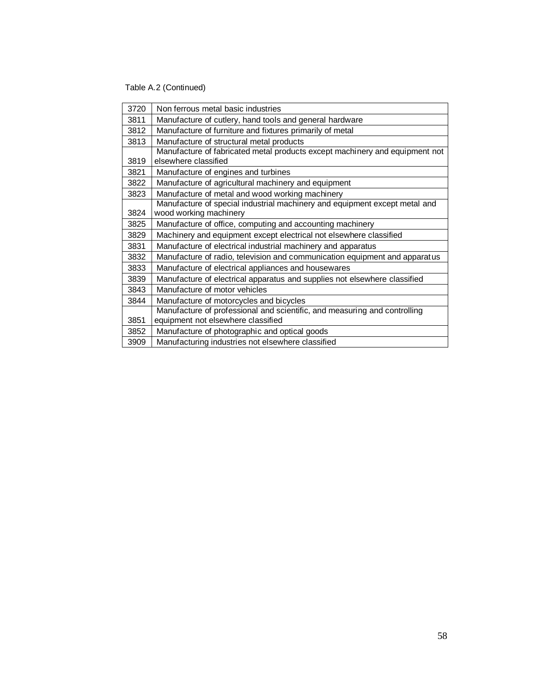Table A.2 (Continued)

| 3720 | Non ferrous metal basic industries                                          |
|------|-----------------------------------------------------------------------------|
| 3811 | Manufacture of cutlery, hand tools and general hardware                     |
| 3812 | Manufacture of furniture and fixtures primarily of metal                    |
| 3813 | Manufacture of structural metal products                                    |
|      | Manufacture of fabricated metal products except machinery and equipment not |
| 3819 | elsewhere classified                                                        |
| 3821 | Manufacture of engines and turbines                                         |
| 3822 | Manufacture of agricultural machinery and equipment                         |
| 3823 | Manufacture of metal and wood working machinery                             |
|      | Manufacture of special industrial machinery and equipment except metal and  |
| 3824 | wood working machinery                                                      |
| 3825 | Manufacture of office, computing and accounting machinery                   |
| 3829 | Machinery and equipment except electrical not elsewhere classified          |
| 3831 | Manufacture of electrical industrial machinery and apparatus                |
| 3832 | Manufacture of radio, television and communication equipment and apparatus  |
| 3833 | Manufacture of electrical appliances and housewares                         |
| 3839 | Manufacture of electrical apparatus and supplies not elsewhere classified   |
| 3843 | Manufacture of motor vehicles                                               |
| 3844 | Manufacture of motorcycles and bicycles                                     |
|      | Manufacture of professional and scientific, and measuring and controlling   |
| 3851 | equipment not elsewhere classified                                          |
| 3852 | Manufacture of photographic and optical goods                               |
| 3909 | Manufacturing industries not elsewhere classified                           |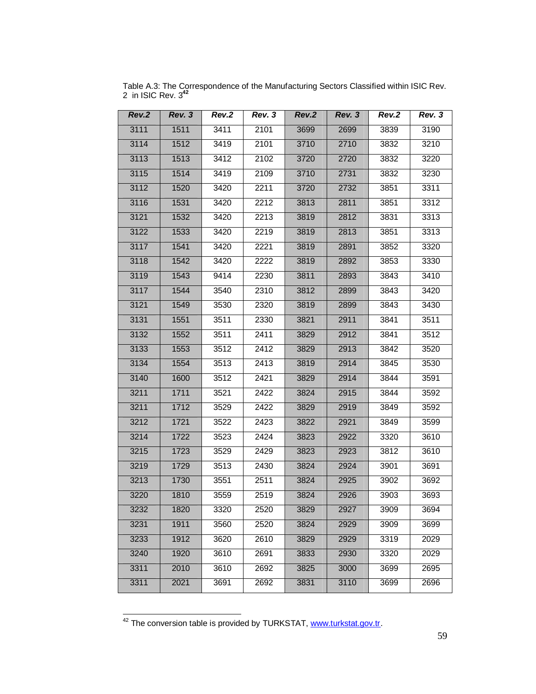| Rev.2 | Rev. 3 | Rev.2 | Rev. 3 | Rev.2 | Rev. 3 | Rev.2 | Rev. 3 |
|-------|--------|-------|--------|-------|--------|-------|--------|
| 3111  | 1511   | 3411  | 2101   | 3699  | 2699   | 3839  | 3190   |
| 3114  | 1512   | 3419  | 2101   | 3710  | 2710   | 3832  | 3210   |
| 3113  | 1513   | 3412  | 2102   | 3720  | 2720   | 3832  | 3220   |
| 3115  | 1514   | 3419  | 2109   | 3710  | 2731   | 3832  | 3230   |
| 3112  | 1520   | 3420  | 2211   | 3720  | 2732   | 3851  | 3311   |
| 3116  | 1531   | 3420  | 2212   | 3813  | 2811   | 3851  | 3312   |
| 3121  | 1532   | 3420  | 2213   | 3819  | 2812   | 3831  | 3313   |
| 3122  | 1533   | 3420  | 2219   | 3819  | 2813   | 3851  | 3313   |
| 3117  | 1541   | 3420  | 2221   | 3819  | 2891   | 3852  | 3320   |
| 3118  | 1542   | 3420  | 2222   | 3819  | 2892   | 3853  | 3330   |
| 3119  | 1543   | 9414  | 2230   | 3811  | 2893   | 3843  | 3410   |
| 3117  | 1544   | 3540  | 2310   | 3812  | 2899   | 3843  | 3420   |
| 3121  | 1549   | 3530  | 2320   | 3819  | 2899   | 3843  | 3430   |
| 3131  | 1551   | 3511  | 2330   | 3821  | 2911   | 3841  | 3511   |
| 3132  | 1552   | 3511  | 2411   | 3829  | 2912   | 3841  | 3512   |
| 3133  | 1553   | 3512  | 2412   | 3829  | 2913   | 3842  | 3520   |
| 3134  | 1554   | 3513  | 2413   | 3819  | 2914   | 3845  | 3530   |
| 3140  | 1600   | 3512  | 2421   | 3829  | 2914   | 3844  | 3591   |
| 3211  | 1711   | 3521  | 2422   | 3824  | 2915   | 3844  | 3592   |
| 3211  | 1712   | 3529  | 2422   | 3829  | 2919   | 3849  | 3592   |
| 3212  | 1721   | 3522  | 2423   | 3822  | 2921   | 3849  | 3599   |
| 3214  | 1722   | 3523  | 2424   | 3823  | 2922   | 3320  | 3610   |
| 3215  | 1723   | 3529  | 2429   | 3823  | 2923   | 3812  | 3610   |
| 3219  | 1729   | 3513  | 2430   | 3824  | 2924   | 3901  | 3691   |
| 3213  | 1730   | 3551  | 2511   | 3824  | 2925   | 3902  | 3692   |
| 3220  | 1810   | 3559  | 2519   | 3824  | 2926   | 3903  | 3693   |
| 3232  | 1820   | 3320  | 2520   | 3829  | 2927   | 3909  | 3694   |
| 3231  | 1911   | 3560  | 2520   | 3824  | 2929   | 3909  | 3699   |
| 3233  | 1912   | 3620  | 2610   | 3829  | 2929   | 3319  | 2029   |
| 3240  | 1920   | 3610  | 2691   | 3833  | 2930   | 3320  | 2029   |
| 3311  | 2010   | 3610  | 2692   | 3825  | 3000   | 3699  | 2695   |
| 3311  | 2021   | 3691  | 2692   | 3831  | 3110   | 3699  | 2696   |

Table A.3: The Correspondence of the Manufacturing Sectors Classified within ISIC Rev. 2 in ISIC Rev. 3**<sup>42</sup>**

<sup>42</sup> The conversion table is provided by TURKSTAT, www.turkstat.gov.tr.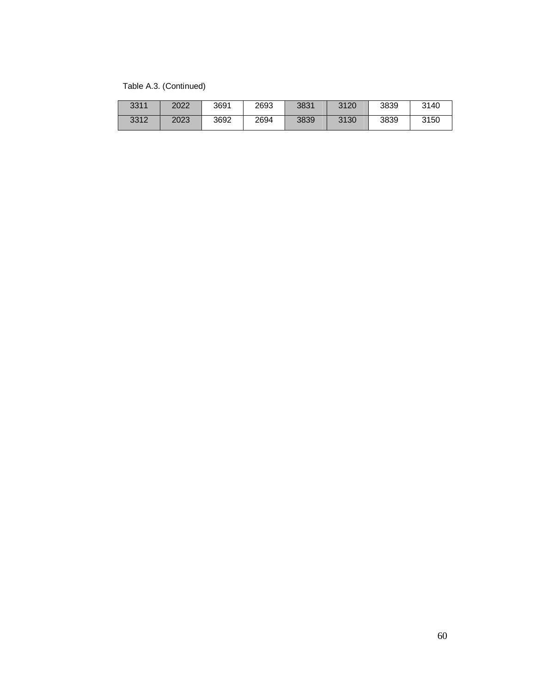Table A.3. (Continued)

| 3311 | 2022 | 3691 | 2693 | 3831 | 3120 | 3839 | 3140 |
|------|------|------|------|------|------|------|------|
| 3312 | 2023 | 3692 | 2694 | 3839 | 3130 | 3839 | 3150 |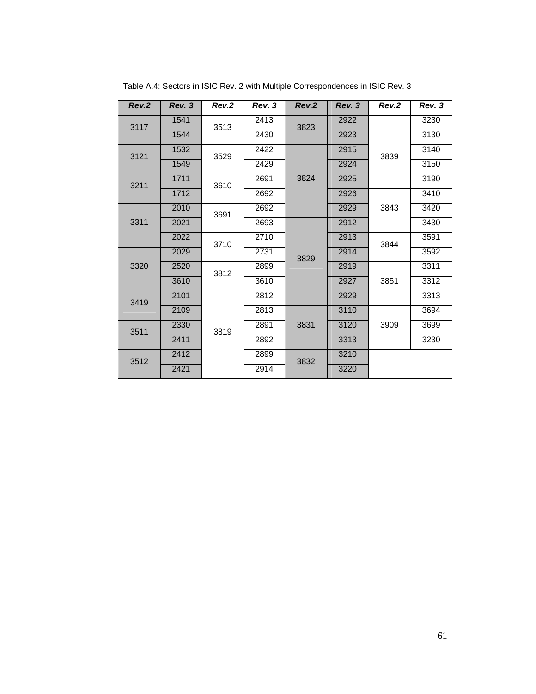| Rev.2 | Rev. 3 | Rev.2 | Rev. 3 | Rev.2 | Rev. 3 | Rev.2        | Rev. 3 |
|-------|--------|-------|--------|-------|--------|--------------|--------|
| 3117  | 1541   | 3513  | 2413   | 3823  | 2922   |              | 3230   |
|       | 1544   |       | 2430   |       | 2923   |              | 3130   |
| 3121  | 1532   | 3529  | 2422   | 3824  | 2915   | 3839         | 3140   |
|       | 1549   |       | 2429   |       | 2924   |              | 3150   |
| 3211  | 1711   | 3610  | 2691   |       | 2925   |              | 3190   |
|       | 1712   |       | 2692   |       | 2926   | 3843         | 3410   |
|       | 2010   | 3691  | 2692   |       | 2929   |              | 3420   |
| 3311  | 2021   |       | 2693   | 3829  | 2912   |              | 3430   |
|       | 2022   | 3710  | 2710   |       | 2913   | 3844<br>3851 | 3591   |
|       | 2029   |       | 2731   |       | 2914   |              | 3592   |
| 3320  | 2520   | 3812  | 2899   |       | 2919   |              | 3311   |
|       | 3610   |       | 3610   |       | 2927   |              | 3312   |
| 3419  | 2101   | 3819  | 2812   |       | 2929   |              | 3313   |
|       | 2109   |       | 2813   | 3831  | 3110   | 3909         | 3694   |
| 3511  | 2330   |       | 2891   |       | 3120   |              | 3699   |
|       | 2411   |       | 2892   |       | 3313   |              | 3230   |
| 3512  | 2412   |       | 2899   | 3832  | 3210   |              |        |
|       | 2421   |       | 2914   |       | 3220   |              |        |

Table A.4: Sectors in ISIC Rev. 2 with Multiple Correspondences in ISIC Rev. 3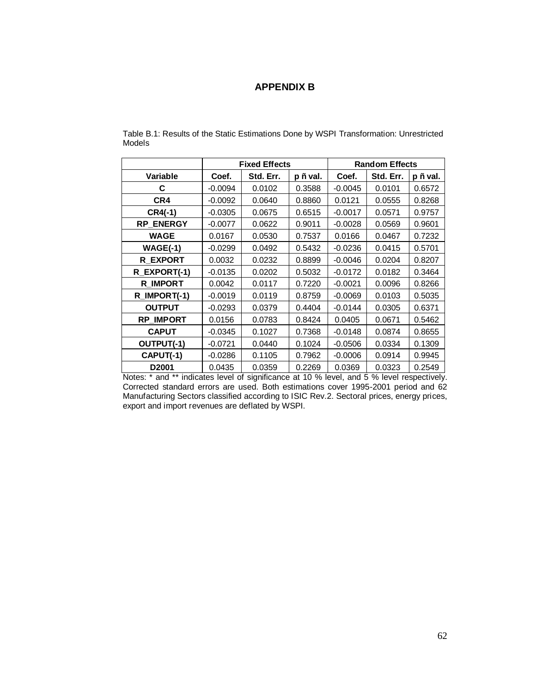## **APPENDIX B**

|                   | <b>Fixed Effects</b> |           |         | <b>Random Effects</b> |           |          |
|-------------------|----------------------|-----------|---------|-----------------------|-----------|----------|
| Variable          | Coef.                | Std. Err. | p Eval. | Coef.                 | Std. Err. | p E val. |
| C                 | $-0.0094$            | 0.0102    | 0.3588  | $-0.0045$             | 0.0101    | 0.6572   |
| CR4               | $-0.0092$            | 0.0640    | 0.8860  | 0.0121                | 0.0555    | 0.8268   |
| CR4(-1)           | $-0.0305$            | 0.0675    | 0.6515  | $-0.0017$             | 0.0571    | 0.9757   |
| <b>RP ENERGY</b>  | $-0.0077$            | 0.0622    | 0.9011  | $-0.0028$             | 0.0569    | 0.9601   |
| <b>WAGE</b>       | 0.0167               | 0.0530    | 0.7537  | 0.0166                | 0.0467    | 0.7232   |
| $WAGE(-1)$        | $-0.0299$            | 0.0492    | 0.5432  | $-0.0236$             | 0.0415    | 0.5701   |
| <b>R EXPORT</b>   | 0.0032               | 0.0232    | 0.8899  | $-0.0046$             | 0.0204    | 0.8207   |
| R EXPORT(-1)      | $-0.0135$            | 0.0202    | 0.5032  | $-0.0172$             | 0.0182    | 0.3464   |
| <b>R IMPORT</b>   | 0.0042               | 0.0117    | 0.7220  | $-0.0021$             | 0.0096    | 0.8266   |
| R_IMPORT(-1)      | $-0.0019$            | 0.0119    | 0.8759  | $-0.0069$             | 0.0103    | 0.5035   |
| <b>OUTPUT</b>     | $-0.0293$            | 0.0379    | 0.4404  | $-0.0144$             | 0.0305    | 0.6371   |
| <b>RP IMPORT</b>  | 0.0156               | 0.0783    | 0.8424  | 0.0405                | 0.0671    | 0.5462   |
| <b>CAPUT</b>      | $-0.0345$            | 0.1027    | 0.7368  | $-0.0148$             | 0.0874    | 0.8655   |
| OUTPUT(-1)        | $-0.0721$            | 0.0440    | 0.1024  | $-0.0506$             | 0.0334    | 0.1309   |
| CAPUT(-1)         | $-0.0286$            | 0.1105    | 0.7962  | $-0.0006$             | 0.0914    | 0.9945   |
| D <sub>2001</sub> | 0.0435               | 0.0359    | 0.2269  | 0.0369                | 0.0323    | 0.2549   |

Table B.1: Results of the Static Estimations Done by WSPI Transformation: Unrestricted Models

Notes: \* and \*\* indicates level of significance at 10 % level, and 5 % level respectively. Corrected standard errors are used. Both estimations cover 1995-2001 period and 62 Manufacturing Sectors classified according to ISIC Rev.2. Sectoral prices, energy prices, export and import revenues are deflated by WSPI.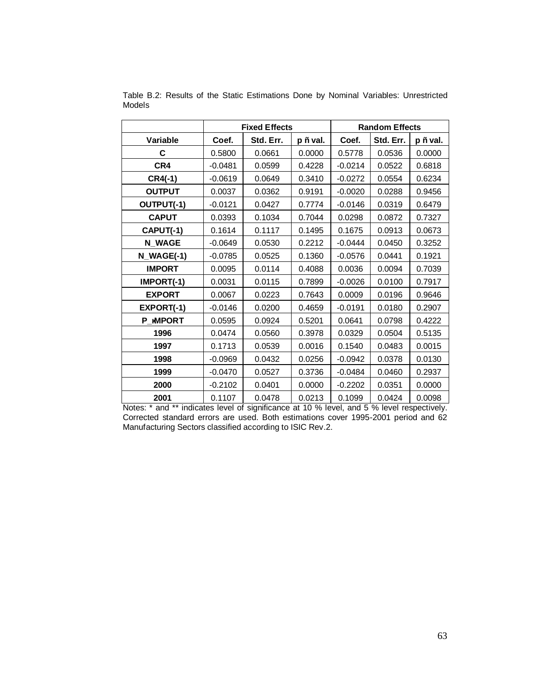|               | <b>Fixed Effects</b> |           |          | <b>Random Effects</b> |           |          |
|---------------|----------------------|-----------|----------|-----------------------|-----------|----------|
| Variable      | Coef.                | Std. Err. | p Ë val. | Coef.                 | Std. Err. | p Ë val. |
| С             | 0.5800               | 0.0661    | 0.0000   | 0.5778                | 0.0536    | 0.0000   |
| CR4           | $-0.0481$            | 0.0599    | 0.4228   | $-0.0214$             | 0.0522    | 0.6818   |
| $CR4(-1)$     | $-0.0619$            | 0.0649    | 0.3410   | $-0.0272$             | 0.0554    | 0.6234   |
| <b>OUTPUT</b> | 0.0037               | 0.0362    | 0.9191   | $-0.0020$             | 0.0288    | 0.9456   |
| OUTPUT(-1)    | $-0.0121$            | 0.0427    | 0.7774   | $-0.0146$             | 0.0319    | 0.6479   |
| <b>CAPUT</b>  | 0.0393               | 0.1034    | 0.7044   | 0.0298                | 0.0872    | 0.7327   |
| CAPUT(-1)     | 0.1614               | 0.1117    | 0.1495   | 0.1675                | 0.0913    | 0.0673   |
| <b>N_WAGE</b> | $-0.0649$            | 0.0530    | 0.2212   | $-0.0444$             | 0.0450    | 0.3252   |
| N_WAGE(-1)    | $-0.0785$            | 0.0525    | 0.1360   | $-0.0576$             | 0.0441    | 0.1921   |
| <b>IMPORT</b> | 0.0095               | 0.0114    | 0.4088   | 0.0036                | 0.0094    | 0.7039   |
| IMPORT(-1)    | 0.0031               | 0.0115    | 0.7899   | $-0.0026$             | 0.0100    | 0.7917   |
| <b>EXPORT</b> | 0.0067               | 0.0223    | 0.7643   | 0.0009                | 0.0196    | 0.9646   |
| EXPORT(-1)    | $-0.0146$            | 0.0200    | 0.4659   | $-0.0191$             | 0.0180    | 0.2907   |
| P_MPORT       | 0.0595               | 0.0924    | 0.5201   | 0.0641                | 0.0798    | 0.4222   |
| 1996          | 0.0474               | 0.0560    | 0.3978   | 0.0329                | 0.0504    | 0.5135   |
| 1997          | 0.1713               | 0.0539    | 0.0016   | 0.1540                | 0.0483    | 0.0015   |
| 1998          | $-0.0969$            | 0.0432    | 0.0256   | $-0.0942$             | 0.0378    | 0.0130   |
| 1999          | $-0.0470$            | 0.0527    | 0.3736   | $-0.0484$             | 0.0460    | 0.2937   |
| 2000          | $-0.2102$            | 0.0401    | 0.0000   | $-0.2202$             | 0.0351    | 0.0000   |
| 2001          | 0.1107               | 0.0478    | 0.0213   | 0.1099                | 0.0424    | 0.0098   |

Table B.2: Results of the Static Estimations Done by Nominal Variables: Unrestricted Models

Notes: \* and \*\* indicates level of significance at 10 % level, and 5 % level respectively. Corrected standard errors are used. Both estimations cover 1995-2001 period and 62 Manufacturing Sectors classified according to ISIC Rev.2.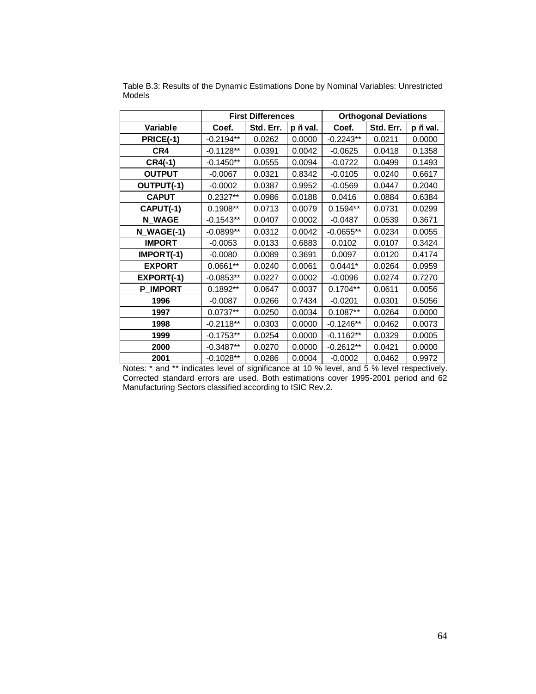|                 | <b>First Differences</b> |           | <b>Orthogonal Deviations</b> |             |           |          |
|-----------------|--------------------------|-----------|------------------------------|-------------|-----------|----------|
| Variable        | Coef.                    | Std. Err. | $p \nleftrightarrow$ val.    | Coef.       | Std. Err. | p Ë val. |
| PRICE(-1)       | $-0.2194**$              | 0.0262    | 0.0000                       | $-0.2243**$ | 0.0211    | 0.0000   |
| CR4             | $-0.1128**$              | 0.0391    | 0.0042                       | $-0.0625$   | 0.0418    | 0.1358   |
| $CR4(-1)$       | $-0.1450**$              | 0.0555    | 0.0094                       | $-0.0722$   | 0.0499    | 0.1493   |
| <b>OUTPUT</b>   | $-0.0067$                | 0.0321    | 0.8342                       | $-0.0105$   | 0.0240    | 0.6617   |
| OUTPUT(-1)      | $-0.0002$                | 0.0387    | 0.9952                       | $-0.0569$   | 0.0447    | 0.2040   |
| <b>CAPUT</b>    | $0.2327**$               | 0.0986    | 0.0188                       | 0.0416      | 0.0884    | 0.6384   |
| CAPUT(-1)       | $0.1908**$               | 0.0713    | 0.0079                       | $0.1594**$  | 0.0731    | 0.0299   |
| <b>N_WAGE</b>   | $-0.1543**$              | 0.0407    | 0.0002                       | $-0.0487$   | 0.0539    | 0.3671   |
| $N$ WAGE(-1)    | $-0.0899**$              | 0.0312    | 0.0042                       | $-0.0655**$ | 0.0234    | 0.0055   |
| <b>IMPORT</b>   | $-0.0053$                | 0.0133    | 0.6883                       | 0.0102      | 0.0107    | 0.3424   |
| $IMPORT(-1)$    | $-0.0080$                | 0.0089    | 0.3691                       | 0.0097      | 0.0120    | 0.4174   |
| <b>EXPORT</b>   | $0.0661**$               | 0.0240    | 0.0061                       | $0.0441*$   | 0.0264    | 0.0959   |
| EXPORT(-1)      | $-0.0853**$              | 0.0227    | 0.0002                       | $-0.0096$   | 0.0274    | 0.7270   |
| <b>P_IMPORT</b> | $0.1892**$               | 0.0647    | 0.0037                       | $0.1704**$  | 0.0611    | 0.0056   |
| 1996            | $-0.0087$                | 0.0266    | 0.7434                       | $-0.0201$   | 0.0301    | 0.5056   |
| 1997            | $0.0737**$               | 0.0250    | 0.0034                       | $0.1087**$  | 0.0264    | 0.0000   |
| 1998            | $-0.2118**$              | 0.0303    | 0.0000                       | $-0.1246**$ | 0.0462    | 0.0073   |
| 1999            | $-0.1753**$              | 0.0254    | 0.0000                       | $-0.1162**$ | 0.0329    | 0.0005   |
| 2000            | $-0.3487**$              | 0.0270    | 0.0000                       | $-0.2612**$ | 0.0421    | 0.0000   |
| 2001            | $-0.1028**$              | 0.0286    | 0.0004                       | $-0.0002$   | 0.0462    | 0.9972   |

Table B.3: Results of the Dynamic Estimations Done by Nominal Variables: Unrestricted Models

Notes: \* and \*\* indicates level of significance at 10 % level, and 5 % level respectively. Corrected standard errors are used. Both estimations cover 1995-2001 period and 62 Manufacturing Sectors classified according to ISIC Rev.2.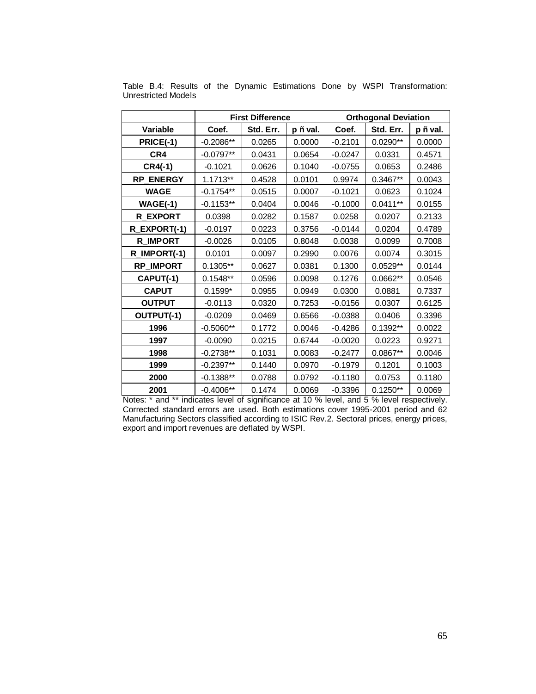|                  | <b>First Difference</b> |           | <b>Orthogonal Deviation</b> |           |            |          |
|------------------|-------------------------|-----------|-----------------------------|-----------|------------|----------|
| Variable         | Coef.                   | Std. Err. | p Ë val.                    | Coef.     | Std. Err.  | p Ë val. |
| PRICE(-1)        | $-0.2086**$             | 0.0265    | 0.0000                      | $-0.2101$ | $0.0290**$ | 0.0000   |
| CR4              | $-0.0797**$             | 0.0431    | 0.0654                      | $-0.0247$ | 0.0331     | 0.4571   |
| $CR4(-1)$        | $-0.1021$               | 0.0626    | 0.1040                      | $-0.0755$ | 0.0653     | 0.2486   |
| <b>RP_ENERGY</b> | 1.1713**                | 0.4528    | 0.0101                      | 0.9974    | 0.3467**   | 0.0043   |
| <b>WAGE</b>      | $-0.1754**$             | 0.0515    | 0.0007                      | $-0.1021$ | 0.0623     | 0.1024   |
| $WAGE(-1)$       | $-0.1153**$             | 0.0404    | 0.0046                      | $-0.1000$ | $0.0411**$ | 0.0155   |
| <b>R EXPORT</b>  | 0.0398                  | 0.0282    | 0.1587                      | 0.0258    | 0.0207     | 0.2133   |
| R_EXPORT(-1)     | $-0.0197$               | 0.0223    | 0.3756                      | $-0.0144$ | 0.0204     | 0.4789   |
| <b>R_IMPORT</b>  | $-0.0026$               | 0.0105    | 0.8048                      | 0.0038    | 0.0099     | 0.7008   |
| R_IMPORT(-1)     | 0.0101                  | 0.0097    | 0.2990                      | 0.0076    | 0.0074     | 0.3015   |
| <b>RP IMPORT</b> | $0.1305**$              | 0.0627    | 0.0381                      | 0.1300    | $0.0529**$ | 0.0144   |
| CAPUT(-1)        | $0.1548**$              | 0.0596    | 0.0098                      | 0.1276    | 0.0662**   | 0.0546   |
| <b>CAPUT</b>     | $0.1599*$               | 0.0955    | 0.0949                      | 0.0300    | 0.0881     | 0.7337   |
| <b>OUTPUT</b>    | $-0.0113$               | 0.0320    | 0.7253                      | $-0.0156$ | 0.0307     | 0.6125   |
| OUTPUT(-1)       | $-0.0209$               | 0.0469    | 0.6566                      | $-0.0388$ | 0.0406     | 0.3396   |
| 1996             | $-0.5060**$             | 0.1772    | 0.0046                      | $-0.4286$ | $0.1392**$ | 0.0022   |
| 1997             | $-0.0090$               | 0.0215    | 0.6744                      | $-0.0020$ | 0.0223     | 0.9271   |
| 1998             | $-0.2738**$             | 0.1031    | 0.0083                      | $-0.2477$ | 0.0867**   | 0.0046   |
| 1999             | $-0.2397**$             | 0.1440    | 0.0970                      | $-0.1979$ | 0.1201     | 0.1003   |
| 2000             | $-0.1388**$             | 0.0788    | 0.0792                      | $-0.1180$ | 0.0753     | 0.1180   |
| 2001             | $-0.4006**$             | 0.1474    | 0.0069                      | $-0.3396$ | $0.1250**$ | 0.0069   |

Table B.4: Results of the Dynamic Estimations Done by WSPI Transformation: Unrestricted Models

Notes: \* and \*\* indicates level of significance at 10 % level, and 5 % level respectively. Corrected standard errors are used. Both estimations cover 1995-2001 period and 62 Manufacturing Sectors classified according to ISIC Rev.2. Sectoral prices, energy prices, export and import revenues are deflated by WSPI.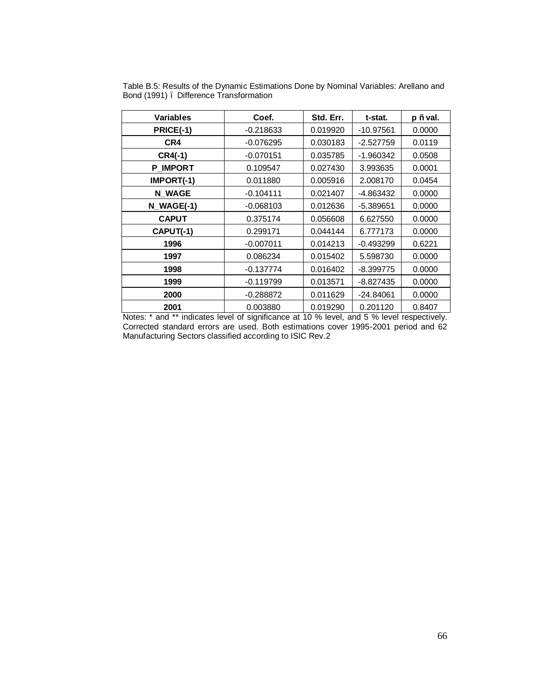| <b>Variables</b> | Coef.       | Std. Err. | t-stat.     | p Ë val. |
|------------------|-------------|-----------|-------------|----------|
| PRICE(-1)        | $-0.218633$ | 0.019920  | $-10.97561$ | 0.0000   |
| CR4              | $-0.076295$ | 0.030183  | $-2.527759$ | 0.0119   |
| $CR4(-1)$        | $-0.070151$ | 0.035785  | $-1.960342$ | 0.0508   |
| <b>P IMPORT</b>  | 0.109547    | 0.027430  | 3.993635    | 0.0001   |
| IMPORT(-1)       | 0.011880    | 0.005916  | 2.008170    | 0.0454   |
| <b>N WAGE</b>    | $-0.104111$ | 0.021407  | -4.863432   | 0.0000   |
| N_WAGE(-1)       | $-0.068103$ | 0.012636  | $-5.389651$ | 0.0000   |
| <b>CAPUT</b>     | 0.375174    | 0.056608  | 6.627550    | 0.0000   |
| CAPUT(-1)        | 0.299171    | 0.044144  | 6.777173    | 0.0000   |
| 1996             | $-0.007011$ | 0.014213  | $-0.493299$ | 0.6221   |
| 1997             | 0.086234    | 0.015402  | 5.598730    | 0.0000   |
| 1998             | $-0.137774$ | 0.016402  | $-8.399775$ | 0.0000   |
| 1999             | $-0.119799$ | 0.013571  | $-8.827435$ | 0.0000   |
| 2000             | $-0.288872$ | 0.011629  | $-24.84061$ | 0.0000   |
| 2001             | 0.003880    | 0.019290  | 0.201120    | 0.8407   |

Table B.5: Results of the Dynamic Estimations Done by Nominal Variables: Arellano and Bond (1991) – Difference Transformation

Notes: \* and \*\* indicates level of significance at 10 % level, and 5 % level respectively. Corrected standard errors are used. Both estimations cover 1995-2001 period and 62 Manufacturing Sectors classified according to ISIC Rev.2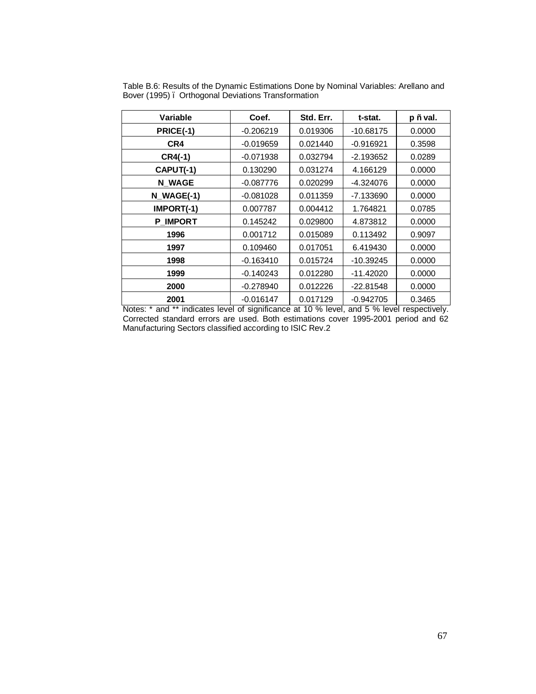| Variable         | Coef.       | Std. Err. | t-stat.     | $p \nleftrightarrow$ val. |
|------------------|-------------|-----------|-------------|---------------------------|
| <b>PRICE(-1)</b> | $-0.206219$ | 0.019306  | $-10.68175$ | 0.0000                    |
| CR4              | $-0.019659$ | 0.021440  | $-0.916921$ | 0.3598                    |
| $CR4(-1)$        | $-0.071938$ | 0.032794  | $-2.193652$ | 0.0289                    |
| CAPUT(-1)        | 0.130290    | 0.031274  | 4.166129    | 0.0000                    |
| <b>N WAGE</b>    | $-0.087776$ | 0.020299  | -4.324076   | 0.0000                    |
| N WAGE(-1)       | $-0.081028$ | 0.011359  | -7.133690   | 0.0000                    |
| IMPORT(-1)       | 0.007787    | 0.004412  | 1.764821    | 0.0785                    |
| <b>P IMPORT</b>  | 0.145242    | 0.029800  | 4.873812    | 0.0000                    |
| 1996             | 0.001712    | 0.015089  | 0.113492    | 0.9097                    |
| 1997             | 0.109460    | 0.017051  | 6.419430    | 0.0000                    |
| 1998             | $-0.163410$ | 0.015724  | $-10.39245$ | 0.0000                    |
| 1999             | $-0.140243$ | 0.012280  | $-11.42020$ | 0.0000                    |
| 2000             | $-0.278940$ | 0.012226  | $-22.81548$ | 0.0000                    |
| 2001             | $-0.016147$ | 0.017129  | $-0.942705$ | 0.3465                    |

Table B.6: Results of the Dynamic Estimations Done by Nominal Variables: Arellano and Bover (1995) – Orthogonal Deviations Transformation

Notes: \* and \*\* indicates level of significance at 10 % level, and 5 % level respectively. Corrected standard errors are used. Both estimations cover 1995-2001 period and 62 Manufacturing Sectors classified according to ISIC Rev.2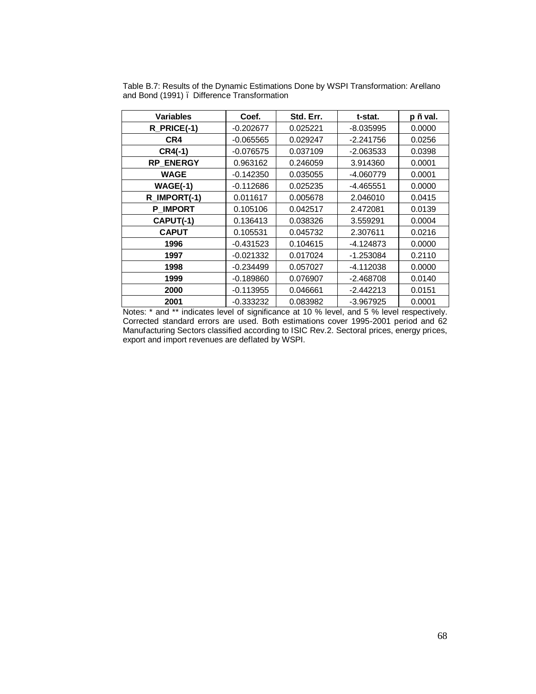| <b>Variables</b> | Coef.       | Std. Err. | t-stat.     | p Ë val. |
|------------------|-------------|-----------|-------------|----------|
| R_PRICE(-1)      | $-0.202677$ | 0.025221  | $-8.035995$ | 0.0000   |
| CR4              | $-0.065565$ | 0.029247  | $-2.241756$ | 0.0256   |
| $CR4(-1)$        | $-0.076575$ | 0.037109  | $-2.063533$ | 0.0398   |
| RP_ENERGY        | 0.963162    | 0.246059  | 3.914360    | 0.0001   |
| <b>WAGE</b>      | $-0.142350$ | 0.035055  | $-4.060779$ | 0.0001   |
| <b>WAGE(-1)</b>  | $-0.112686$ | 0.025235  | $-4.465551$ | 0.0000   |
| R_IMPORT(-1)     | 0.011617    | 0.005678  | 2.046010    | 0.0415   |
| <b>P_IMPORT</b>  | 0.105106    | 0.042517  | 2.472081    | 0.0139   |
| CAPUT(-1)        | 0.136413    | 0.038326  | 3.559291    | 0.0004   |
| <b>CAPUT</b>     | 0.105531    | 0.045732  | 2.307611    | 0.0216   |
| 1996             | $-0.431523$ | 0.104615  | $-4.124873$ | 0.0000   |
| 1997             | $-0.021332$ | 0.017024  | $-1.253084$ | 0.2110   |
| 1998             | $-0.234499$ | 0.057027  | $-4.112038$ | 0.0000   |
| 1999             | $-0.189860$ | 0.076907  | $-2.468708$ | 0.0140   |
| 2000             | $-0.113955$ | 0.046661  | $-2.442213$ | 0.0151   |
| 2001             | $-0.333232$ | 0.083982  | $-3.967925$ | 0.0001   |

Table B.7: Results of the Dynamic Estimations Done by WSPI Transformation: Arellano and Bond (1991) – Difference Transformation

Notes: \* and \*\* indicates level of significance at 10 % level, and 5 % level respectively. Corrected standard errors are used. Both estimations cover 1995-2001 period and 62 Manufacturing Sectors classified according to ISIC Rev.2. Sectoral prices, energy prices, export and import revenues are deflated by WSPI.